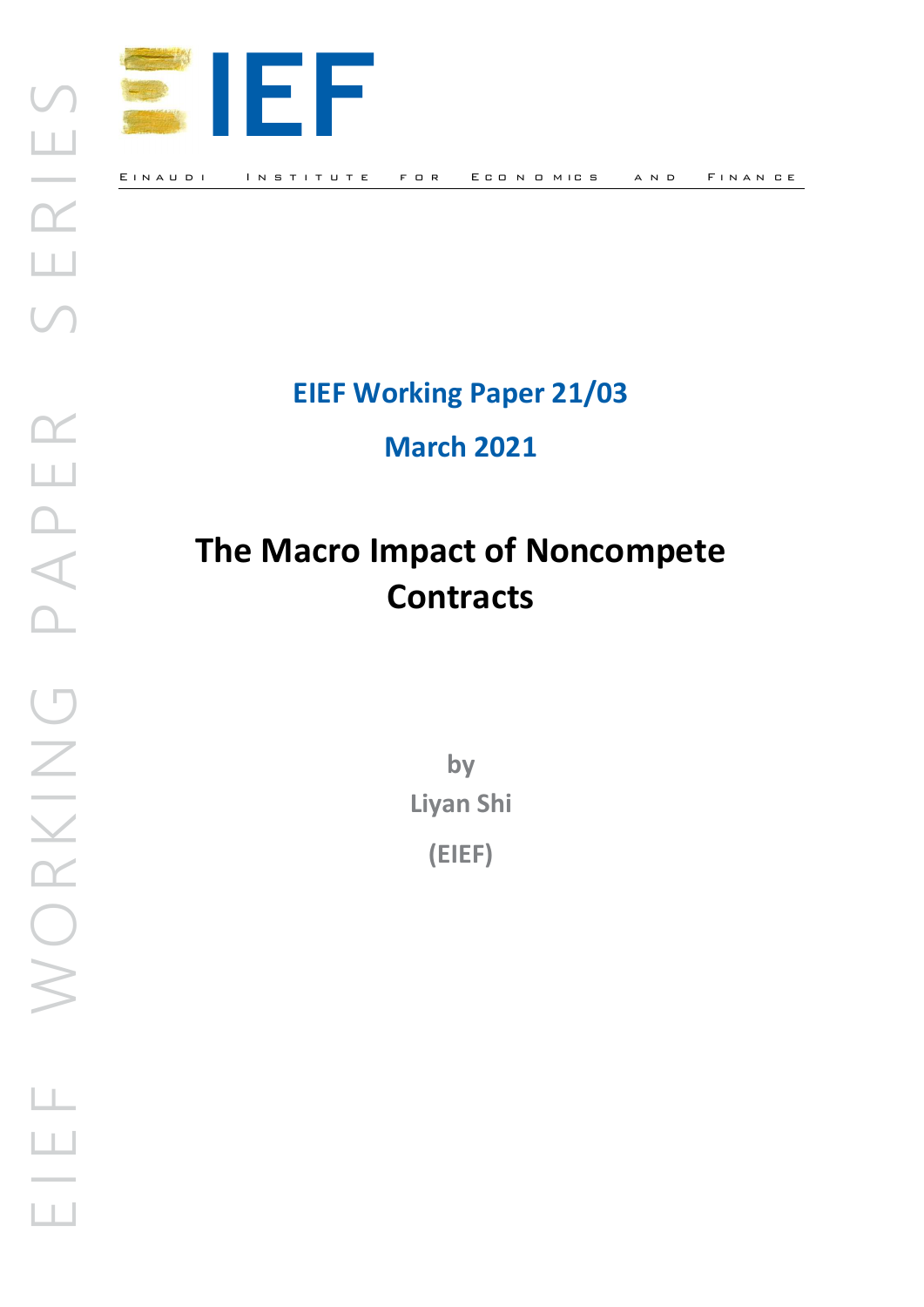

## EIEF Working Paper 21/03

## March 2021

# The Macro Impact of Noncompete **Contracts**

by Liyan Shi (EIEF)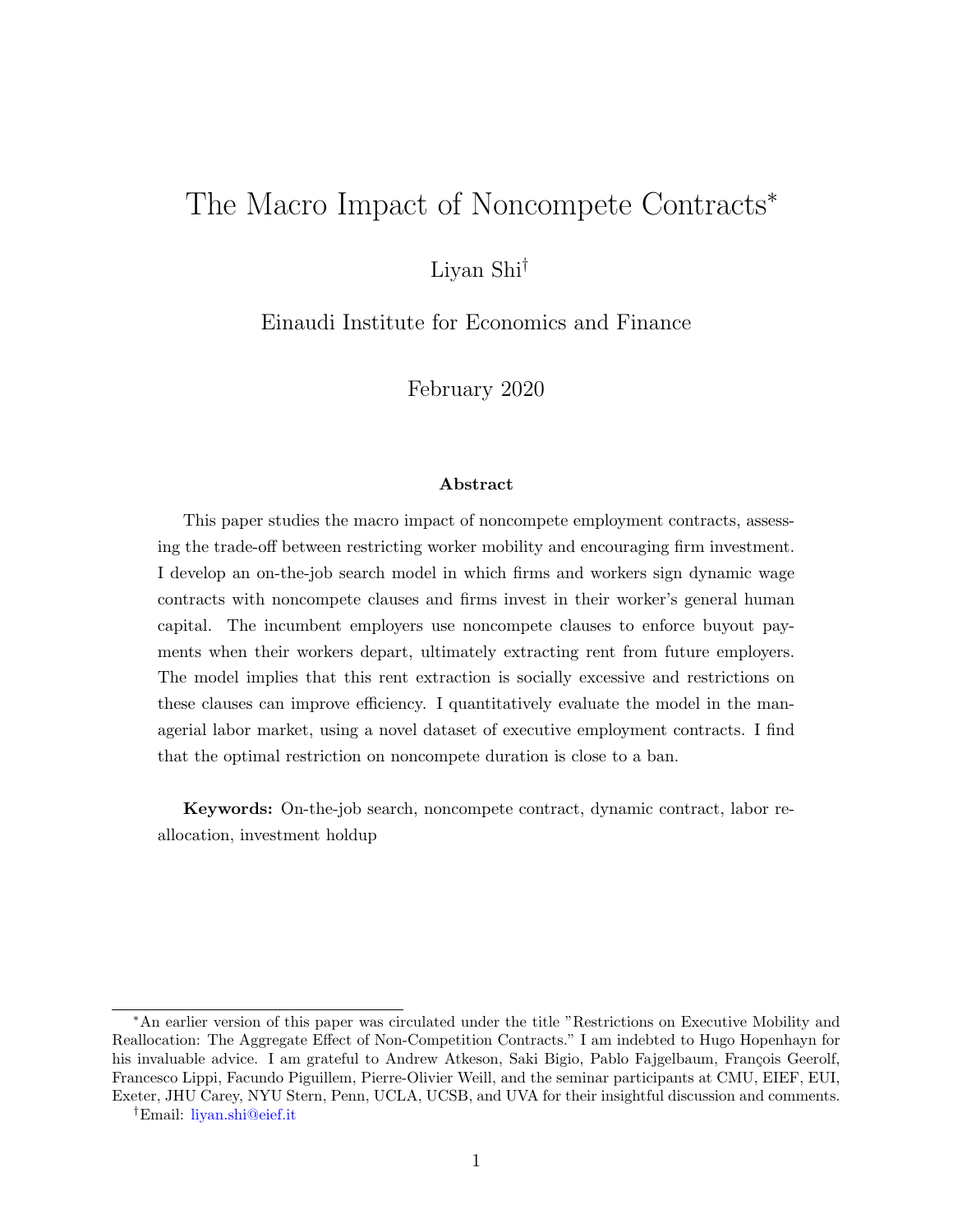## The Macro Impact of Noncompete Contracts<sup>∗</sup>

Liyan Shi†

Einaudi Institute for Economics and Finance

February 2020

#### Abstract

This paper studies the macro impact of noncompete employment contracts, assessing the trade-off between restricting worker mobility and encouraging firm investment. I develop an on-the-job search model in which firms and workers sign dynamic wage contracts with noncompete clauses and firms invest in their worker's general human capital. The incumbent employers use noncompete clauses to enforce buyout payments when their workers depart, ultimately extracting rent from future employers. The model implies that this rent extraction is socially excessive and restrictions on these clauses can improve efficiency. I quantitatively evaluate the model in the managerial labor market, using a novel dataset of executive employment contracts. I find that the optimal restriction on noncompete duration is close to a ban.

Keywords: On-the-job search, noncompete contract, dynamic contract, labor reallocation, investment holdup

<sup>∗</sup>An earlier version of this paper was circulated under the title "Restrictions on Executive Mobility and Reallocation: The Aggregate Effect of Non-Competition Contracts." I am indebted to Hugo Hopenhayn for his invaluable advice. I am grateful to Andrew Atkeson, Saki Bigio, Pablo Fajgelbaum, François Geerolf, Francesco Lippi, Facundo Piguillem, Pierre-Olivier Weill, and the seminar participants at CMU, EIEF, EUI, Exeter, JHU Carey, NYU Stern, Penn, UCLA, UCSB, and UVA for their insightful discussion and comments.

<sup>†</sup>Email: [liyan.shi@eief.it](mailto:liyan.shi@eief.it)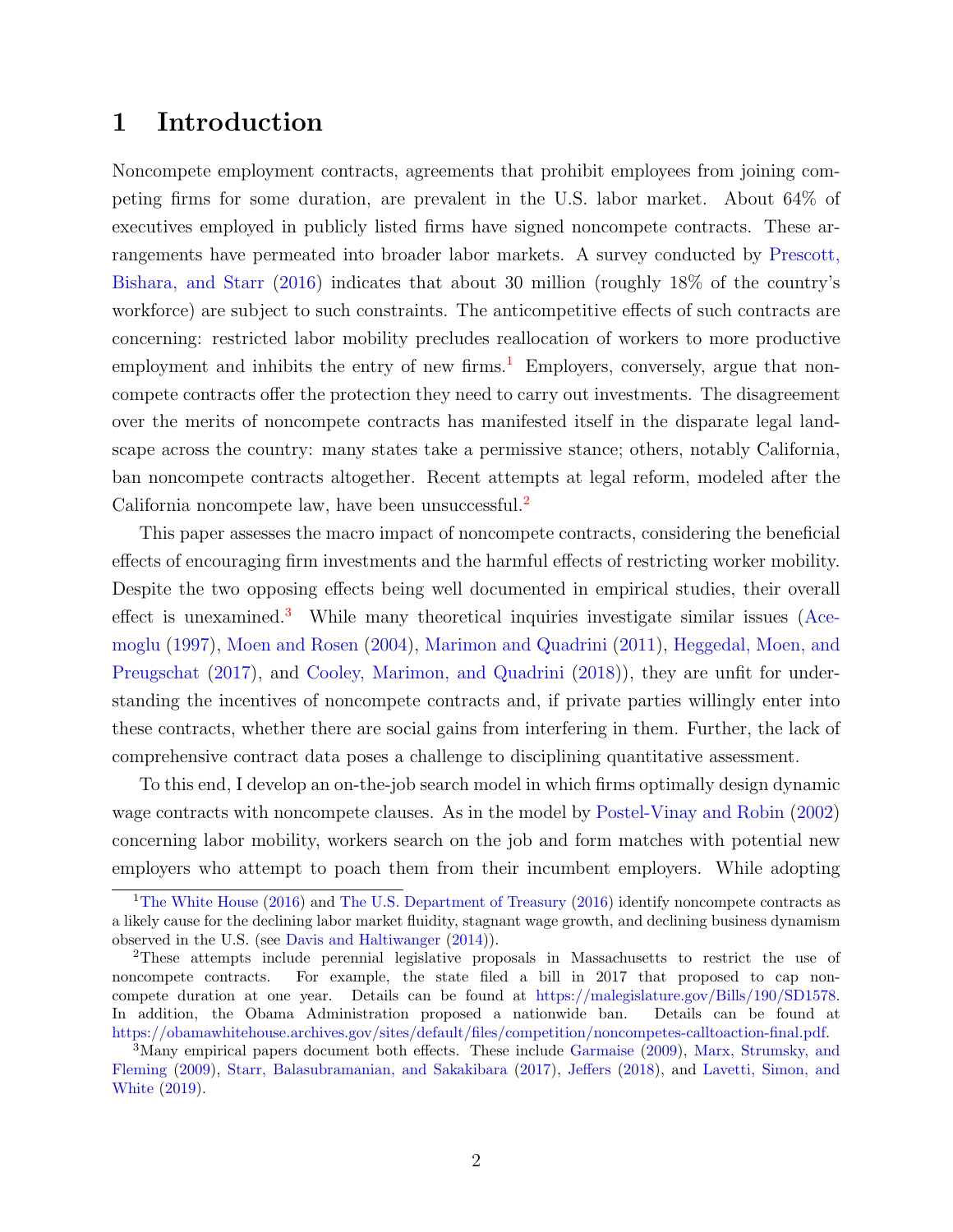## 1 Introduction

Noncompete employment contracts, agreements that prohibit employees from joining competing firms for some duration, are prevalent in the U.S. labor market. About 64% of executives employed in publicly listed firms have signed noncompete contracts. These arrangements have permeated into broader labor markets. A survey conducted by Prescott, Bishara, and Starr (2016) indicates that about 30 million (roughly 18% of the country's workforce) are subject to such constraints. The anticompetitive effects of such contracts are concerning: restricted labor mobility precludes reallocation of workers to more productive employment and inhibits the entry of new firms.<sup>1</sup> Employers, conversely, argue that noncompete contracts offer the protection they need to carry out investments. The disagreement over the merits of noncompete contracts has manifested itself in the disparate legal landscape across the country: many states take a permissive stance; others, notably California, ban noncompete contracts altogether. Recent attempts at legal reform, modeled after the California noncompete law, have been unsuccessful.<sup>2</sup>

This paper assesses the macro impact of noncompete contracts, considering the beneficial effects of encouraging firm investments and the harmful effects of restricting worker mobility. Despite the two opposing effects being well documented in empirical studies, their overall effect is unexamined.<sup>3</sup> While many theoretical inquiries investigate similar issues (Acemoglu (1997), Moen and Rosen (2004), Marimon and Quadrini (2011), Heggedal, Moen, and Preugschat (2017), and Cooley, Marimon, and Quadrini (2018)), they are unfit for understanding the incentives of noncompete contracts and, if private parties willingly enter into these contracts, whether there are social gains from interfering in them. Further, the lack of comprehensive contract data poses a challenge to disciplining quantitative assessment.

To this end, I develop an on-the-job search model in which firms optimally design dynamic wage contracts with noncompete clauses. As in the model by Postel-Vinay and Robin (2002) concerning labor mobility, workers search on the job and form matches with potential new employers who attempt to poach them from their incumbent employers. While adopting

<sup>&</sup>lt;sup>1</sup>The White House (2016) and The U.S. Department of Treasury (2016) identify noncompete contracts as a likely cause for the declining labor market fluidity, stagnant wage growth, and declining business dynamism observed in the U.S. (see Davis and Haltiwanger (2014)).

<sup>2</sup>These attempts include perennial legislative proposals in Massachusetts to restrict the use of noncompete contracts. For example, the state filed a bill in 2017 that proposed to cap noncompete duration at one year. Details can be found at [https://malegislature.gov/Bills/190/SD1578.](https://malegislature.gov/Bills/190/SD1578) In addition, the Obama Administration proposed a nationwide ban. Details can be found at [https://obamawhitehouse.archives.gov/sites/default/files/competition/noncompetes-calltoaction-final.pdf.](https://obamawhitehouse.archives.gov/sites/default/files/competition/noncompetes-calltoaction-final.pdf)

<sup>&</sup>lt;sup>3</sup>Many empirical papers document both effects. These include Garmaise (2009), Marx, Strumsky, and Fleming (2009), Starr, Balasubramanian, and Sakakibara (2017), Jeffers (2018), and Lavetti, Simon, and White (2019).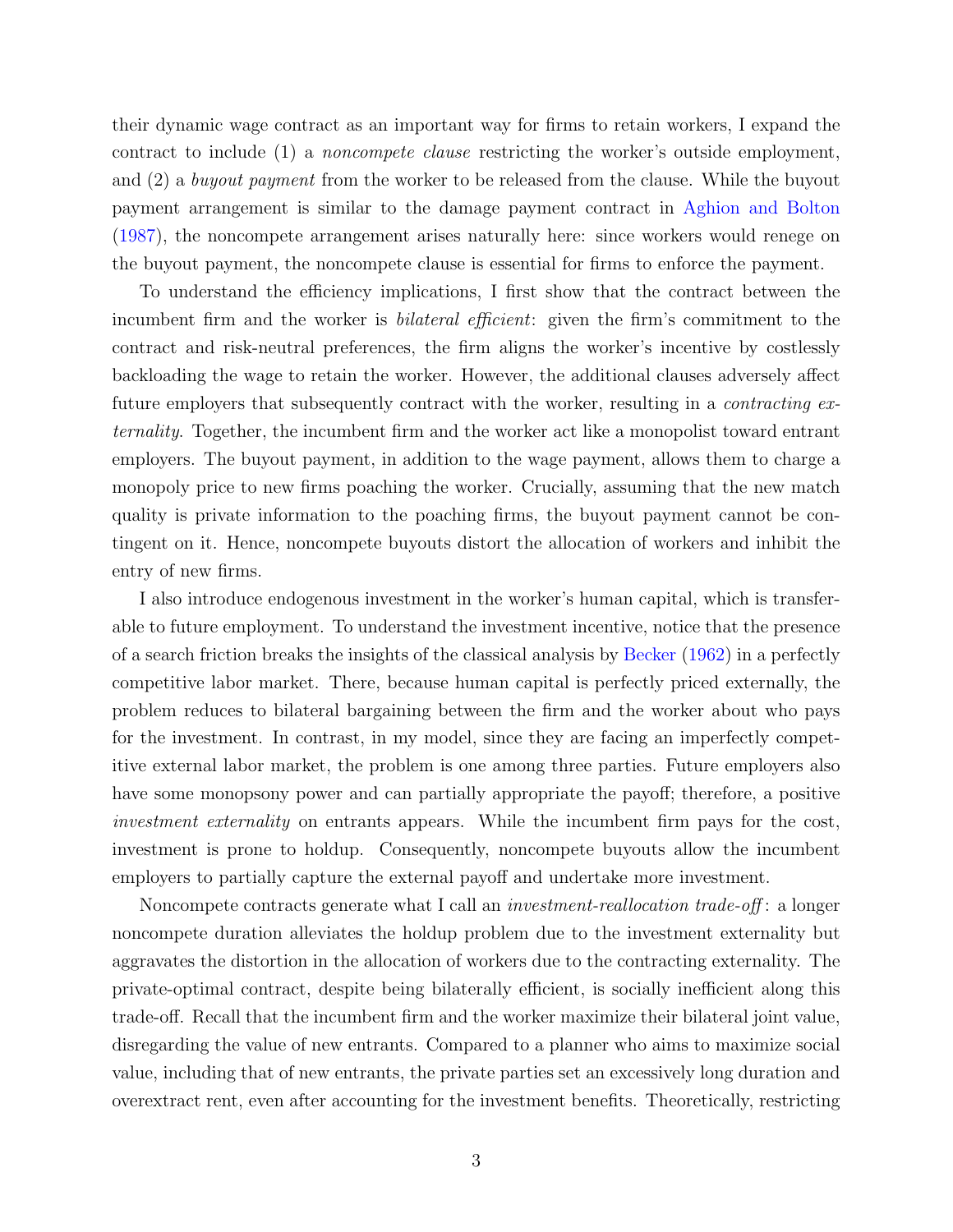their dynamic wage contract as an important way for firms to retain workers, I expand the contract to include (1) a noncompete clause restricting the worker's outside employment, and (2) a buyout payment from the worker to be released from the clause. While the buyout payment arrangement is similar to the damage payment contract in Aghion and Bolton (1987), the noncompete arrangement arises naturally here: since workers would renege on the buyout payment, the noncompete clause is essential for firms to enforce the payment.

To understand the efficiency implications, I first show that the contract between the incumbent firm and the worker is *bilateral efficient*: given the firm's commitment to the contract and risk-neutral preferences, the firm aligns the worker's incentive by costlessly backloading the wage to retain the worker. However, the additional clauses adversely affect future employers that subsequently contract with the worker, resulting in a *contracting ex*ternality. Together, the incumbent firm and the worker act like a monopolist toward entrant employers. The buyout payment, in addition to the wage payment, allows them to charge a monopoly price to new firms poaching the worker. Crucially, assuming that the new match quality is private information to the poaching firms, the buyout payment cannot be contingent on it. Hence, noncompete buyouts distort the allocation of workers and inhibit the entry of new firms.

I also introduce endogenous investment in the worker's human capital, which is transferable to future employment. To understand the investment incentive, notice that the presence of a search friction breaks the insights of the classical analysis by Becker (1962) in a perfectly competitive labor market. There, because human capital is perfectly priced externally, the problem reduces to bilateral bargaining between the firm and the worker about who pays for the investment. In contrast, in my model, since they are facing an imperfectly competitive external labor market, the problem is one among three parties. Future employers also have some monopsony power and can partially appropriate the payoff; therefore, a positive investment externality on entrants appears. While the incumbent firm pays for the cost, investment is prone to holdup. Consequently, noncompete buyouts allow the incumbent employers to partially capture the external payoff and undertake more investment.

Noncompete contracts generate what I call an *investment-reallocation trade-off*: a longer noncompete duration alleviates the holdup problem due to the investment externality but aggravates the distortion in the allocation of workers due to the contracting externality. The private-optimal contract, despite being bilaterally efficient, is socially inefficient along this trade-off. Recall that the incumbent firm and the worker maximize their bilateral joint value, disregarding the value of new entrants. Compared to a planner who aims to maximize social value, including that of new entrants, the private parties set an excessively long duration and overextract rent, even after accounting for the investment benefits. Theoretically, restricting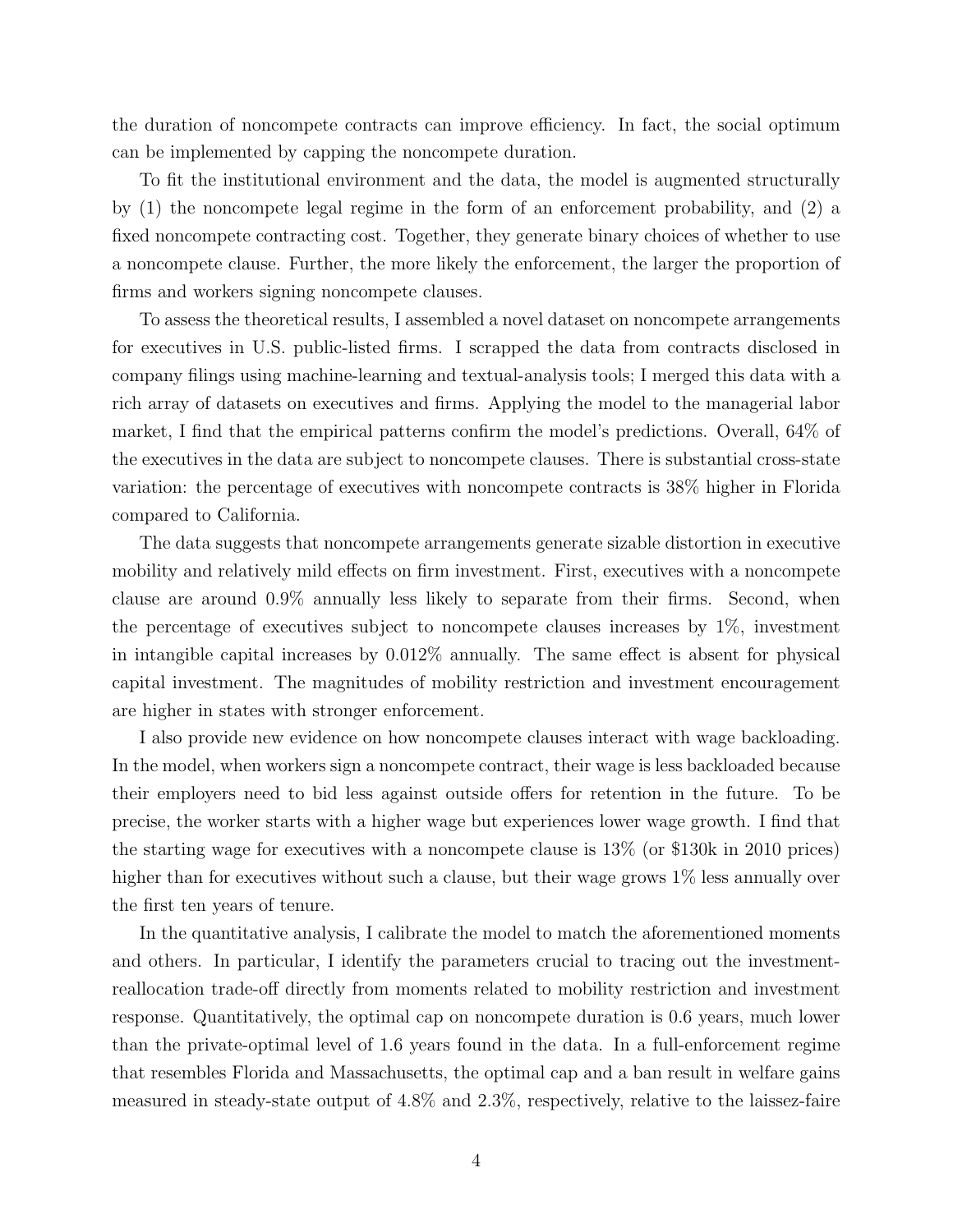the duration of noncompete contracts can improve efficiency. In fact, the social optimum can be implemented by capping the noncompete duration.

To fit the institutional environment and the data, the model is augmented structurally by (1) the noncompete legal regime in the form of an enforcement probability, and (2) a fixed noncompete contracting cost. Together, they generate binary choices of whether to use a noncompete clause. Further, the more likely the enforcement, the larger the proportion of firms and workers signing noncompete clauses.

To assess the theoretical results, I assembled a novel dataset on noncompete arrangements for executives in U.S. public-listed firms. I scrapped the data from contracts disclosed in company filings using machine-learning and textual-analysis tools; I merged this data with a rich array of datasets on executives and firms. Applying the model to the managerial labor market, I find that the empirical patterns confirm the model's predictions. Overall, 64% of the executives in the data are subject to noncompete clauses. There is substantial cross-state variation: the percentage of executives with noncompete contracts is 38% higher in Florida compared to California.

The data suggests that noncompete arrangements generate sizable distortion in executive mobility and relatively mild effects on firm investment. First, executives with a noncompete clause are around 0.9% annually less likely to separate from their firms. Second, when the percentage of executives subject to noncompete clauses increases by 1%, investment in intangible capital increases by 0.012% annually. The same effect is absent for physical capital investment. The magnitudes of mobility restriction and investment encouragement are higher in states with stronger enforcement.

I also provide new evidence on how noncompete clauses interact with wage backloading. In the model, when workers sign a noncompete contract, their wage is less backloaded because their employers need to bid less against outside offers for retention in the future. To be precise, the worker starts with a higher wage but experiences lower wage growth. I find that the starting wage for executives with a noncompete clause is 13% (or \$130k in 2010 prices) higher than for executives without such a clause, but their wage grows  $1\%$  less annually over the first ten years of tenure.

In the quantitative analysis, I calibrate the model to match the aforementioned moments and others. In particular, I identify the parameters crucial to tracing out the investmentreallocation trade-off directly from moments related to mobility restriction and investment response. Quantitatively, the optimal cap on noncompete duration is 0.6 years, much lower than the private-optimal level of 1.6 years found in the data. In a full-enforcement regime that resembles Florida and Massachusetts, the optimal cap and a ban result in welfare gains measured in steady-state output of 4.8% and 2.3%, respectively, relative to the laissez-faire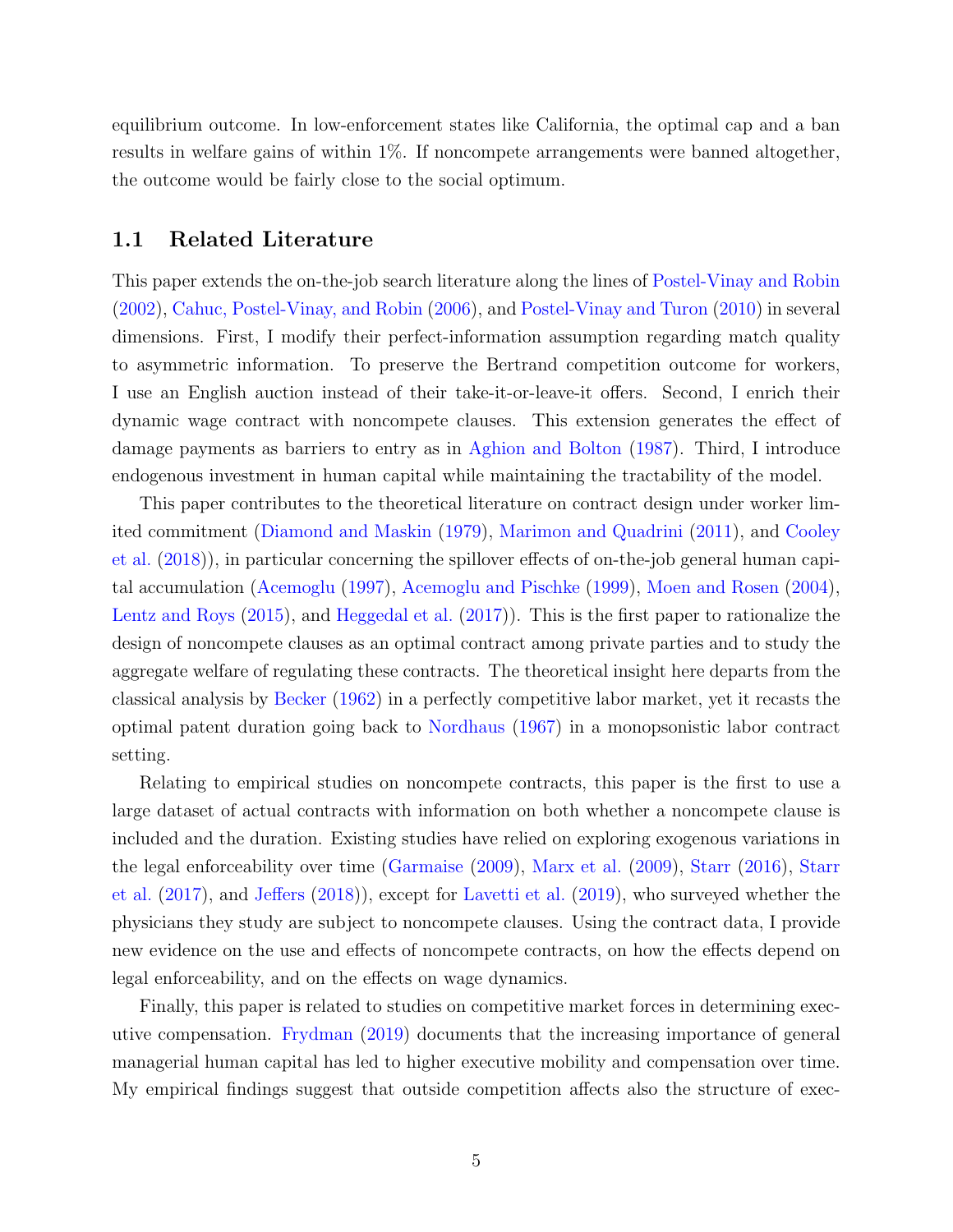equilibrium outcome. In low-enforcement states like California, the optimal cap and a ban results in welfare gains of within 1%. If noncompete arrangements were banned altogether, the outcome would be fairly close to the social optimum.

#### 1.1 Related Literature

This paper extends the on-the-job search literature along the lines of Postel-Vinay and Robin (2002), Cahuc, Postel-Vinay, and Robin (2006), and Postel-Vinay and Turon (2010) in several dimensions. First, I modify their perfect-information assumption regarding match quality to asymmetric information. To preserve the Bertrand competition outcome for workers, I use an English auction instead of their take-it-or-leave-it offers. Second, I enrich their dynamic wage contract with noncompete clauses. This extension generates the effect of damage payments as barriers to entry as in Aghion and Bolton (1987). Third, I introduce endogenous investment in human capital while maintaining the tractability of the model.

This paper contributes to the theoretical literature on contract design under worker limited commitment (Diamond and Maskin (1979), Marimon and Quadrini (2011), and Cooley et al. (2018)), in particular concerning the spillover effects of on-the-job general human capital accumulation (Acemoglu (1997), Acemoglu and Pischke (1999), Moen and Rosen (2004), Lentz and Roys (2015), and Heggedal et al. (2017)). This is the first paper to rationalize the design of noncompete clauses as an optimal contract among private parties and to study the aggregate welfare of regulating these contracts. The theoretical insight here departs from the classical analysis by Becker (1962) in a perfectly competitive labor market, yet it recasts the optimal patent duration going back to Nordhaus (1967) in a monopsonistic labor contract setting.

Relating to empirical studies on noncompete contracts, this paper is the first to use a large dataset of actual contracts with information on both whether a noncompete clause is included and the duration. Existing studies have relied on exploring exogenous variations in the legal enforceability over time (Garmaise (2009), Marx et al. (2009), Starr (2016), Starr et al. (2017), and Jeffers (2018)), except for Lavetti et al. (2019), who surveyed whether the physicians they study are subject to noncompete clauses. Using the contract data, I provide new evidence on the use and effects of noncompete contracts, on how the effects depend on legal enforceability, and on the effects on wage dynamics.

Finally, this paper is related to studies on competitive market forces in determining executive compensation. Frydman (2019) documents that the increasing importance of general managerial human capital has led to higher executive mobility and compensation over time. My empirical findings suggest that outside competition affects also the structure of exec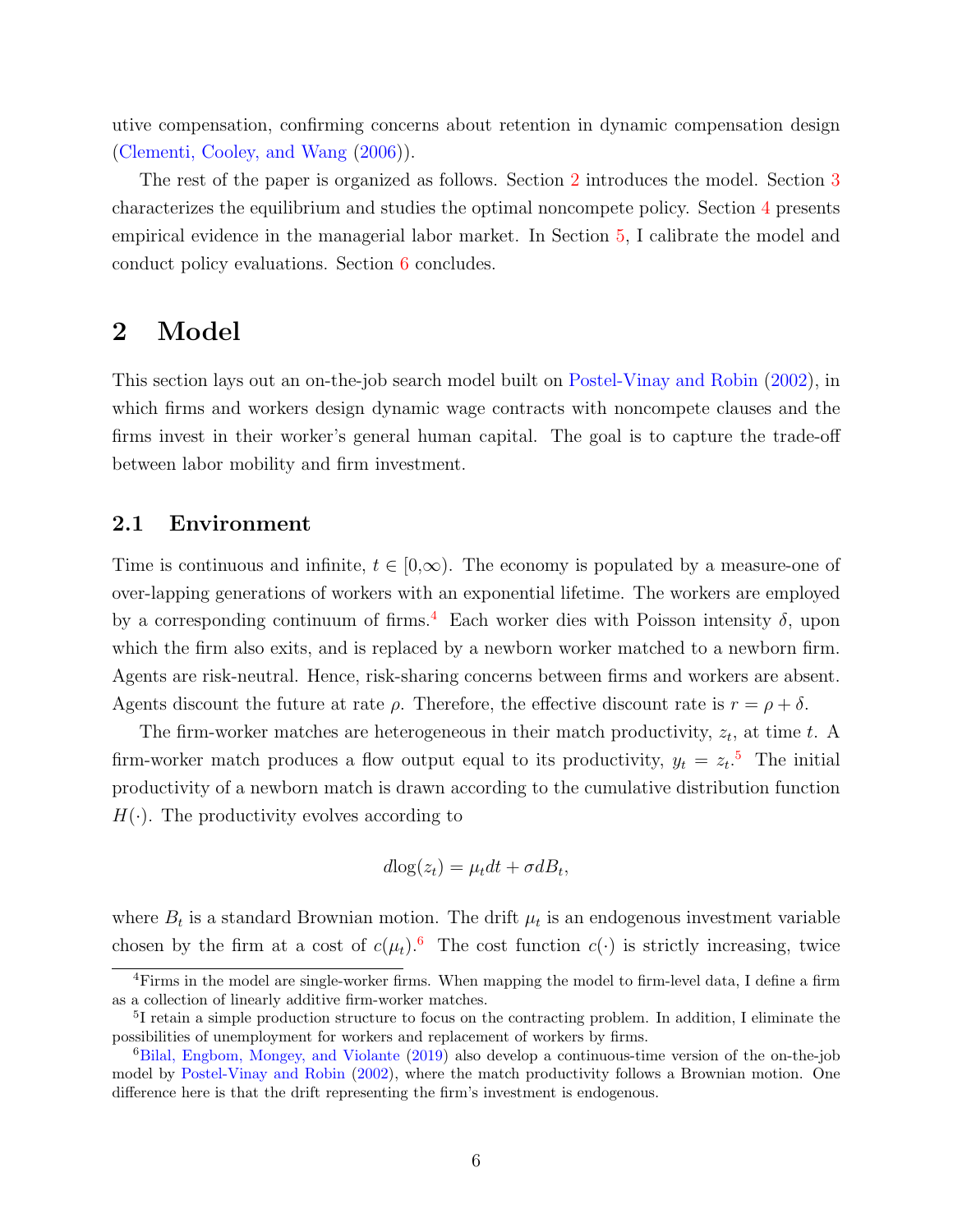utive compensation, confirming concerns about retention in dynamic compensation design (Clementi, Cooley, and Wang (2006)).

The rest of the paper is organized as follows. Section 2 introduces the model. Section 3 characterizes the equilibrium and studies the optimal noncompete policy. Section 4 presents empirical evidence in the managerial labor market. In Section 5, I calibrate the model and conduct policy evaluations. Section 6 concludes.

## 2 Model

This section lays out an on-the-job search model built on Postel-Vinay and Robin (2002), in which firms and workers design dynamic wage contracts with noncompete clauses and the firms invest in their worker's general human capital. The goal is to capture the trade-off between labor mobility and firm investment.

#### 2.1 Environment

Time is continuous and infinite,  $t \in [0,\infty)$ . The economy is populated by a measure-one of over-lapping generations of workers with an exponential lifetime. The workers are employed by a corresponding continuum of firms.<sup>4</sup> Each worker dies with Poisson intensity  $\delta$ , upon which the firm also exits, and is replaced by a newborn worker matched to a newborn firm. Agents are risk-neutral. Hence, risk-sharing concerns between firms and workers are absent. Agents discount the future at rate  $\rho$ . Therefore, the effective discount rate is  $r = \rho + \delta$ .

The firm-worker matches are heterogeneous in their match productivity,  $z_t$ , at time t. A firm-worker match produces a flow output equal to its productivity,  $y_t = z_t$ <sup>5</sup>. The initial productivity of a newborn match is drawn according to the cumulative distribution function  $H(\cdot)$ . The productivity evolves according to

$$
d\log(z_t) = \mu_t dt + \sigma dB_t,
$$

where  $B_t$  is a standard Brownian motion. The drift  $\mu_t$  is an endogenous investment variable chosen by the firm at a cost of  $c(\mu_t)$ .<sup>6</sup> The cost function  $c(\cdot)$  is strictly increasing, twice

<sup>&</sup>lt;sup>4</sup>Firms in the model are single-worker firms. When mapping the model to firm-level data, I define a firm as a collection of linearly additive firm-worker matches.

<sup>5</sup> I retain a simple production structure to focus on the contracting problem. In addition, I eliminate the possibilities of unemployment for workers and replacement of workers by firms.

<sup>&</sup>lt;sup>6</sup>Bilal, Engbom, Mongey, and Violante (2019) also develop a continuous-time version of the on-the-job model by Postel-Vinay and Robin (2002), where the match productivity follows a Brownian motion. One difference here is that the drift representing the firm's investment is endogenous.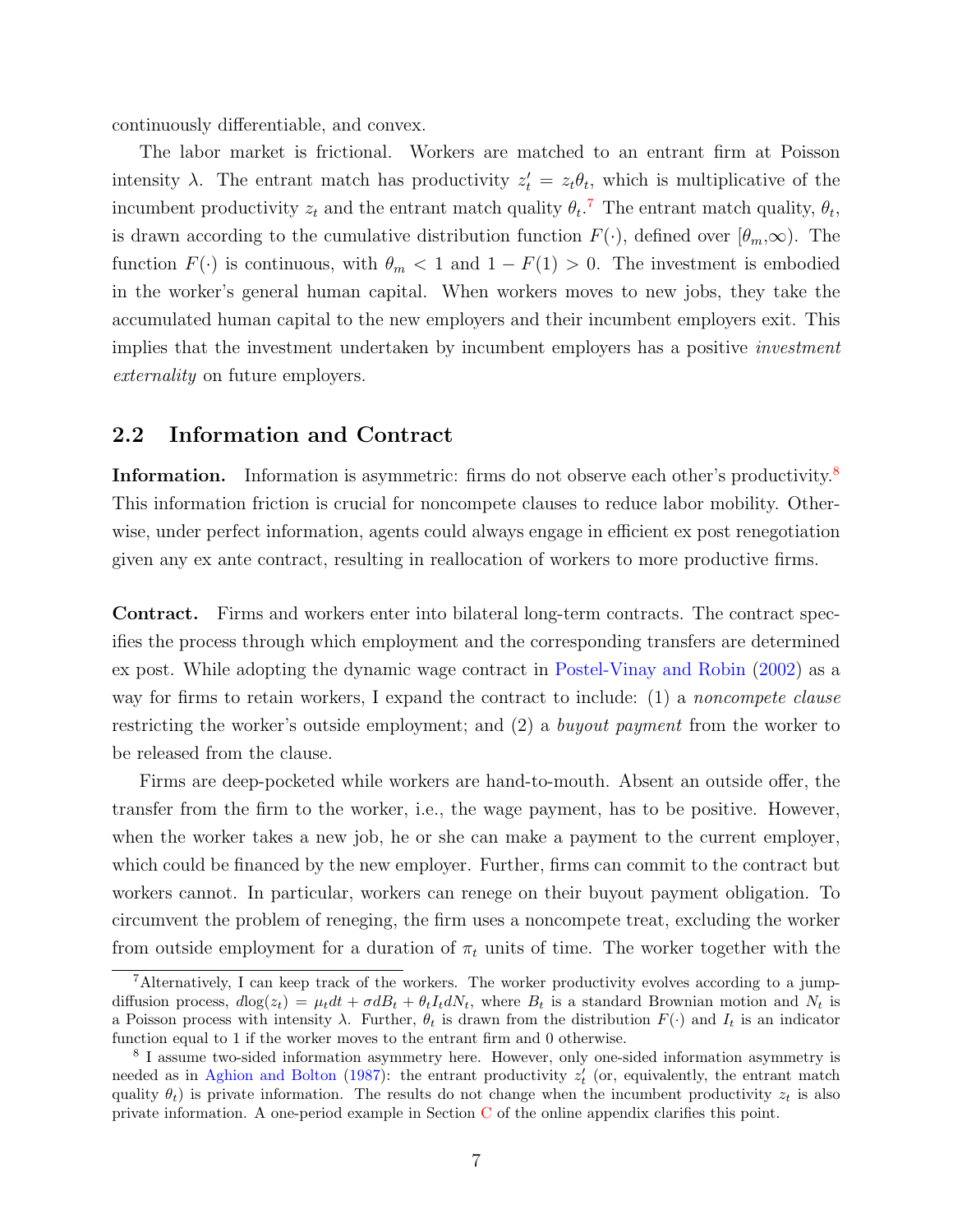continuously differentiable, and convex.

The labor market is frictional. Workers are matched to an entrant firm at Poisson intensity  $\lambda$ . The entrant match has productivity  $z_t' = z_t \theta_t$ , which is multiplicative of the incumbent productivity  $z_t$  and the entrant match quality  $\theta_t$ .<sup>7</sup> The entrant match quality,  $\theta_t$ , is drawn according to the cumulative distribution function  $F(\cdot)$ , defined over  $[\theta_m,\infty)$ . The function  $F(\cdot)$  is continuous, with  $\theta_m < 1$  and  $1 - F(1) > 0$ . The investment is embodied in the worker's general human capital. When workers moves to new jobs, they take the accumulated human capital to the new employers and their incumbent employers exit. This implies that the investment undertaken by incumbent employers has a positive *investment* externality on future employers.

#### 2.2 Information and Contract

Information. Information is asymmetric: firms do not observe each other's productivity.<sup>8</sup> This information friction is crucial for noncompete clauses to reduce labor mobility. Otherwise, under perfect information, agents could always engage in efficient ex post renegotiation given any ex ante contract, resulting in reallocation of workers to more productive firms.

Contract. Firms and workers enter into bilateral long-term contracts. The contract specifies the process through which employment and the corresponding transfers are determined ex post. While adopting the dynamic wage contract in Postel-Vinay and Robin (2002) as a way for firms to retain workers, I expand the contract to include: (1) a *noncompete clause* restricting the worker's outside employment; and (2) a buyout payment from the worker to be released from the clause.

Firms are deep-pocketed while workers are hand-to-mouth. Absent an outside offer, the transfer from the firm to the worker, i.e., the wage payment, has to be positive. However, when the worker takes a new job, he or she can make a payment to the current employer, which could be financed by the new employer. Further, firms can commit to the contract but workers cannot. In particular, workers can renege on their buyout payment obligation. To circumvent the problem of reneging, the firm uses a noncompete treat, excluding the worker from outside employment for a duration of  $\pi_t$  units of time. The worker together with the

<sup>7</sup>Alternatively, I can keep track of the workers. The worker productivity evolves according to a jumpdiffusion process,  $d\log(z_t) = \mu_t dt + \sigma dB_t + \theta_t I_t dN_t$ , where  $B_t$  is a standard Brownian motion and  $N_t$  is a Poisson process with intensity  $\lambda$ . Further,  $\theta_t$  is drawn from the distribution  $F(\cdot)$  and  $I_t$  is an indicator function equal to 1 if the worker moves to the entrant firm and 0 otherwise.

<sup>&</sup>lt;sup>8</sup> I assume two-sided information asymmetry here. However, only one-sided information asymmetry is needed as in Aghion and Bolton (1987): the entrant productivity  $z'_{t}$  (or, equivalently, the entrant match quality  $\theta_t$ ) is private information. The results do not change when the incumbent productivity  $z_t$  is also private information. A one-period example in Section C of the online appendix clarifies this point.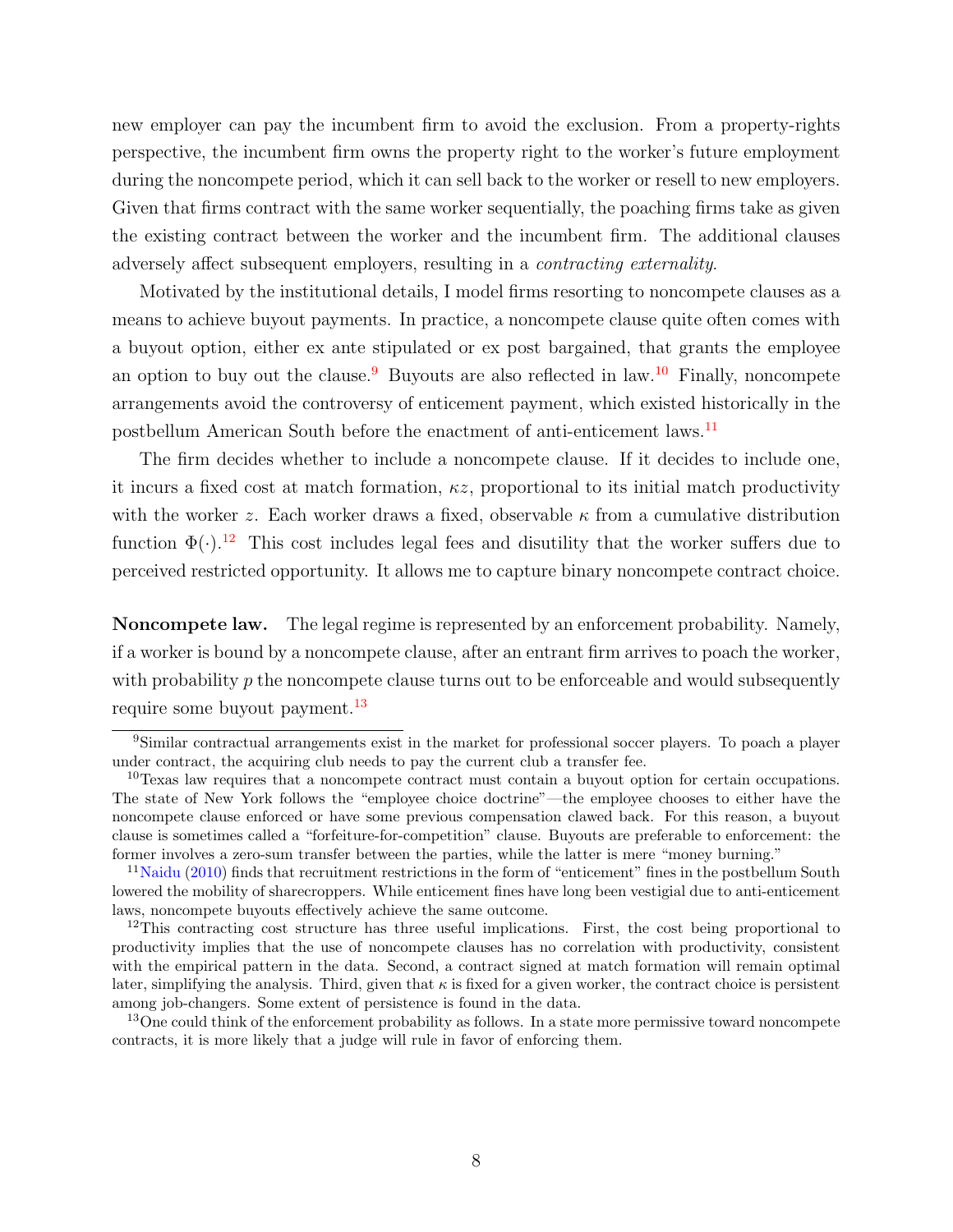new employer can pay the incumbent firm to avoid the exclusion. From a property-rights perspective, the incumbent firm owns the property right to the worker's future employment during the noncompete period, which it can sell back to the worker or resell to new employers. Given that firms contract with the same worker sequentially, the poaching firms take as given the existing contract between the worker and the incumbent firm. The additional clauses adversely affect subsequent employers, resulting in a contracting externality.

Motivated by the institutional details, I model firms resorting to noncompete clauses as a means to achieve buyout payments. In practice, a noncompete clause quite often comes with a buyout option, either ex ante stipulated or ex post bargained, that grants the employee an option to buy out the clause.<sup>9</sup> Buyouts are also reflected in law.<sup>10</sup> Finally, noncompete arrangements avoid the controversy of enticement payment, which existed historically in the postbellum American South before the enactment of anti-enticement laws.11

The firm decides whether to include a noncompete clause. If it decides to include one, it incurs a fixed cost at match formation,  $\kappa z$ , proportional to its initial match productivity with the worker z. Each worker draws a fixed, observable  $\kappa$  from a cumulative distribution function  $\Phi(\cdot)$ .<sup>12</sup> This cost includes legal fees and disutility that the worker suffers due to perceived restricted opportunity. It allows me to capture binary noncompete contract choice.

Noncompete law. The legal regime is represented by an enforcement probability. Namely, if a worker is bound by a noncompete clause, after an entrant firm arrives to poach the worker, with probability  $p$  the noncompete clause turns out to be enforceable and would subsequently require some buyout payment.<sup>13</sup>

<sup>9</sup>Similar contractual arrangements exist in the market for professional soccer players. To poach a player under contract, the acquiring club needs to pay the current club a transfer fee.

 $10$ Texas law requires that a noncompete contract must contain a buyout option for certain occupations. The state of New York follows the "employee choice doctrine"—the employee chooses to either have the noncompete clause enforced or have some previous compensation clawed back. For this reason, a buyout clause is sometimes called a "forfeiture-for-competition" clause. Buyouts are preferable to enforcement: the former involves a zero-sum transfer between the parties, while the latter is mere "money burning."

 $11$ Naidu (2010) finds that recruitment restrictions in the form of "enticement" fines in the postbellum South lowered the mobility of sharecroppers. While enticement fines have long been vestigial due to anti-enticement laws, noncompete buyouts effectively achieve the same outcome.

 $12$ This contracting cost structure has three useful implications. First, the cost being proportional to productivity implies that the use of noncompete clauses has no correlation with productivity, consistent with the empirical pattern in the data. Second, a contract signed at match formation will remain optimal later, simplifying the analysis. Third, given that  $\kappa$  is fixed for a given worker, the contract choice is persistent among job-changers. Some extent of persistence is found in the data.

<sup>&</sup>lt;sup>13</sup>One could think of the enforcement probability as follows. In a state more permissive toward noncompete contracts, it is more likely that a judge will rule in favor of enforcing them.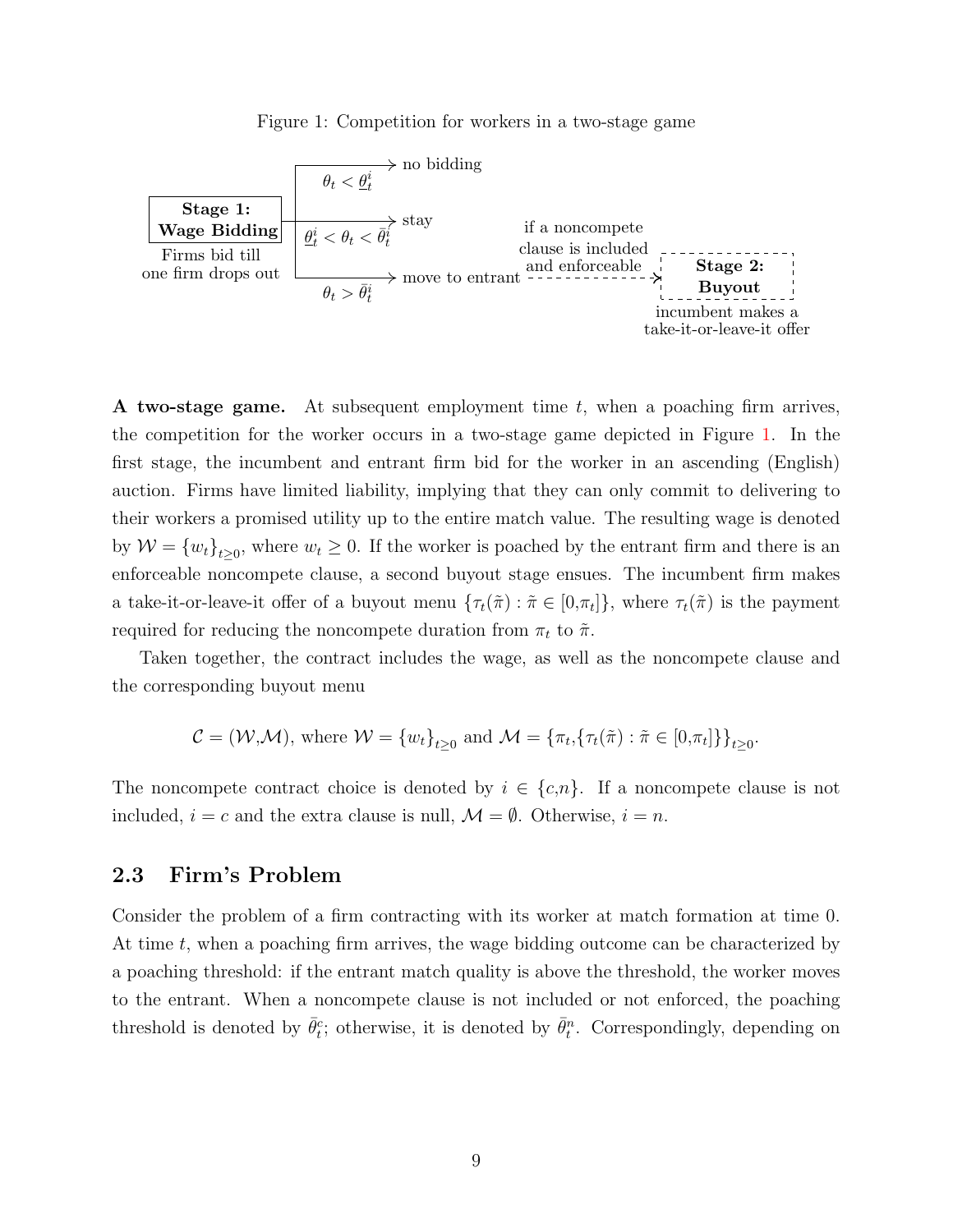Figure 1: Competition for workers in a two-stage game



**A two-stage game.** At subsequent employment time  $t$ , when a poaching firm arrives, the competition for the worker occurs in a two-stage game depicted in Figure 1. In the first stage, the incumbent and entrant firm bid for the worker in an ascending (English) auction. Firms have limited liability, implying that they can only commit to delivering to their workers a promised utility up to the entire match value. The resulting wage is denoted by  $W = \{w_t\}_{t>0}$ , where  $w_t \geq 0$ . If the worker is poached by the entrant firm and there is an enforceable noncompete clause, a second buyout stage ensues. The incumbent firm makes a take-it-or-leave-it offer of a buyout menu  $\{\tau_t(\tilde{\pi}) : \tilde{\pi} \in [0,\pi_t]\}$ , where  $\tau_t(\tilde{\pi})$  is the payment required for reducing the noncompete duration from  $\pi_t$  to  $\tilde{\pi}$ .

Taken together, the contract includes the wage, as well as the noncompete clause and the corresponding buyout menu

$$
\mathcal{C} = (\mathcal{W}, \mathcal{M}), \text{ where } \mathcal{W} = \{w_t\}_{t \geq 0} \text{ and } \mathcal{M} = \{\pi_t, \{\tau_t(\tilde{\pi}) : \tilde{\pi} \in [0, \pi_t]\}\}_{t \geq 0}.
$$

The noncompete contract choice is denoted by  $i \in \{c, n\}$ . If a noncompete clause is not included,  $i = c$  and the extra clause is null,  $\mathcal{M} = \emptyset$ . Otherwise,  $i = n$ .

#### 2.3 Firm's Problem

Consider the problem of a firm contracting with its worker at match formation at time 0. At time  $t$ , when a poaching firm arrives, the wage bidding outcome can be characterized by a poaching threshold: if the entrant match quality is above the threshold, the worker moves to the entrant. When a noncompete clause is not included or not enforced, the poaching threshold is denoted by  $\bar{\theta}_t^c$ ; otherwise, it is denoted by  $\bar{\theta}_t^n$ . Correspondingly, depending on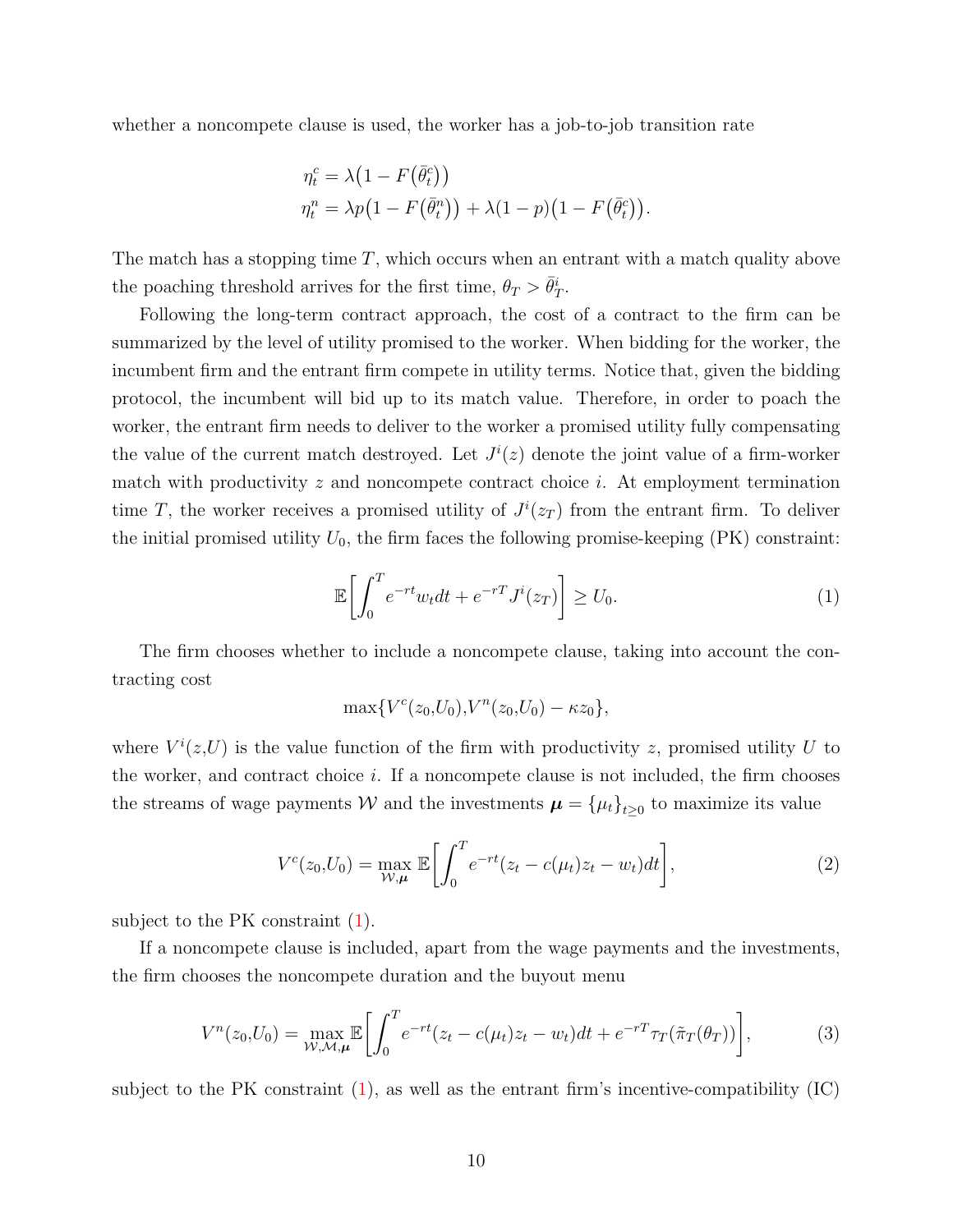whether a noncompete clause is used, the worker has a job-to-job transition rate

$$
\eta_t^c = \lambda \left( 1 - F\left(\bar{\theta}_t^c\right) \right)
$$
  

$$
\eta_t^n = \lambda p \left( 1 - F\left(\bar{\theta}_t^n\right) \right) + \lambda \left( 1 - p \right) \left( 1 - F\left(\bar{\theta}_t^c\right) \right).
$$

The match has a stopping time  $T$ , which occurs when an entrant with a match quality above the poaching threshold arrives for the first time,  $\theta_T > \bar{\theta}_T^i$ .

Following the long-term contract approach, the cost of a contract to the firm can be summarized by the level of utility promised to the worker. When bidding for the worker, the incumbent firm and the entrant firm compete in utility terms. Notice that, given the bidding protocol, the incumbent will bid up to its match value. Therefore, in order to poach the worker, the entrant firm needs to deliver to the worker a promised utility fully compensating the value of the current match destroyed. Let  $J^{i}(z)$  denote the joint value of a firm-worker match with productivity  $z$  and noncompete contract choice  $i$ . At employment termination time T, the worker receives a promised utility of  $J^{i}(z_T)$  from the entrant firm. To deliver the initial promised utility  $U_0$ , the firm faces the following promise-keeping (PK) constraint:

$$
\mathbb{E}\left[\int_0^T e^{-rt}w_t dt + e^{-r} J^i(z_T)\right] \ge U_0.
$$
\n(1)

The firm chooses whether to include a noncompete clause, taking into account the contracting cost

$$
\max\{V^c(z_0,U_0),V^n(z_0,U_0)-\kappa z_0\},\
$$

where  $V^{i}(z,U)$  is the value function of the firm with productivity z, promised utility U to the worker, and contract choice  $i$ . If a noncompete clause is not included, the firm chooses the streams of wage payments  $W$  and the investments  $\boldsymbol{\mu} = {\{\mu_t\}}_{t\geq 0}$  to maximize its value

$$
V^{c}(z_0, U_0) = \max_{W, \mu} \mathbb{E} \left[ \int_0^T e^{-rt} (z_t - c(\mu_t)z_t - w_t) dt \right],
$$
 (2)

subject to the PK constraint (1).

If a noncompete clause is included, apart from the wage payments and the investments, the firm chooses the noncompete duration and the buyout menu

$$
V^{n}(z_{0},U_{0}) = \max_{\mathcal{W},\mathcal{M},\mu} \mathbb{E}\bigg[\int_{0}^{T} e^{-rt}(z_{t} - c(\mu_{t})z_{t} - w_{t})dt + e^{-rT}\tau_{T}(\tilde{\pi}_{T}(\theta_{T}))\bigg],
$$
(3)

subject to the PK constraint  $(1)$ , as well as the entrant firm's incentive-compatibility  $(IC)$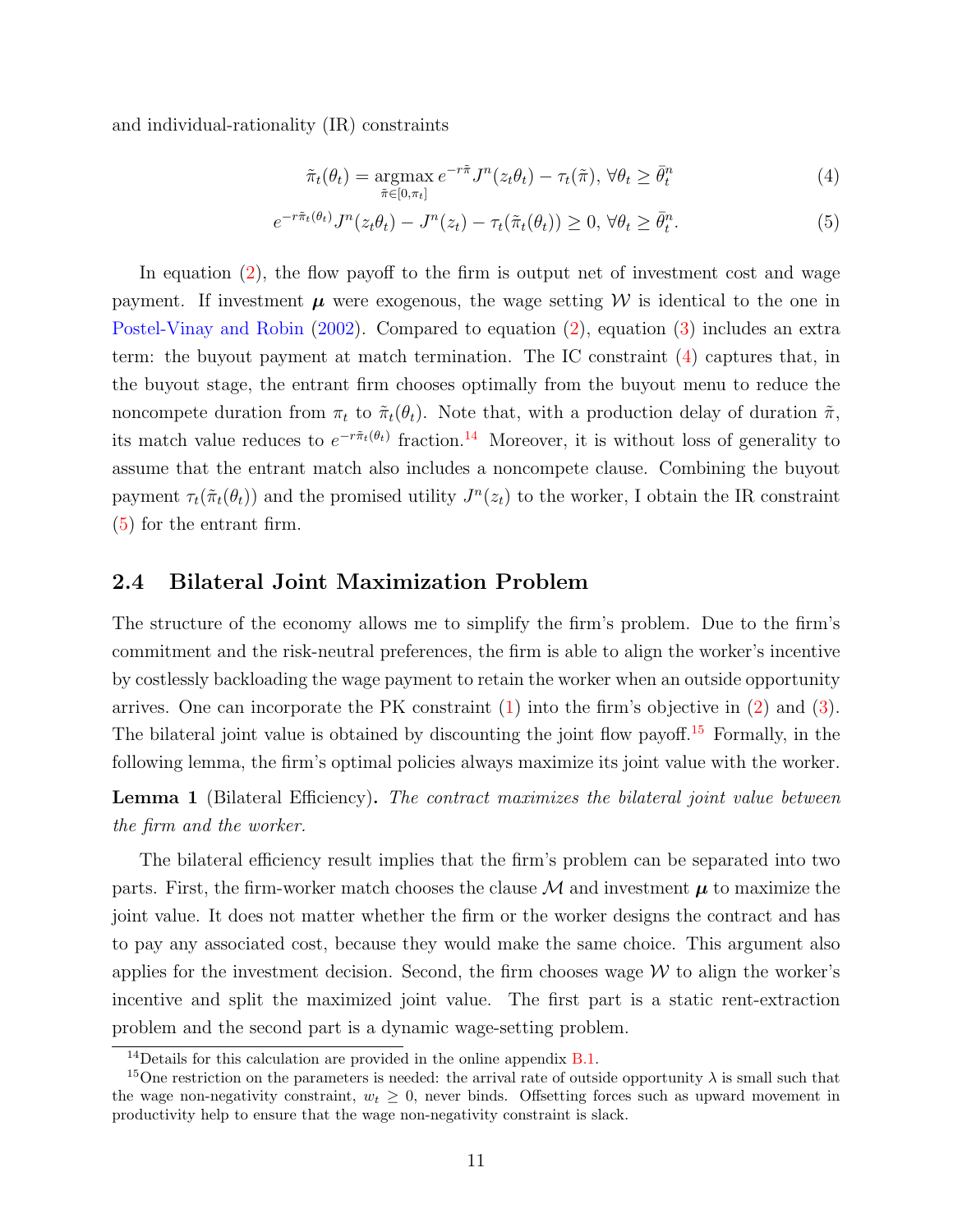and individual-rationality (IR) constraints

$$
\tilde{\pi}_t(\theta_t) = \underset{\tilde{\pi} \in [0,\pi_t]}{\operatorname{argmax}} e^{-r\tilde{\pi}} J^n(z_t \theta_t) - \tau_t(\tilde{\pi}), \,\forall \theta_t \ge \bar{\theta}_t^n \tag{4}
$$

$$
e^{-r\tilde{\pi}_t(\theta_t)}J^n(z_t\theta_t) - J^n(z_t) - \tau_t(\tilde{\pi}_t(\theta_t)) \ge 0, \,\forall \theta_t \ge \bar{\theta}_t^n. \tag{5}
$$

In equation (2), the flow payoff to the firm is output net of investment cost and wage payment. If investment  $\mu$  were exogenous, the wage setting W is identical to the one in Postel-Vinay and Robin (2002). Compared to equation (2), equation (3) includes an extra term: the buyout payment at match termination. The IC constraint (4) captures that, in the buyout stage, the entrant firm chooses optimally from the buyout menu to reduce the noncompete duration from  $\pi_t$  to  $\tilde{\pi}_t(\theta_t)$ . Note that, with a production delay of duration  $\tilde{\pi}$ , its match value reduces to  $e^{-r\tilde{\pi}_t(\theta_t)}$  fraction.<sup>14</sup> Moreover, it is without loss of generality to assume that the entrant match also includes a noncompete clause. Combining the buyout payment  $\tau_t(\tilde{\pi}_t(\theta_t))$  and the promised utility  $J^n(z_t)$  to the worker, I obtain the IR constraint (5) for the entrant firm.

#### 2.4 Bilateral Joint Maximization Problem

The structure of the economy allows me to simplify the firm's problem. Due to the firm's commitment and the risk-neutral preferences, the firm is able to align the worker's incentive by costlessly backloading the wage payment to retain the worker when an outside opportunity arrives. One can incorporate the PK constraint (1) into the firm's objective in (2) and (3). The bilateral joint value is obtained by discounting the joint flow payoff.<sup>15</sup> Formally, in the following lemma, the firm's optimal policies always maximize its joint value with the worker.

**Lemma 1** (Bilateral Efficiency). The contract maximizes the bilateral joint value between the firm and the worker.

The bilateral efficiency result implies that the firm's problem can be separated into two parts. First, the firm-worker match chooses the clause  $\mathcal M$  and investment  $\mu$  to maximize the joint value. It does not matter whether the firm or the worker designs the contract and has to pay any associated cost, because they would make the same choice. This argument also applies for the investment decision. Second, the firm chooses wage  $W$  to align the worker's incentive and split the maximized joint value. The first part is a static rent-extraction problem and the second part is a dynamic wage-setting problem.

<sup>&</sup>lt;sup>14</sup>Details for this calculation are provided in the online appendix **B.1**.

<sup>&</sup>lt;sup>15</sup>One restriction on the parameters is needed: the arrival rate of outside opportunity  $\lambda$  is small such that the wage non-negativity constraint,  $w_t \geq 0$ , never binds. Offsetting forces such as upward movement in productivity help to ensure that the wage non-negativity constraint is slack.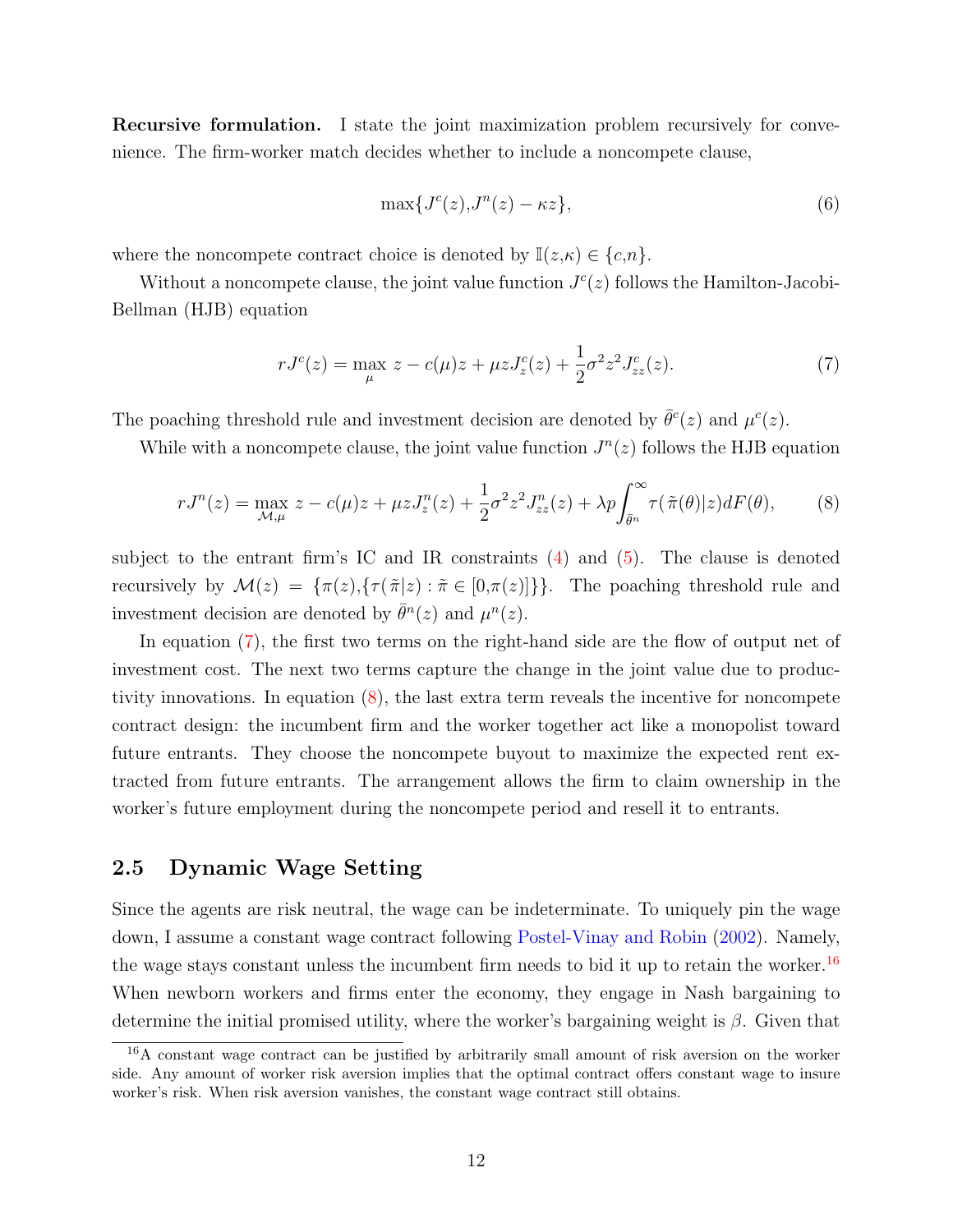Recursive formulation. I state the joint maximization problem recursively for convenience. The firm-worker match decides whether to include a noncompete clause,

$$
\max\{J^c(z), J^n(z) - \kappa z\},\tag{6}
$$

where the noncompete contract choice is denoted by  $\mathbb{I}(z,\kappa) \in \{c,n\}.$ 

Without a noncompete clause, the joint value function  $J<sup>c</sup>(z)$  follows the Hamilton-Jacobi-Bellman (HJB) equation

$$
rJ^{c}(z) = \max_{\mu} z - c(\mu)z + \mu z J_{z}^{c}(z) + \frac{1}{2}\sigma^{2} z^{2} J_{zz}^{c}(z).
$$
\n(7)

The poaching threshold rule and investment decision are denoted by  $\bar{\theta}^c(z)$  and  $\mu^c(z)$ .

While with a noncompete clause, the joint value function  $J<sup>n</sup>(z)$  follows the HJB equation

$$
rJ^{n}(z) = \max_{\mathcal{M},\mu} z - c(\mu)z + \mu z J_{z}^{n}(z) + \frac{1}{2}\sigma^{2} z^{2} J_{zz}^{n}(z) + \lambda p \int_{\bar{\theta}^{n}}^{\infty} \tau(\tilde{\pi}(\theta)|z) dF(\theta), \qquad (8)
$$

subject to the entrant firm's IC and IR constraints  $(4)$  and  $(5)$ . The clause is denoted recursively by  $\mathcal{M}(z) = {\pi(z), {\tau(\tilde{\pi}|z) : \tilde{\pi} \in [0, \pi(z)]}}$ . The poaching threshold rule and investment decision are denoted by  $\bar{\theta}^n(z)$  and  $\mu^n(z)$ .

In equation (7), the first two terms on the right-hand side are the flow of output net of investment cost. The next two terms capture the change in the joint value due to productivity innovations. In equation (8), the last extra term reveals the incentive for noncompete contract design: the incumbent firm and the worker together act like a monopolist toward future entrants. They choose the noncompete buyout to maximize the expected rent extracted from future entrants. The arrangement allows the firm to claim ownership in the worker's future employment during the noncompete period and resell it to entrants.

#### 2.5 Dynamic Wage Setting

Since the agents are risk neutral, the wage can be indeterminate. To uniquely pin the wage down, I assume a constant wage contract following Postel-Vinay and Robin (2002). Namely, the wage stays constant unless the incumbent firm needs to bid it up to retain the worker.<sup>16</sup> When newborn workers and firms enter the economy, they engage in Nash bargaining to determine the initial promised utility, where the worker's bargaining weight is  $\beta$ . Given that

<sup>16</sup>A constant wage contract can be justified by arbitrarily small amount of risk aversion on the worker side. Any amount of worker risk aversion implies that the optimal contract offers constant wage to insure worker's risk. When risk aversion vanishes, the constant wage contract still obtains.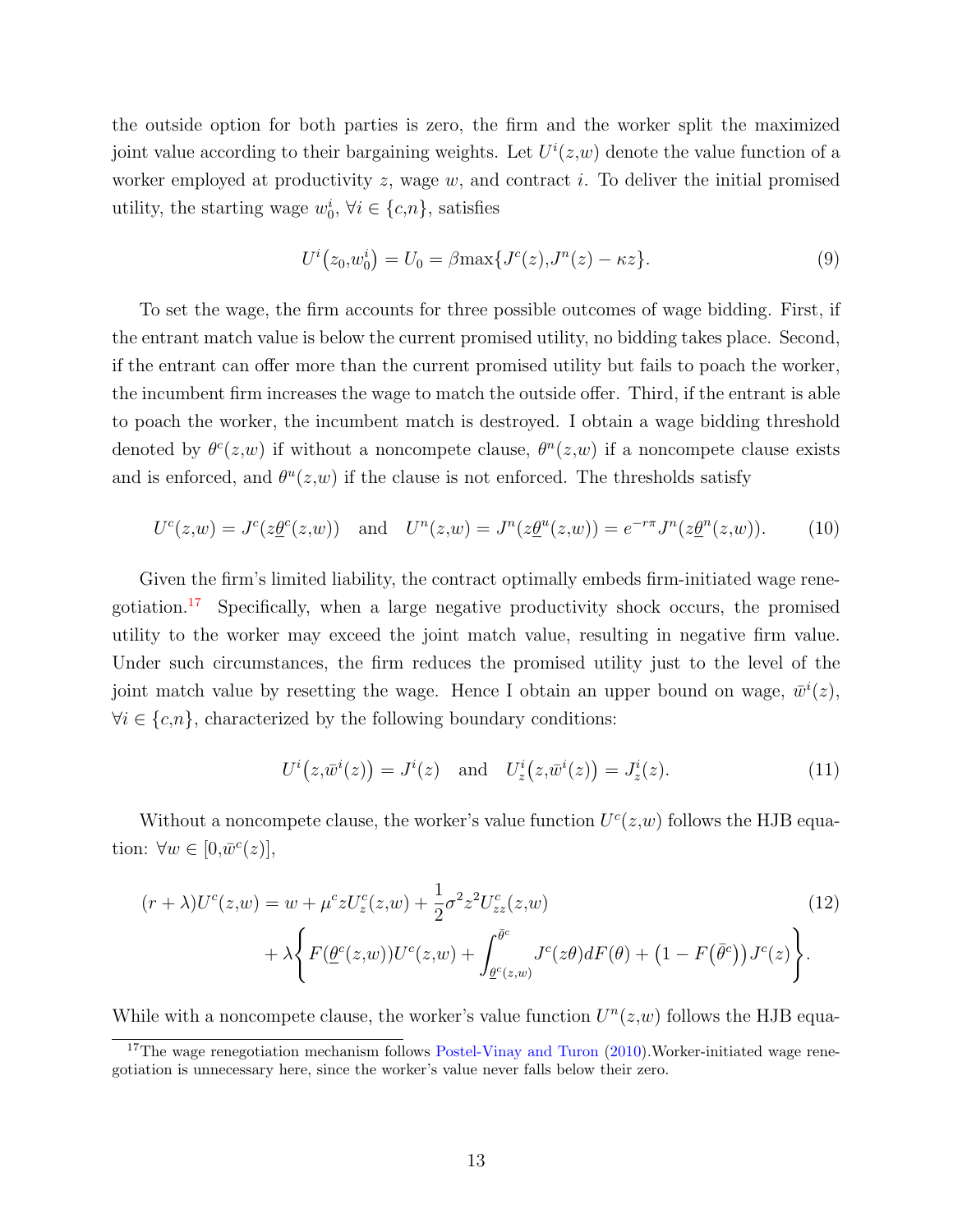the outside option for both parties is zero, the firm and the worker split the maximized joint value according to their bargaining weights. Let  $U^{i}(z,w)$  denote the value function of a worker employed at productivity  $z$ , wage  $w$ , and contract  $i$ . To deliver the initial promised utility, the starting wage  $w_0^i$ ,  $\forall i \in \{c, n\}$ , satisfies

$$
U^{i}(z_0, w_0^{i}) = U_0 = \beta \max\{J^{c}(z), J^{n}(z) - \kappa z\}.
$$
\n(9)

To set the wage, the firm accounts for three possible outcomes of wage bidding. First, if the entrant match value is below the current promised utility, no bidding takes place. Second, if the entrant can offer more than the current promised utility but fails to poach the worker, the incumbent firm increases the wage to match the outside offer. Third, if the entrant is able to poach the worker, the incumbent match is destroyed. I obtain a wage bidding threshold denoted by  $\theta^c(z,w)$  if without a noncompete clause,  $\theta^u(z,w)$  if a noncompete clause exists and is enforced, and  $\theta^u(z,w)$  if the clause is not enforced. The thresholds satisfy

$$
U^{c}(z,w) = J^{c}(z \underline{\theta}^{c}(z,w)) \text{ and } U^{n}(z,w) = J^{n}(z \underline{\theta}^{u}(z,w)) = e^{-r\pi} J^{n}(z \underline{\theta}^{n}(z,w)). \tag{10}
$$

Given the firm's limited liability, the contract optimally embeds firm-initiated wage renegotiation.17 Specifically, when a large negative productivity shock occurs, the promised utility to the worker may exceed the joint match value, resulting in negative firm value. Under such circumstances, the firm reduces the promised utility just to the level of the joint match value by resetting the wage. Hence I obtain an upper bound on wage,  $\bar{w}^i(z)$ ,  $\forall i \in \{c, n\}$ , characterized by the following boundary conditions:

$$
U^{i}(z,\bar{w}^{i}(z)) = J^{i}(z) \text{ and } U^{i}_{z}(z,\bar{w}^{i}(z)) = J^{i}_{z}(z). \qquad (11)
$$

Without a noncompete clause, the worker's value function  $U<sup>c</sup>(z,w)$  follows the HJB equation:  $\forall w \in [0, \bar{w}^c(z)],$ 

$$
(r + \lambda)U^{c}(z, w) = w + \mu^{c}zU_{z}^{c}(z, w) + \frac{1}{2}\sigma^{2}z^{2}U_{zz}^{c}(z, w)
$$
  
+  $\lambda \left\{ F(\underline{\theta}^{c}(z, w))U^{c}(z, w) + \int_{\underline{\theta}^{c}(z, w)}^{ \bar{\theta}^{c}} J^{c}(z\theta)dF(\theta) + (1 - F(\bar{\theta}^{c}))J^{c}(z) \right\}.$  (12)

While with a noncompete clause, the worker's value function  $U^{n}(z,w)$  follows the HJB equa-

<sup>&</sup>lt;sup>17</sup>The wage renegotiation mechanism follows Postel-Vinay and Turon  $(2010)$ . Worker-initiated wage renegotiation is unnecessary here, since the worker's value never falls below their zero.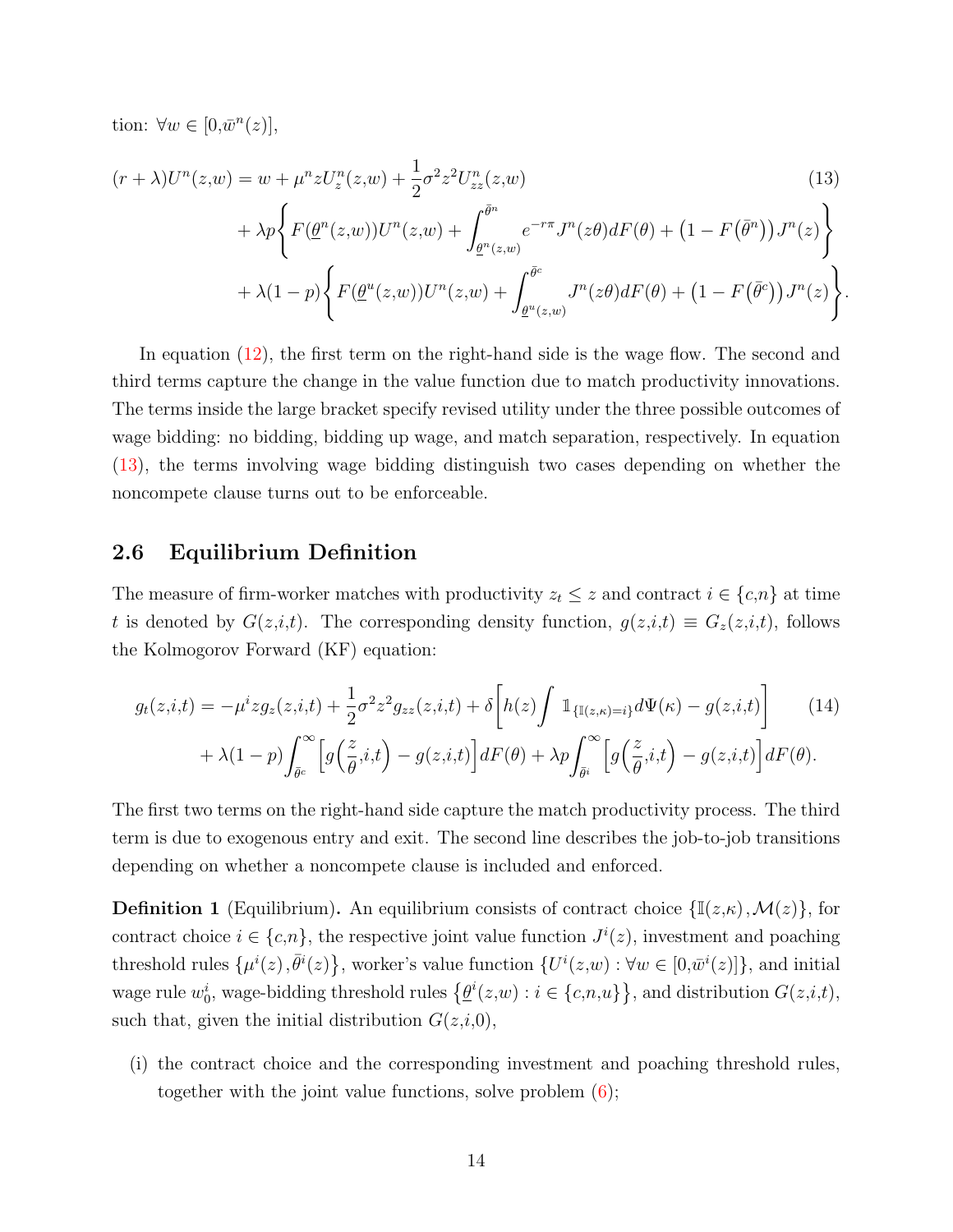tion:  $\forall w \in [0, \bar{w}^n(z)],$ 

$$
(r + \lambda)U^{n}(z, w) = w + \mu^{n} z U_{z}^{n}(z, w) + \frac{1}{2} \sigma^{2} z^{2} U_{zz}^{n}(z, w)
$$
\n
$$
+ \lambda p \left\{ F(\underline{\theta}^{n}(z, w)) U^{n}(z, w) + \int_{\underline{\theta}^{n}(z, w)}^{\bar{\theta}^{n}} e^{-r\pi} J^{n}(z\theta) dF(\theta) + (1 - F(\bar{\theta}^{n})) J^{n}(z) \right\}
$$
\n
$$
+ \lambda (1 - p) \left\{ F(\underline{\theta}^{u}(z, w)) U^{n}(z, w) + \int_{\underline{\theta}^{u}(z, w)}^{\bar{\theta}^{c}} J^{n}(z\theta) dF(\theta) + (1 - F(\bar{\theta}^{c})) J^{n}(z) \right\}
$$
\n(13)

.

In equation (12), the first term on the right-hand side is the wage flow. The second and third terms capture the change in the value function due to match productivity innovations. The terms inside the large bracket specify revised utility under the three possible outcomes of wage bidding: no bidding, bidding up wage, and match separation, respectively. In equation (13), the terms involving wage bidding distinguish two cases depending on whether the noncompete clause turns out to be enforceable.

#### 2.6 Equilibrium Definition

The measure of firm-worker matches with productivity  $z_t \leq z$  and contract  $i \in \{c, n\}$  at time t is denoted by  $G(z,i,t)$ . The corresponding density function,  $g(z,i,t) \equiv G_z(z,i,t)$ , follows the Kolmogorov Forward (KF) equation:

$$
g_t(z,i,t) = -\mu^i z g_z(z,i,t) + \frac{1}{2}\sigma^2 z^2 g_{zz}(z,i,t) + \delta \left[ h(z) \int \mathbb{1}_{\{\mathbb{I}(z,\kappa)=i\}} d\Psi(\kappa) - g(z,i,t) \right] \tag{14}
$$

$$
+ \lambda (1-p) \int_{\bar{\theta}^c}^{\infty} \left[ g\left(\frac{z}{\theta},i,t\right) - g(z,i,t) \right] dF(\theta) + \lambda p \int_{\bar{\theta}^i}^{\infty} \left[ g\left(\frac{z}{\theta},i,t\right) - g(z,i,t) \right] dF(\theta).
$$

The first two terms on the right-hand side capture the match productivity process. The third term is due to exogenous entry and exit. The second line describes the job-to-job transitions depending on whether a noncompete clause is included and enforced.

**Definition 1** (Equilibrium). An equilibrium consists of contract choice  $\{\mathbb{I}(z,\kappa),\mathcal{M}(z)\}\)$ , for contract choice  $i \in \{c, n\}$ , the respective joint value function  $J^{i}(z)$ , investment and poaching threshold rules  $\{\mu^{i}(z), \bar{\theta}^{i}(z)\}\$ , worker's value function  $\{U^{i}(z,w): \forall w \in [0,\bar{w}^{i}(z)]\}\$ , and initial wage rule  $w_0^i$ , wage-bidding threshold rules  $\{\underline{\theta}^i(z,w): i \in \{c,n,u\}\}\$ , and distribution  $G(z,i,t)$ , such that, given the initial distribution  $G(z,i,0)$ ,

(i) the contract choice and the corresponding investment and poaching threshold rules, together with the joint value functions, solve problem (6);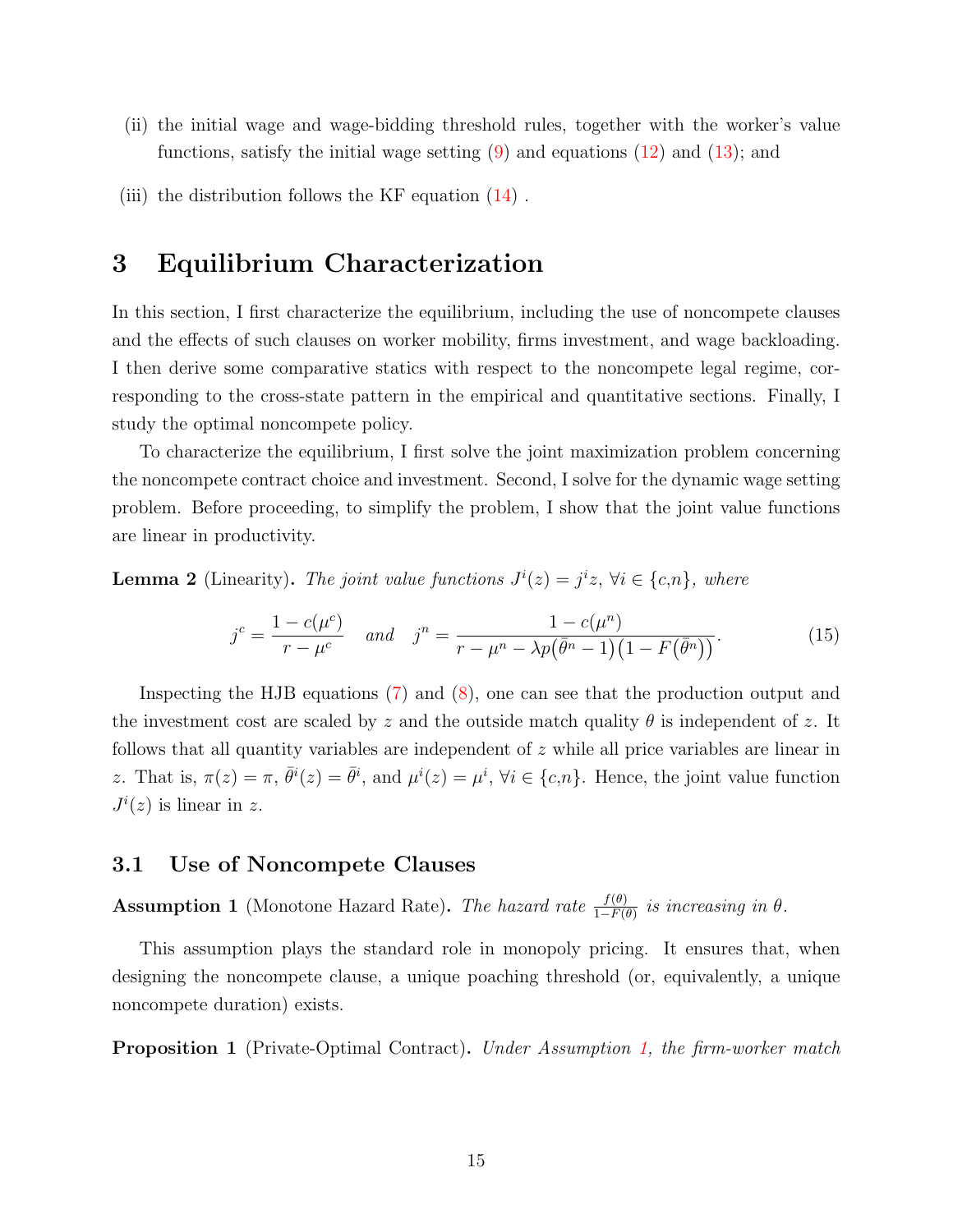- (ii) the initial wage and wage-bidding threshold rules, together with the worker's value functions, satisfy the initial wage setting  $(9)$  and equations  $(12)$  and  $(13)$ ; and
- (iii) the distribution follows the KF equation  $(14)$ .

## 3 Equilibrium Characterization

In this section, I first characterize the equilibrium, including the use of noncompete clauses and the effects of such clauses on worker mobility, firms investment, and wage backloading. I then derive some comparative statics with respect to the noncompete legal regime, corresponding to the cross-state pattern in the empirical and quantitative sections. Finally, I study the optimal noncompete policy.

To characterize the equilibrium, I first solve the joint maximization problem concerning the noncompete contract choice and investment. Second, I solve for the dynamic wage setting problem. Before proceeding, to simplify the problem, I show that the joint value functions are linear in productivity.

**Lemma 2** (Linearity). The joint value functions  $J^{i}(z) = j^{i}z$ ,  $\forall i \in \{c,n\}$ , where

$$
j^{c} = \frac{1 - c(\mu^{c})}{r - \mu^{c}} \quad and \quad j^{n} = \frac{1 - c(\mu^{n})}{r - \mu^{n} - \lambda p(\bar{\theta}^{n} - 1)(1 - F(\bar{\theta}^{n}))}. \tag{15}
$$

Inspecting the HJB equations (7) and (8), one can see that the production output and the investment cost are scaled by z and the outside match quality  $\theta$  is independent of z. It follows that all quantity variables are independent of z while all price variables are linear in z. That is,  $\pi(z) = \pi$ ,  $\bar{\theta}^i(z) = \bar{\theta}^i$ , and  $\mu^i(z) = \mu^i$ ,  $\forall i \in \{c, n\}$ . Hence, the joint value function  $J^i(z)$  is linear in z.

#### 3.1 Use of Noncompete Clauses

**Assumption 1** (Monotone Hazard Rate). The hazard rate  $\frac{f(\theta)}{1-F(\theta)}$  is increasing in  $\theta$ .

This assumption plays the standard role in monopoly pricing. It ensures that, when designing the noncompete clause, a unique poaching threshold (or, equivalently, a unique noncompete duration) exists.

**Proposition 1** (Private-Optimal Contract). Under Assumption 1, the firm-worker match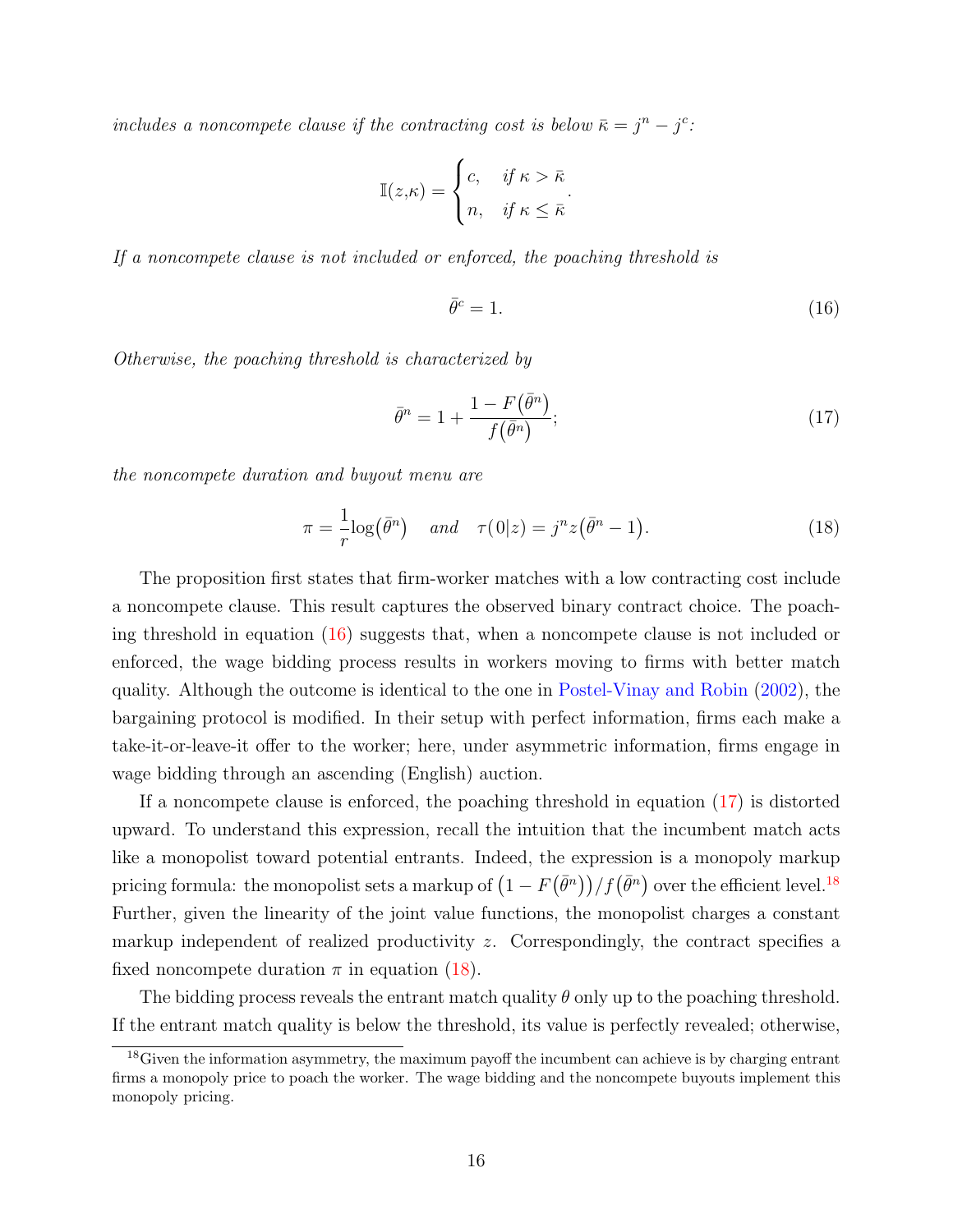includes a noncompete clause if the contracting cost is below  $\bar{\kappa} = j^n - j^c$ .

$$
\mathbb{I}(z,\kappa) = \begin{cases} c, & \text{if } \kappa > \bar{\kappa} \\ n, & \text{if } \kappa \leq \bar{\kappa} \end{cases}.
$$

If a noncompete clause is not included or enforced, the poaching threshold is

$$
\bar{\theta}^c = 1. \tag{16}
$$

Otherwise, the poaching threshold is characterized by

$$
\bar{\theta}^n = 1 + \frac{1 - F(\bar{\theta}^n)}{f(\bar{\theta}^n)};
$$
\n(17)

the noncompete duration and buyout menu are

$$
\pi = \frac{1}{r} \log(\bar{\theta}^n) \quad and \quad \tau(0|z) = j^n z(\bar{\theta}^n - 1). \tag{18}
$$

The proposition first states that firm-worker matches with a low contracting cost include a noncompete clause. This result captures the observed binary contract choice. The poaching threshold in equation (16) suggests that, when a noncompete clause is not included or enforced, the wage bidding process results in workers moving to firms with better match quality. Although the outcome is identical to the one in Postel-Vinay and Robin (2002), the bargaining protocol is modified. In their setup with perfect information, firms each make a take-it-or-leave-it offer to the worker; here, under asymmetric information, firms engage in wage bidding through an ascending (English) auction.

If a noncompete clause is enforced, the poaching threshold in equation (17) is distorted upward. To understand this expression, recall the intuition that the incumbent match acts like a monopolist toward potential entrants. Indeed, the expression is a monopoly markup pricing formula: the monopolist sets a markup of  $(1 - F(\bar{\theta}^n))/f(\bar{\theta}^n)$  over the efficient level.<sup>18</sup> Further, given the linearity of the joint value functions, the monopolist charges a constant markup independent of realized productivity  $z$ . Correspondingly, the contract specifies a fixed noncompete duration  $\pi$  in equation (18).

The bidding process reveals the entrant match quality  $\theta$  only up to the poaching threshold. If the entrant match quality is below the threshold, its value is perfectly revealed; otherwise,

<sup>&</sup>lt;sup>18</sup>Given the information asymmetry, the maximum payoff the incumbent can achieve is by charging entrant firms a monopoly price to poach the worker. The wage bidding and the noncompete buyouts implement this monopoly pricing.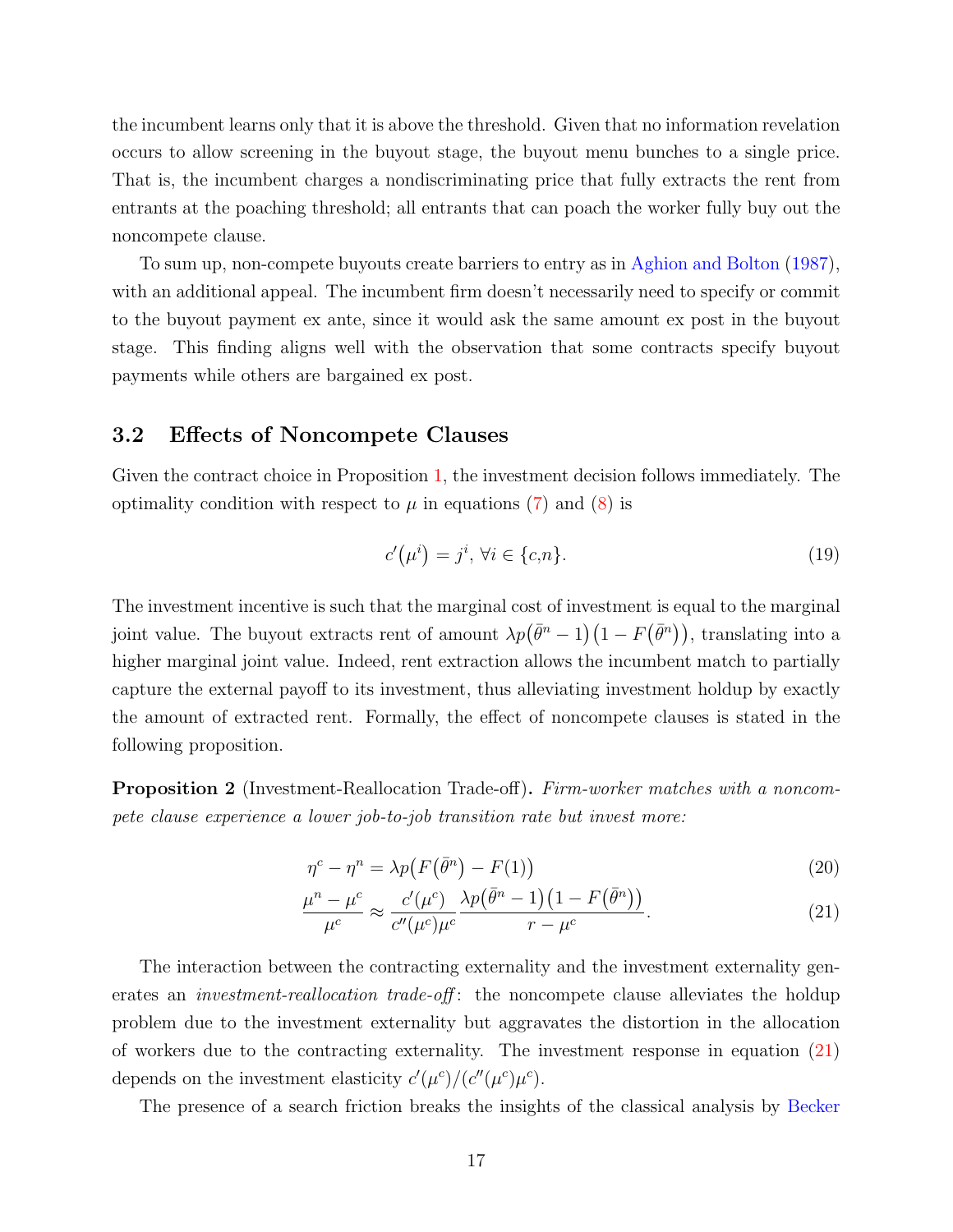the incumbent learns only that it is above the threshold. Given that no information revelation occurs to allow screening in the buyout stage, the buyout menu bunches to a single price. That is, the incumbent charges a nondiscriminating price that fully extracts the rent from entrants at the poaching threshold; all entrants that can poach the worker fully buy out the noncompete clause.

To sum up, non-compete buyouts create barriers to entry as in Aghion and Bolton (1987), with an additional appeal. The incumbent firm doesn't necessarily need to specify or commit to the buyout payment ex ante, since it would ask the same amount ex post in the buyout stage. This finding aligns well with the observation that some contracts specify buyout payments while others are bargained ex post.

#### 3.2 Effects of Noncompete Clauses

Given the contract choice in Proposition 1, the investment decision follows immediately. The optimality condition with respect to  $\mu$  in equations (7) and (8) is

$$
c'(\mu^i) = j^i, \forall i \in \{c, n\}.
$$
\n
$$
(19)
$$

The investment incentive is such that the marginal cost of investment is equal to the marginal joint value. The buyout extracts rent of amount  $\lambda p(\bar{\theta}^n-1)(1-F(\bar{\theta}^n))$ , translating into a higher marginal joint value. Indeed, rent extraction allows the incumbent match to partially capture the external payoff to its investment, thus alleviating investment holdup by exactly the amount of extracted rent. Formally, the effect of noncompete clauses is stated in the following proposition.

**Proposition 2** (Investment-Reallocation Trade-off). Firm-worker matches with a noncompete clause experience a lower job-to-job transition rate but invest more:

$$
\eta^c - \eta^n = \lambda p \big( F(\bar{\theta}^n) - F(1) \big) \tag{20}
$$

$$
\frac{\mu^n - \mu^c}{\mu^c} \approx \frac{c'(\mu^c)}{c''(\mu^c)\mu^c} \frac{\lambda p(\bar{\theta}^n - 1)(1 - F(\bar{\theta}^n))}{r - \mu^c}.
$$
\n(21)

The interaction between the contracting externality and the investment externality generates an *investment-reallocation trade-off*: the noncompete clause alleviates the holdup problem due to the investment externality but aggravates the distortion in the allocation of workers due to the contracting externality. The investment response in equation (21) depends on the investment elasticity  $c'(\mu^c)/(c''(\mu^c)\mu^c)$ .

The presence of a search friction breaks the insights of the classical analysis by Becker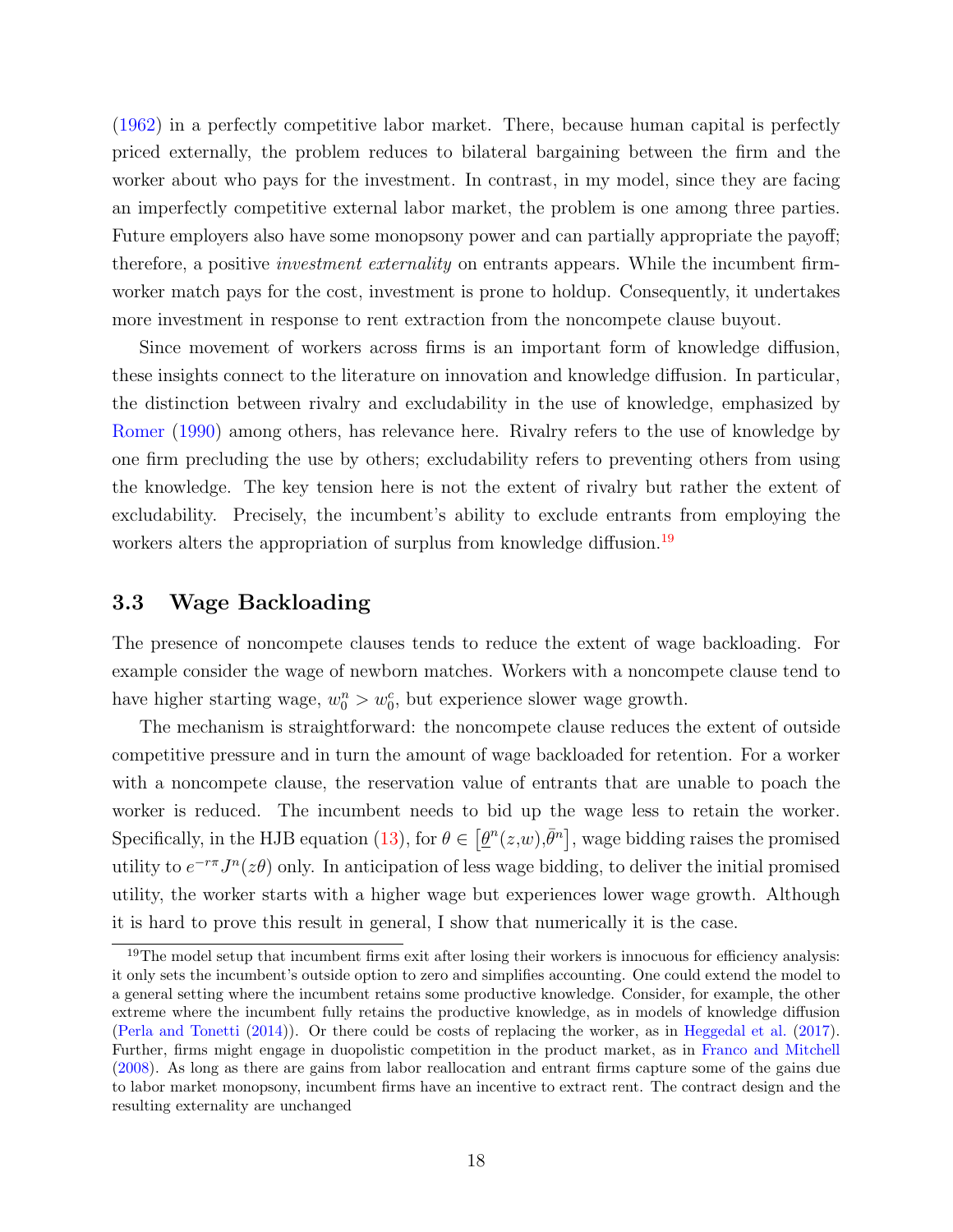(1962) in a perfectly competitive labor market. There, because human capital is perfectly priced externally, the problem reduces to bilateral bargaining between the firm and the worker about who pays for the investment. In contrast, in my model, since they are facing an imperfectly competitive external labor market, the problem is one among three parties. Future employers also have some monopsony power and can partially appropriate the payoff; therefore, a positive *investment externality* on entrants appears. While the incumbent firmworker match pays for the cost, investment is prone to holdup. Consequently, it undertakes more investment in response to rent extraction from the noncompete clause buyout.

Since movement of workers across firms is an important form of knowledge diffusion, these insights connect to the literature on innovation and knowledge diffusion. In particular, the distinction between rivalry and excludability in the use of knowledge, emphasized by Romer (1990) among others, has relevance here. Rivalry refers to the use of knowledge by one firm precluding the use by others; excludability refers to preventing others from using the knowledge. The key tension here is not the extent of rivalry but rather the extent of excludability. Precisely, the incumbent's ability to exclude entrants from employing the workers alters the appropriation of surplus from knowledge diffusion.<sup>19</sup>

#### 3.3 Wage Backloading

The presence of noncompete clauses tends to reduce the extent of wage backloading. For example consider the wage of newborn matches. Workers with a noncompete clause tend to have higher starting wage,  $w_0^n > w_0^c$ , but experience slower wage growth.

The mechanism is straightforward: the noncompete clause reduces the extent of outside competitive pressure and in turn the amount of wage backloaded for retention. For a worker with a noncompete clause, the reservation value of entrants that are unable to poach the worker is reduced. The incumbent needs to bid up the wage less to retain the worker. Specifically, in the HJB equation (13), for  $\theta \in [\underline{\theta}^n(z,w), \overline{\theta}^n]$ , wage bidding raises the promised utility to  $e^{-r\pi}J^n(z\theta)$  only. In anticipation of less wage bidding, to deliver the initial promised utility, the worker starts with a higher wage but experiences lower wage growth. Although it is hard to prove this result in general, I show that numerically it is the case.

 $19$ The model setup that incumbent firms exit after losing their workers is innocuous for efficiency analysis: it only sets the incumbent's outside option to zero and simplifies accounting. One could extend the model to a general setting where the incumbent retains some productive knowledge. Consider, for example, the other extreme where the incumbent fully retains the productive knowledge, as in models of knowledge diffusion (Perla and Tonetti (2014)). Or there could be costs of replacing the worker, as in Heggedal et al. (2017). Further, firms might engage in duopolistic competition in the product market, as in Franco and Mitchell (2008). As long as there are gains from labor reallocation and entrant firms capture some of the gains due to labor market monopsony, incumbent firms have an incentive to extract rent. The contract design and the resulting externality are unchanged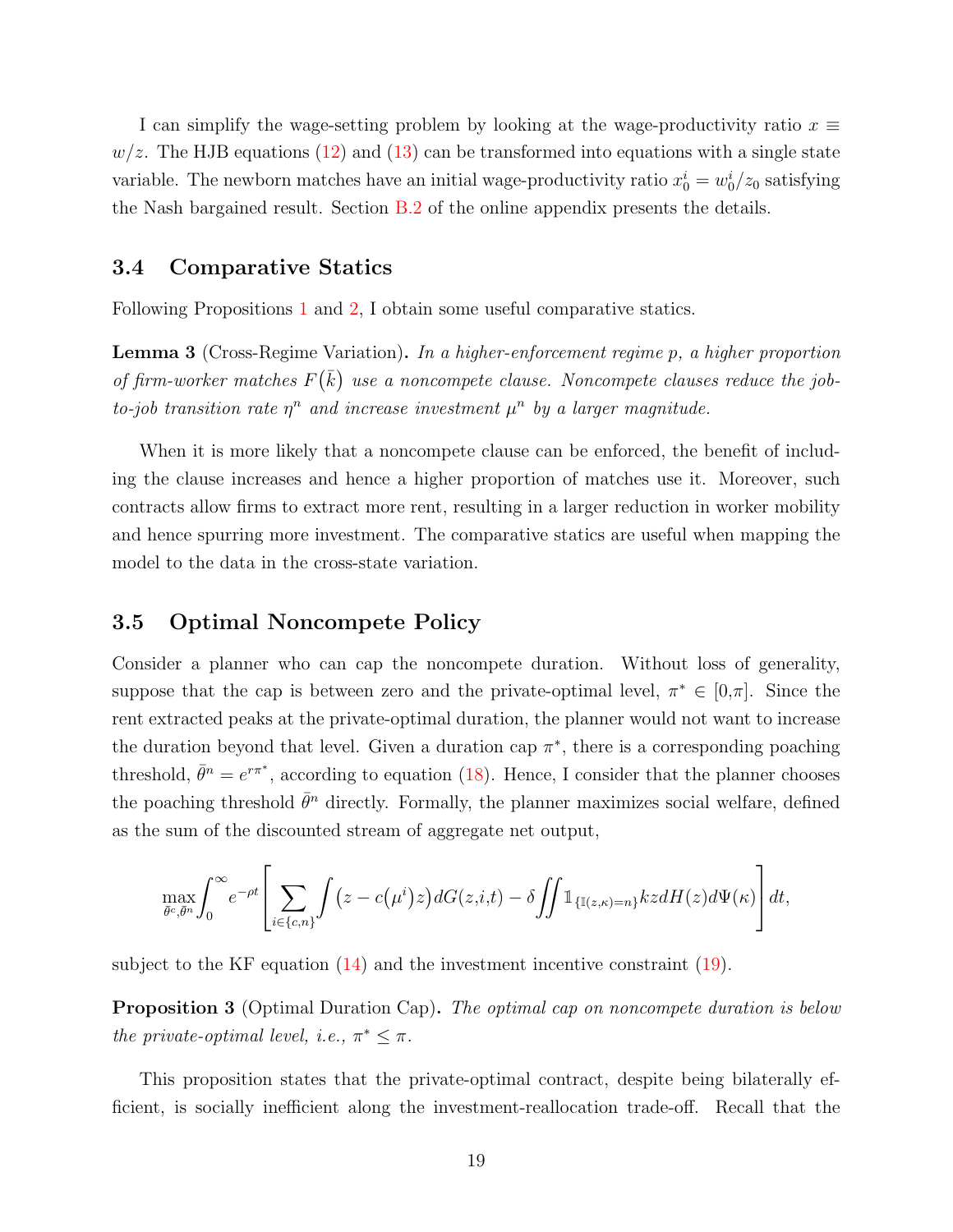I can simplify the wage-setting problem by looking at the wage-productivity ratio  $x \equiv$  $w/z$ . The HJB equations (12) and (13) can be transformed into equations with a single state variable. The newborn matches have an initial wage-productivity ratio  $x_0^i = w_0^i/z_0$  satisfying the Nash bargained result. Section B.2 of the online appendix presents the details.

#### 3.4 Comparative Statics

Following Propositions 1 and 2, I obtain some useful comparative statics.

Lemma 3 (Cross-Regime Variation). In a higher-enforcement regime p, a higher proportion of firm-worker matches  $F(\bar{k})$  use a noncompete clause. Noncompete clauses reduce the jobto-job transition rate  $\eta^n$  and increase investment  $\mu^n$  by a larger magnitude.

When it is more likely that a noncompete clause can be enforced, the benefit of including the clause increases and hence a higher proportion of matches use it. Moreover, such contracts allow firms to extract more rent, resulting in a larger reduction in worker mobility and hence spurring more investment. The comparative statics are useful when mapping the model to the data in the cross-state variation.

#### 3.5 Optimal Noncompete Policy

Consider a planner who can cap the noncompete duration. Without loss of generality, suppose that the cap is between zero and the private-optimal level,  $\pi^* \in [0,\pi]$ . Since the rent extracted peaks at the private-optimal duration, the planner would not want to increase the duration beyond that level. Given a duration cap  $\pi^*$ , there is a corresponding poaching threshold,  $\bar{\theta}^n = e^{r\pi^*}$ , according to equation (18). Hence, I consider that the planner chooses the poaching threshold  $\bar{\theta}^n$  directly. Formally, the planner maximizes social welfare, defined as the sum of the discounted stream of aggregate net output,

$$
\max_{\bar{\theta}^c, \bar{\theta}^n} \int_0^\infty e^{-\rho t} \left[ \sum_{i \in \{c, n\}} \int (z - c(\mu^i) z) dG(z, i, t) - \delta \iint \mathbb{1}_{\{\mathbb{I}(z, \kappa) = n\}} k z dH(z) d\Psi(\kappa) \right] dt,
$$

subject to the KF equation (14) and the investment incentive constraint (19).

Proposition 3 (Optimal Duration Cap). The optimal cap on noncompete duration is below the private-optimal level, i.e.,  $\pi^* \leq \pi$ .

This proposition states that the private-optimal contract, despite being bilaterally efficient, is socially inefficient along the investment-reallocation trade-off. Recall that the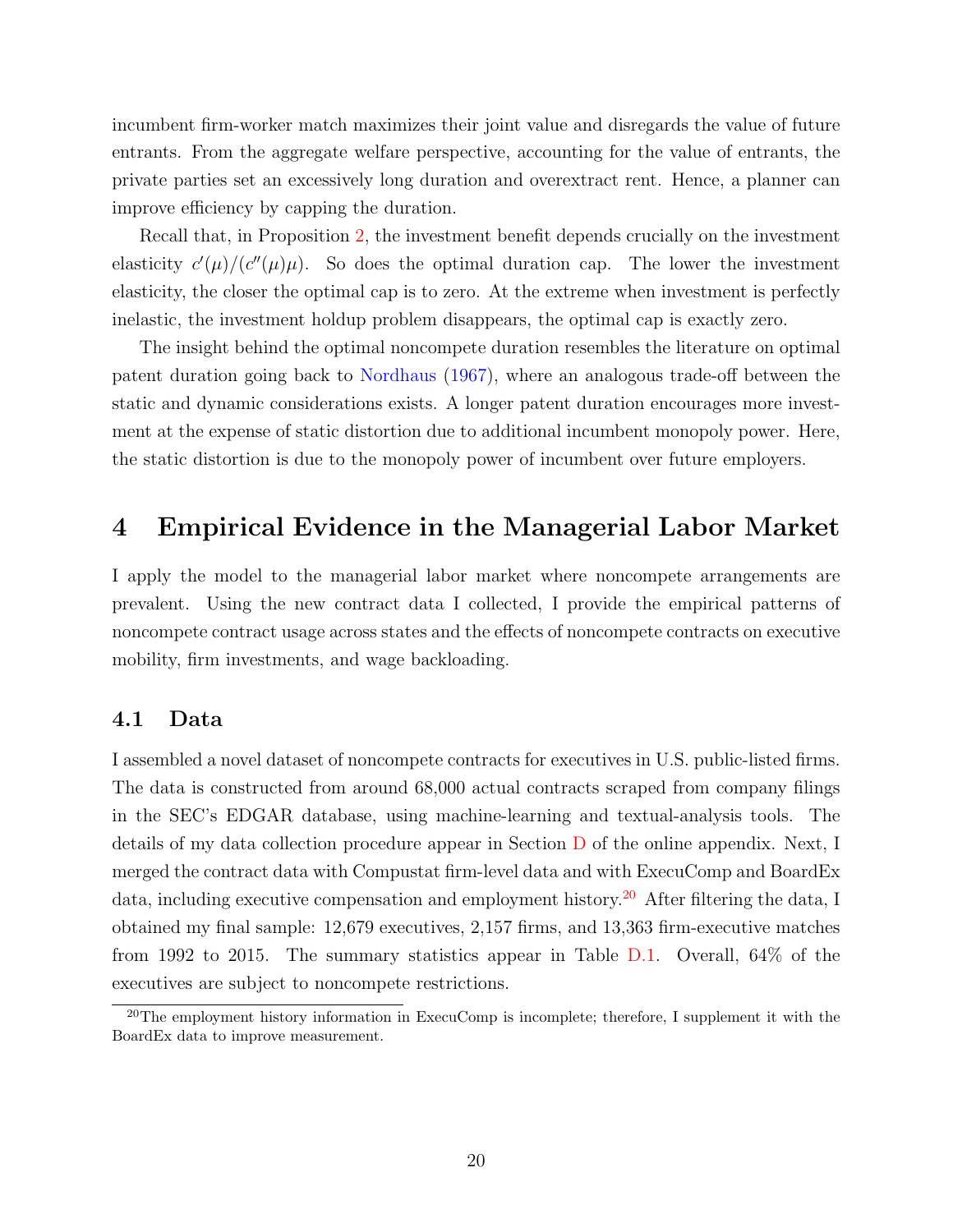incumbent firm-worker match maximizes their joint value and disregards the value of future entrants. From the aggregate welfare perspective, accounting for the value of entrants, the private parties set an excessively long duration and overextract rent. Hence, a planner can improve efficiency by capping the duration.

Recall that, in Proposition 2, the investment benefit depends crucially on the investment elasticity  $c'(\mu)/(c''(\mu)\mu)$ . So does the optimal duration cap. The lower the investment elasticity, the closer the optimal cap is to zero. At the extreme when investment is perfectly inelastic, the investment holdup problem disappears, the optimal cap is exactly zero.

The insight behind the optimal noncompete duration resembles the literature on optimal patent duration going back to Nordhaus (1967), where an analogous trade-off between the static and dynamic considerations exists. A longer patent duration encourages more investment at the expense of static distortion due to additional incumbent monopoly power. Here, the static distortion is due to the monopoly power of incumbent over future employers.

### 4 Empirical Evidence in the Managerial Labor Market

I apply the model to the managerial labor market where noncompete arrangements are prevalent. Using the new contract data I collected, I provide the empirical patterns of noncompete contract usage across states and the effects of noncompete contracts on executive mobility, firm investments, and wage backloading.

#### 4.1 Data

I assembled a novel dataset of noncompete contracts for executives in U.S. public-listed firms. The data is constructed from around 68,000 actual contracts scraped from company filings in the SEC's EDGAR database, using machine-learning and textual-analysis tools. The details of my data collection procedure appear in Section D of the online appendix. Next, I merged the contract data with Compustat firm-level data and with ExecuComp and BoardEx data, including executive compensation and employment history.<sup>20</sup> After filtering the data, I obtained my final sample: 12,679 executives, 2,157 firms, and 13,363 firm-executive matches from 1992 to 2015. The summary statistics appear in Table D.1. Overall, 64% of the executives are subject to noncompete restrictions.

 $20$ The employment history information in ExecuComp is incomplete; therefore, I supplement it with the BoardEx data to improve measurement.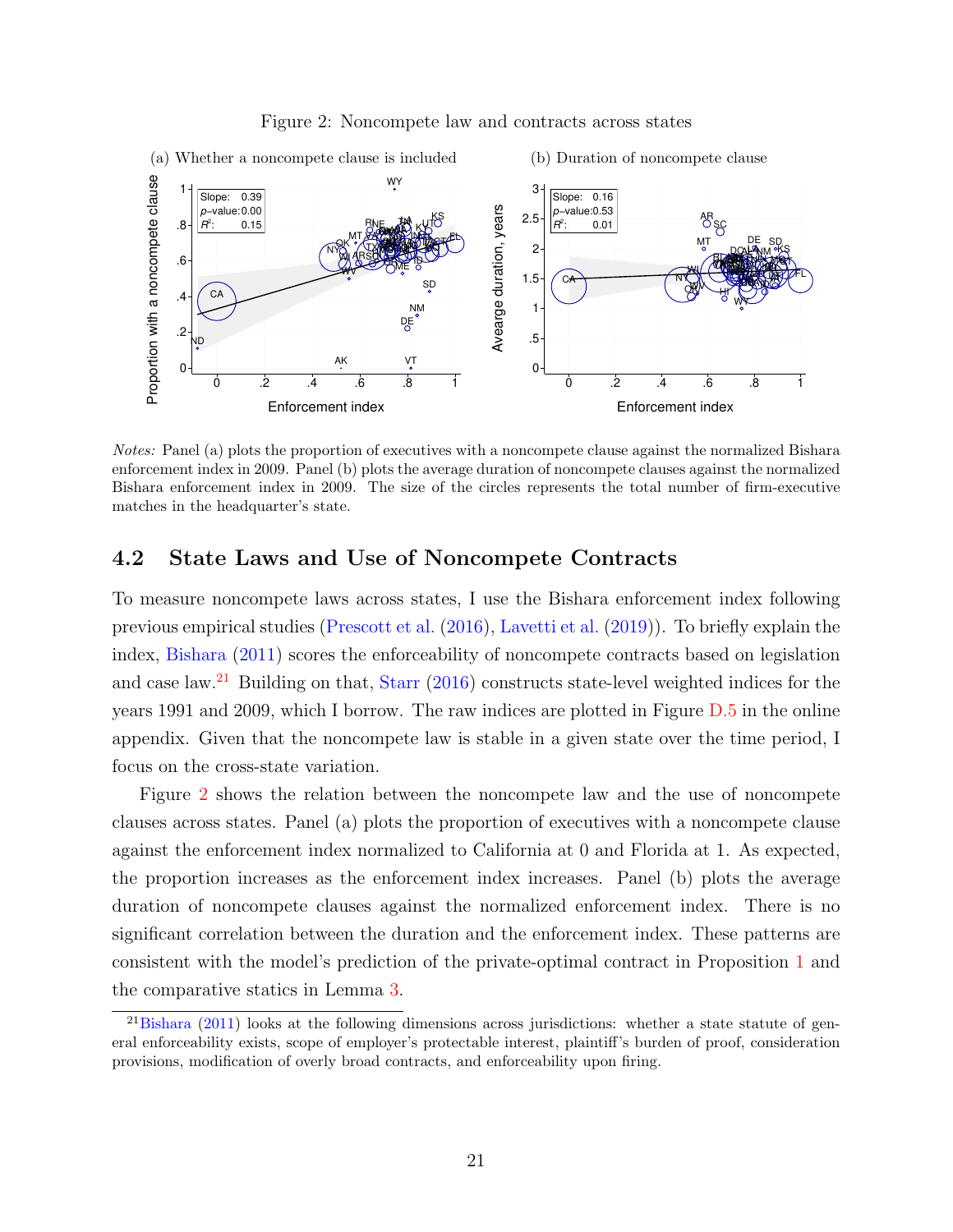

#### Figure 2: Noncompete law and contracts across states

Notes: Panel (a) plots the proportion of executives with a noncompete clause against the normalized Bishara enforcement index in 2009. Panel (b) plots the average duration of noncompete clauses against the normalized Bishara enforcement index in 2009. The size of the circles represents the total number of firm-executive matches in the headquarter's state.

#### 4.2 State Laws and Use of Noncompete Contracts

To measure noncompete laws across states, I use the Bishara enforcement index following previous empirical studies (Prescott et al. (2016), Lavetti et al. (2019)). To briefly explain the index, Bishara (2011) scores the enforceability of noncompete contracts based on legislation and case law.<sup>21</sup> Building on that, Starr (2016) constructs state-level weighted indices for the years 1991 and 2009, which I borrow. The raw indices are plotted in Figure D.5 in the online appendix. Given that the noncompete law is stable in a given state over the time period, I focus on the cross-state variation.

Figure 2 shows the relation between the noncompete law and the use of noncompete clauses across states. Panel (a) plots the proportion of executives with a noncompete clause against the enforcement index normalized to California at 0 and Florida at 1. As expected, the proportion increases as the enforcement index increases. Panel (b) plots the average duration of noncompete clauses against the normalized enforcement index. There is no significant correlation between the duration and the enforcement index. These patterns are consistent with the model's prediction of the private-optimal contract in Proposition 1 and the comparative statics in Lemma 3.

<sup>&</sup>lt;sup>21</sup>Bishara (2011) looks at the following dimensions across jurisdictions: whether a state statute of general enforceability exists, scope of employer's protectable interest, plaintiff's burden of proof, consideration provisions, modification of overly broad contracts, and enforceability upon firing.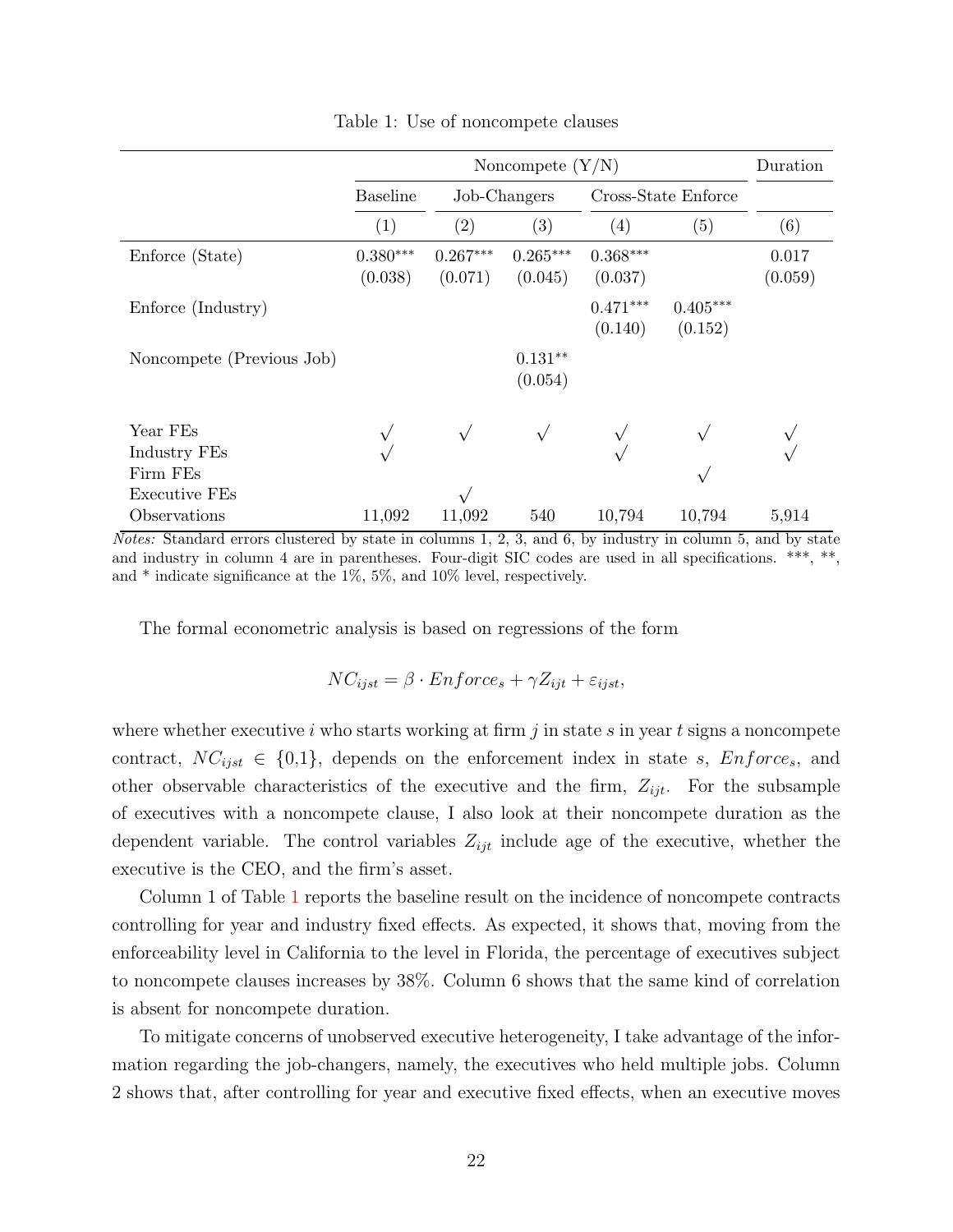|                                                       |                       | Duration              |                       |                       |                       |                  |
|-------------------------------------------------------|-----------------------|-----------------------|-----------------------|-----------------------|-----------------------|------------------|
|                                                       | <b>Baseline</b>       |                       | Job-Changers          | Cross-State Enforce   |                       |                  |
|                                                       | (1)                   | (2)                   | (3)                   | (4)                   | (5)                   | (6)              |
| Enforce (State)                                       | $0.380***$<br>(0.038) | $0.267***$<br>(0.071) | $0.265***$<br>(0.045) | $0.368***$<br>(0.037) |                       | 0.017<br>(0.059) |
| Enforce (Industry)                                    |                       |                       |                       | $0.471***$<br>(0.140) | $0.405***$<br>(0.152) |                  |
| Noncompete (Previous Job)                             |                       |                       | $0.131**$<br>(0.054)  |                       |                       |                  |
| Year FEs<br>Industry FEs<br>Firm FEs<br>Executive FEs |                       |                       |                       |                       |                       |                  |
| Observations                                          | 11,092                | 11,092                | 540                   | 10,794                | 10,794                | 5,914            |

Table 1: Use of noncompete clauses

*Notes:* Standard errors clustered by state in columns 1, 2, 3, and 6, by industry in column 5, and by state and industry in column 4 are in parentheses. Four-digit SIC codes are used in all specifications. \*\*\*, \*\*, and \* indicate significance at the 1%, 5%, and 10% level, respectively.

The formal econometric analysis is based on regressions of the form

$$
NC_{ijst} = \beta \cdot Enforce_s + \gamma Z_{ijt} + \varepsilon_{ijst},
$$

where whether executive i who starts working at firm j in state s in year t signs a noncompete contract,  $NC_{ijst} \in \{0,1\}$ , depends on the enforcement index in state s,  $Enforce_s$ , and other observable characteristics of the executive and the firm,  $Z_{ijt}$ . For the subsample of executives with a noncompete clause, I also look at their noncompete duration as the dependent variable. The control variables  $Z_{ijt}$  include age of the executive, whether the executive is the CEO, and the firm's asset.

Column 1 of Table 1 reports the baseline result on the incidence of noncompete contracts controlling for year and industry fixed effects. As expected, it shows that, moving from the enforceability level in California to the level in Florida, the percentage of executives subject to noncompete clauses increases by 38%. Column 6 shows that the same kind of correlation is absent for noncompete duration.

To mitigate concerns of unobserved executive heterogeneity, I take advantage of the information regarding the job-changers, namely, the executives who held multiple jobs. Column 2 shows that, after controlling for year and executive fixed effects, when an executive moves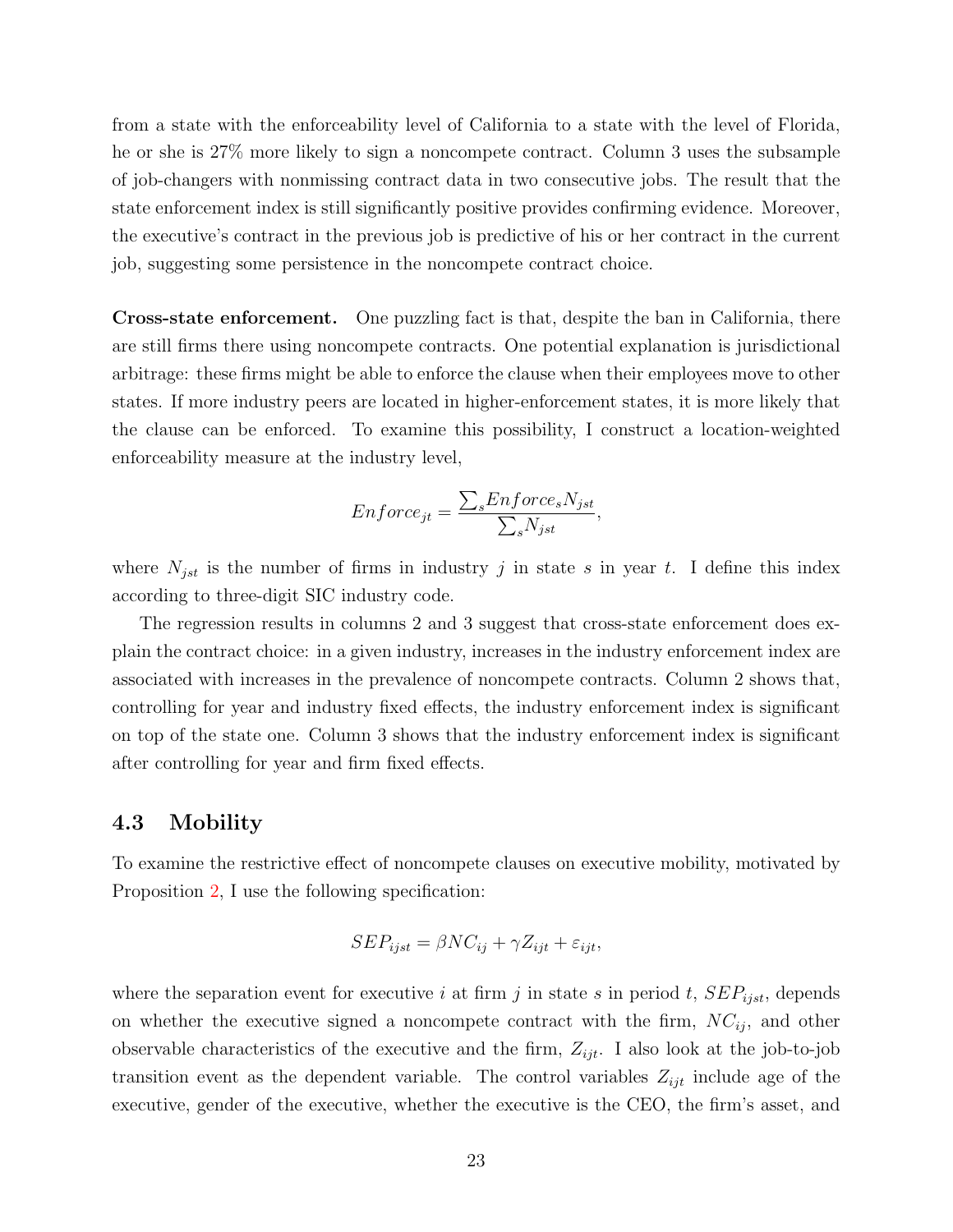from a state with the enforceability level of California to a state with the level of Florida, he or she is 27% more likely to sign a noncompete contract. Column 3 uses the subsample of job-changers with nonmissing contract data in two consecutive jobs. The result that the state enforcement index is still significantly positive provides confirming evidence. Moreover, the executive's contract in the previous job is predictive of his or her contract in the current job, suggesting some persistence in the noncompete contract choice.

Cross-state enforcement. One puzzling fact is that, despite the ban in California, there are still firms there using noncompete contracts. One potential explanation is jurisdictional arbitrage: these firms might be able to enforce the clause when their employees move to other states. If more industry peers are located in higher-enforcement states, it is more likely that the clause can be enforced. To examine this possibility, I construct a location-weighted enforceability measure at the industry level,

$$
Enforce_{jt} = \frac{\sum_s Enforce_sN_{jst}}{\sum_sN_{jst}},
$$

where  $N_{jst}$  is the number of firms in industry j in state s in year t. I define this index according to three-digit SIC industry code.

The regression results in columns 2 and 3 suggest that cross-state enforcement does explain the contract choice: in a given industry, increases in the industry enforcement index are associated with increases in the prevalence of noncompete contracts. Column 2 shows that, controlling for year and industry fixed effects, the industry enforcement index is significant on top of the state one. Column 3 shows that the industry enforcement index is significant after controlling for year and firm fixed effects.

#### 4.3 Mobility

To examine the restrictive effect of noncompete clauses on executive mobility, motivated by Proposition 2, I use the following specification:

$$
SEP_{ijst} = \beta NC_{ij} + \gamma Z_{ijt} + \varepsilon_{ijt},
$$

where the separation event for executive i at firm j in state s in period t,  $SEP_{ijst}$ , depends on whether the executive signed a noncompete contract with the firm,  $NC_{ij}$ , and other observable characteristics of the executive and the firm,  $Z_{ijt}$ . I also look at the job-to-job transition event as the dependent variable. The control variables  $Z_{ijt}$  include age of the executive, gender of the executive, whether the executive is the CEO, the firm's asset, and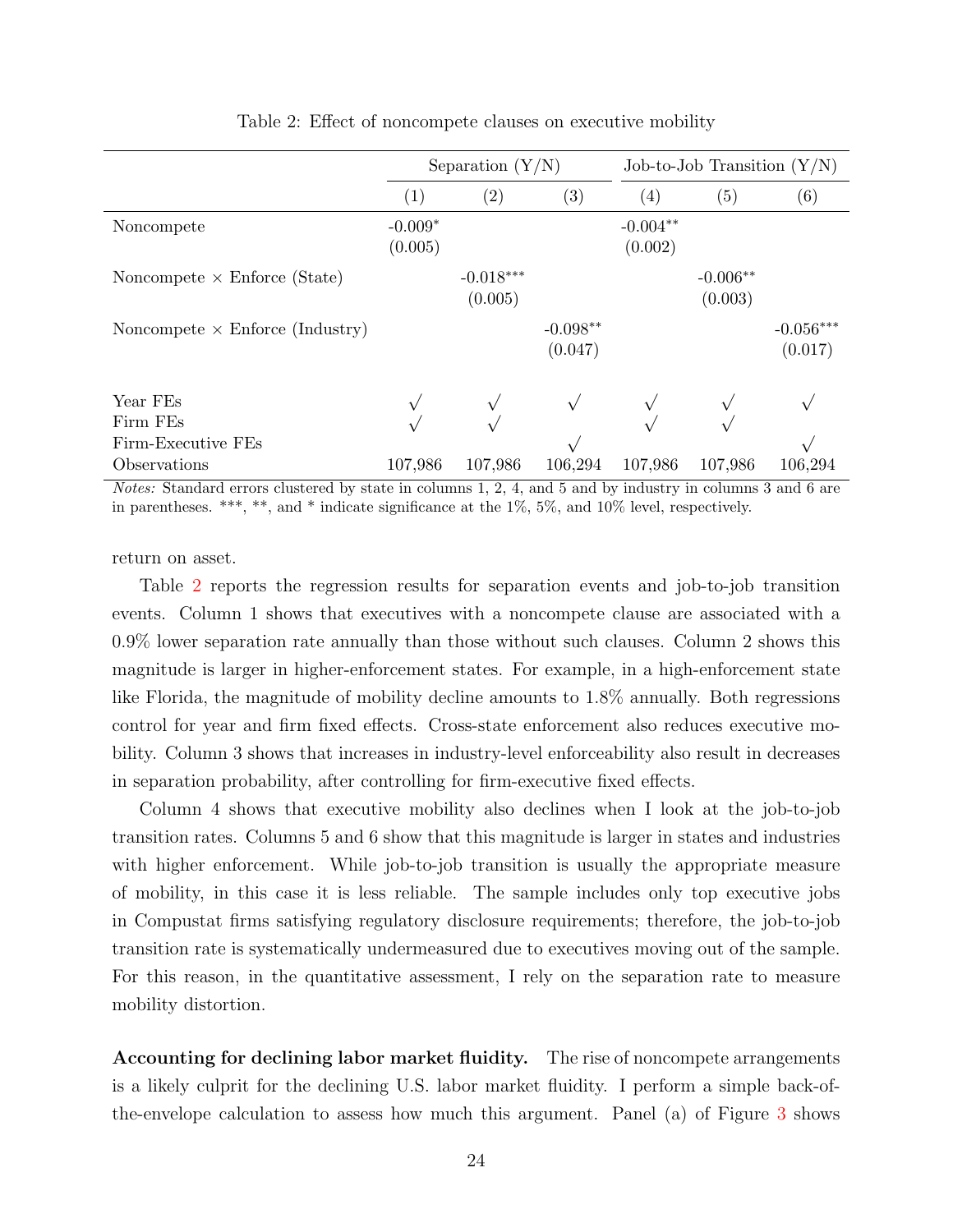|                                        | Separation $(Y/N)$   |                        |                       | Job-to-Job Transition $(Y/N)$ |                       |                        |  |
|----------------------------------------|----------------------|------------------------|-----------------------|-------------------------------|-----------------------|------------------------|--|
|                                        | (1)                  | $\left( 2\right)$      | $\left( 3\right)$     | $\left( 4\right)$             | (5)                   | (6)                    |  |
| Noncompete                             | $-0.009*$<br>(0.005) |                        |                       | $-0.004**$<br>(0.002)         |                       |                        |  |
| Noncompete $\times$ Enforce (State)    |                      | $-0.018***$<br>(0.005) |                       |                               | $-0.006**$<br>(0.003) |                        |  |
| Noncompete $\times$ Enforce (Industry) |                      |                        | $-0.098**$<br>(0.047) |                               |                       | $-0.056***$<br>(0.017) |  |
| Year FEs                               |                      |                        |                       |                               |                       |                        |  |
| Firm FEs                               |                      |                        |                       |                               |                       |                        |  |
| Firm-Executive FEs                     |                      |                        |                       |                               |                       |                        |  |
| Observations                           | 107,986              | 107,986                | 106,294               | 107,986                       | 107,986               | 106,294                |  |

#### Table 2: Effect of noncompete clauses on executive mobility

Notes: Standard errors clustered by state in columns 1, 2, 4, and 5 and by industry in columns 3 and 6 are in parentheses. \*\*\*, \*\*, and \* indicate significance at the 1%, 5%, and 10% level, respectively.

return on asset.

Table 2 reports the regression results for separation events and job-to-job transition events. Column 1 shows that executives with a noncompete clause are associated with a 0.9% lower separation rate annually than those without such clauses. Column 2 shows this magnitude is larger in higher-enforcement states. For example, in a high-enforcement state like Florida, the magnitude of mobility decline amounts to 1.8% annually. Both regressions control for year and firm fixed effects. Cross-state enforcement also reduces executive mobility. Column 3 shows that increases in industry-level enforceability also result in decreases in separation probability, after controlling for firm-executive fixed effects.

Column 4 shows that executive mobility also declines when I look at the job-to-job transition rates. Columns 5 and 6 show that this magnitude is larger in states and industries with higher enforcement. While job-to-job transition is usually the appropriate measure of mobility, in this case it is less reliable. The sample includes only top executive jobs in Compustat firms satisfying regulatory disclosure requirements; therefore, the job-to-job transition rate is systematically undermeasured due to executives moving out of the sample. For this reason, in the quantitative assessment, I rely on the separation rate to measure mobility distortion.

Accounting for declining labor market fluidity. The rise of noncompete arrangements is a likely culprit for the declining U.S. labor market fluidity. I perform a simple back-ofthe-envelope calculation to assess how much this argument. Panel (a) of Figure 3 shows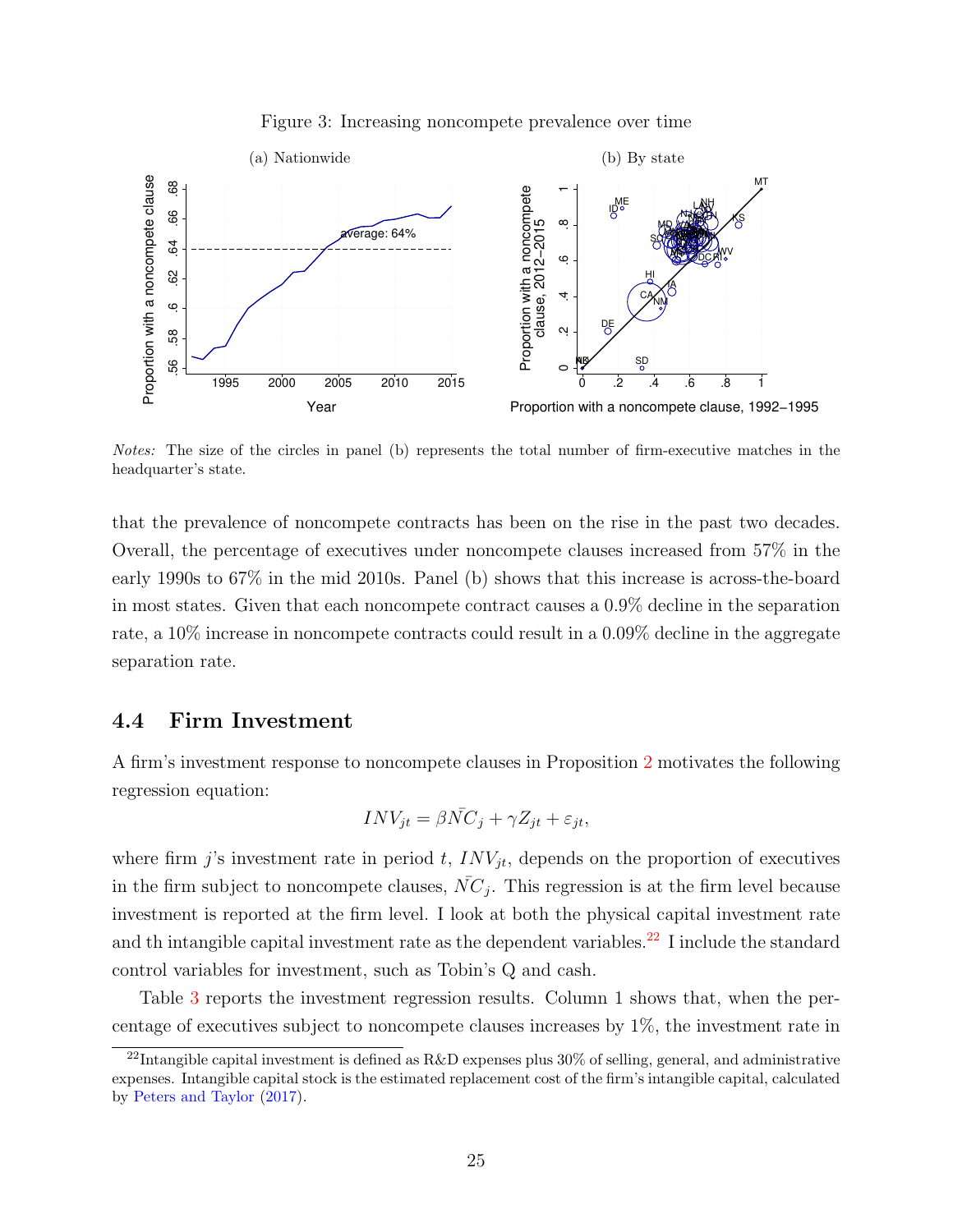

#### Figure 3: Increasing noncompete prevalence over time

Notes: The size of the circles in panel (b) represents the total number of firm-executive matches in the headquarter's state.

that the prevalence of noncompete contracts has been on the rise in the past two decades. Overall, the percentage of executives under noncompete clauses increased from 57% in the early 1990s to 67% in the mid 2010s. Panel (b) shows that this increase is across-the-board in most states. Given that each noncompete contract causes a 0.9% decline in the separation rate, a 10% increase in noncompete contracts could result in a 0.09% decline in the aggregate separation rate.

#### 4.4 Firm Investment

A firm's investment response to noncompete clauses in Proposition 2 motivates the following regression equation:

$$
INV_{jt} = \beta \bar{NC}_j + \gamma Z_{jt} + \varepsilon_{jt},
$$

where firm j's investment rate in period t,  $INV_{it}$ , depends on the proportion of executives in the firm subject to noncompete clauses,  $\bar{NC}_j$ . This regression is at the firm level because investment is reported at the firm level. I look at both the physical capital investment rate and th intangible capital investment rate as the dependent variables.<sup>22</sup> I include the standard control variables for investment, such as Tobin's Q and cash.

Table 3 reports the investment regression results. Column 1 shows that, when the percentage of executives subject to noncompete clauses increases by 1%, the investment rate in

 $^{22}$ Intangible capital investment is defined as R&D expenses plus 30% of selling, general, and administrative expenses. Intangible capital stock is the estimated replacement cost of the firm's intangible capital, calculated by Peters and Taylor (2017).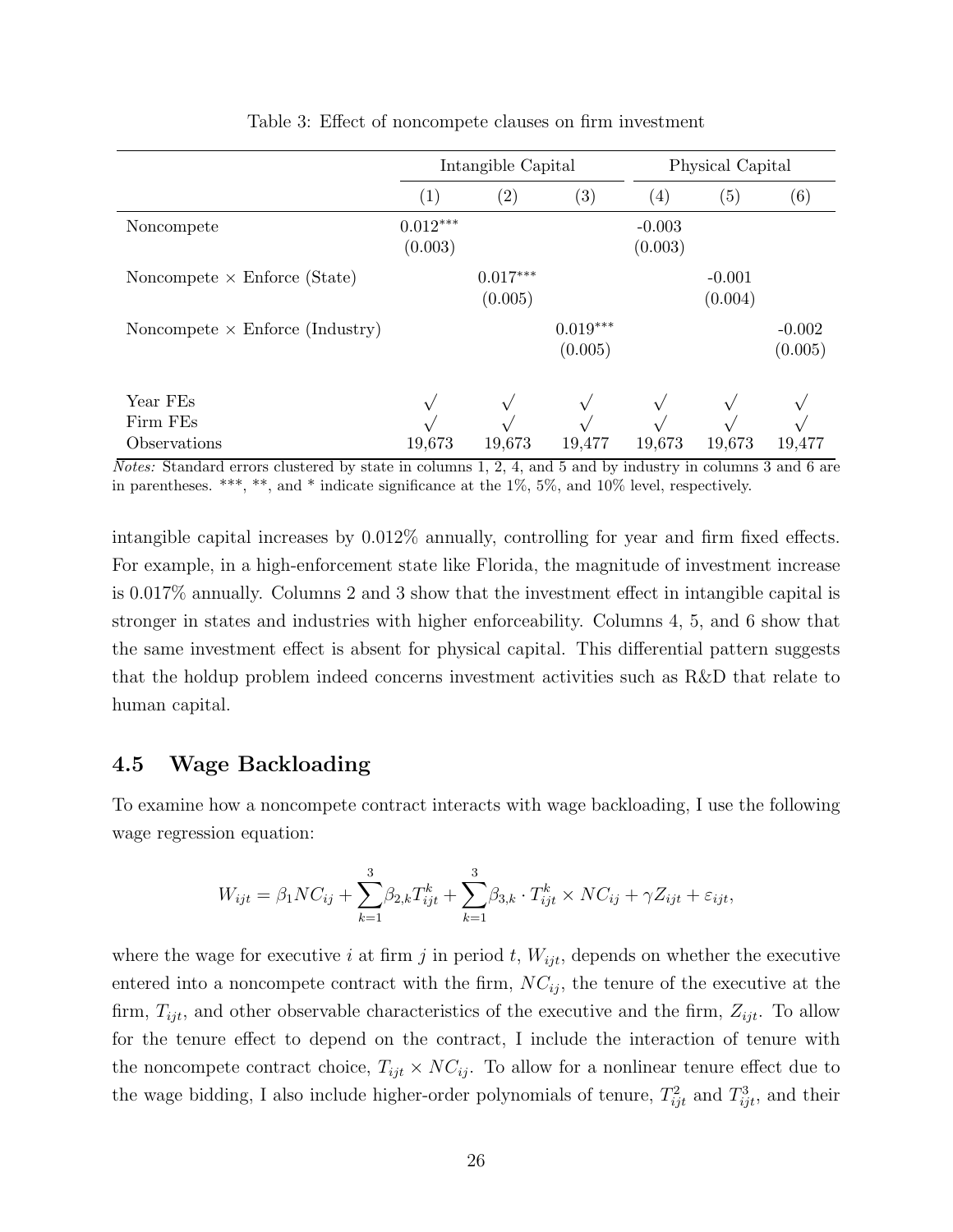|                                        | Intangible Capital    |                       |                       | Physical Capital    |                     |                     |  |
|----------------------------------------|-----------------------|-----------------------|-----------------------|---------------------|---------------------|---------------------|--|
|                                        | $\left( 1\right)$     | $\left( 2\right)$     | $\left( 3\right)$     | $\left(4\right)$    | (5)                 | (6)                 |  |
| Noncompete                             | $0.012***$<br>(0.003) |                       |                       | $-0.003$<br>(0.003) |                     |                     |  |
| Noncompete $\times$ Enforce (State)    |                       | $0.017***$<br>(0.005) |                       |                     | $-0.001$<br>(0.004) |                     |  |
| Noncompete $\times$ Enforce (Industry) |                       |                       | $0.019***$<br>(0.005) |                     |                     | $-0.002$<br>(0.005) |  |
| Year FEs<br>Firm FEs<br>Observations   | 19,673                | 19,673                | 19,477                | 19,673              | 19,673              | 19,477              |  |

Table 3: Effect of noncompete clauses on firm investment

Notes: Standard errors clustered by state in columns 1, 2, 4, and 5 and by industry in columns 3 and 6 are in parentheses. \*\*\*, \*\*, and \* indicate significance at the 1%, 5%, and 10% level, respectively.

intangible capital increases by 0.012% annually, controlling for year and firm fixed effects. For example, in a high-enforcement state like Florida, the magnitude of investment increase is 0.017% annually. Columns 2 and 3 show that the investment effect in intangible capital is stronger in states and industries with higher enforceability. Columns 4, 5, and 6 show that the same investment effect is absent for physical capital. This differential pattern suggests that the holdup problem indeed concerns investment activities such as R&D that relate to human capital.

#### 4.5 Wage Backloading

To examine how a noncompete contract interacts with wage backloading, I use the following wage regression equation:

$$
W_{ijt} = \beta_1 N C_{ij} + \sum_{k=1}^{3} \beta_{2,k} T_{ijt}^{k} + \sum_{k=1}^{3} \beta_{3,k} \cdot T_{ijt}^{k} \times NC_{ij} + \gamma Z_{ijt} + \varepsilon_{ijt},
$$

where the wage for executive i at firm j in period t,  $W_{ijt}$ , depends on whether the executive entered into a noncompete contract with the firm,  $NC_{ij}$ , the tenure of the executive at the firm,  $T_{ijt}$ , and other observable characteristics of the executive and the firm,  $Z_{ijt}$ . To allow for the tenure effect to depend on the contract, I include the interaction of tenure with the noncompete contract choice,  $T_{ijt} \times NC_{ij}$ . To allow for a nonlinear tenure effect due to the wage bidding, I also include higher-order polynomials of tenure,  $T_{ijt}^2$  and  $T_{ijt}^3$ , and their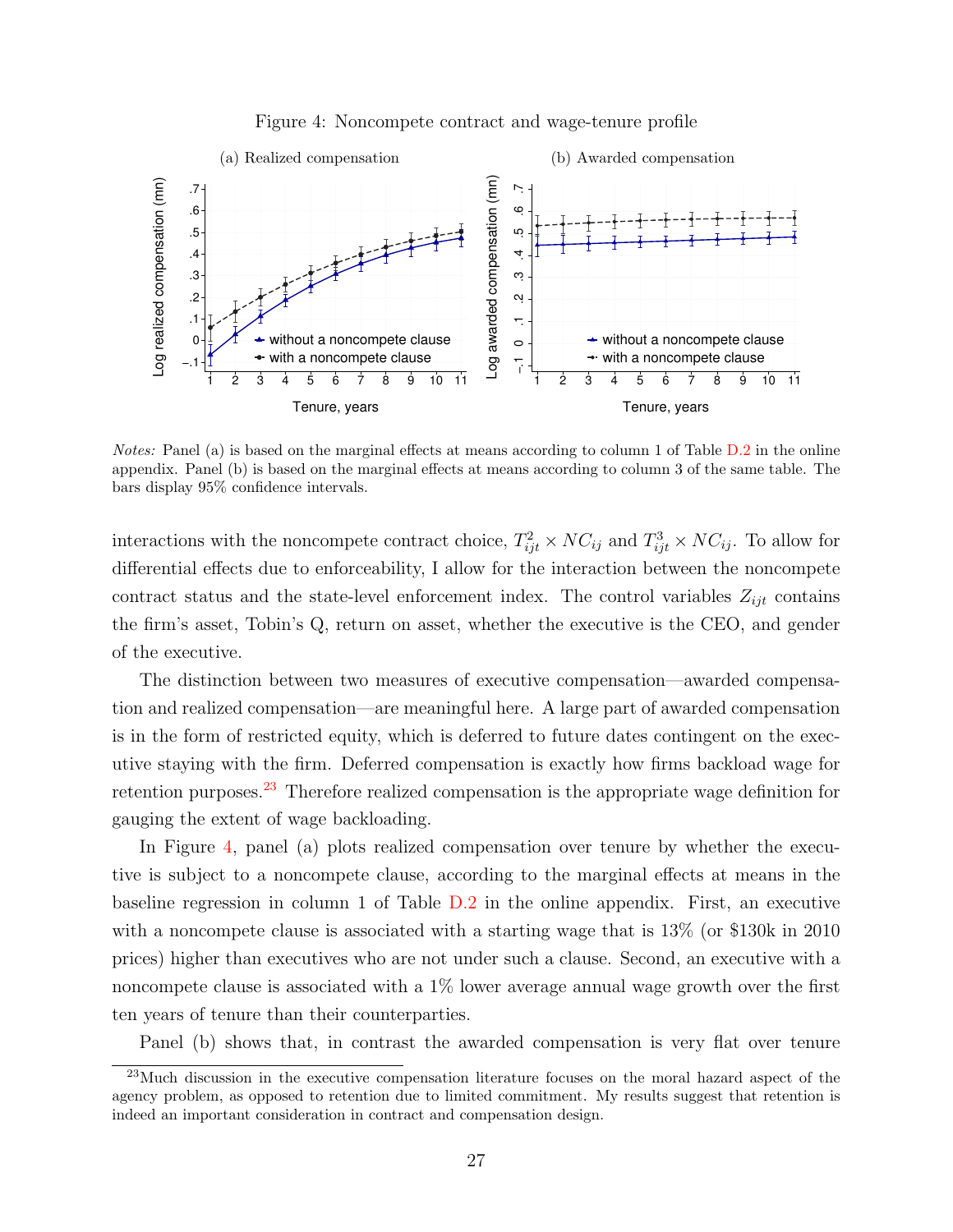

#### Figure 4: Noncompete contract and wage-tenure profile

Notes: Panel (a) is based on the marginal effects at means according to column 1 of Table D.2 in the online appendix. Panel (b) is based on the marginal effects at means according to column 3 of the same table. The bars display 95% confidence intervals.

interactions with the noncompete contract choice,  $T_{ijt}^2 \times NC_{ij}$  and  $T_{ijt}^3 \times NC_{ij}$ . To allow for differential effects due to enforceability, I allow for the interaction between the noncompete contract status and the state-level enforcement index. The control variables  $Z_{ijt}$  contains the firm's asset, Tobin's Q, return on asset, whether the executive is the CEO, and gender of the executive.

The distinction between two measures of executive compensation—awarded compensation and realized compensation—are meaningful here. A large part of awarded compensation is in the form of restricted equity, which is deferred to future dates contingent on the executive staying with the firm. Deferred compensation is exactly how firms backload wage for retention purposes.23 Therefore realized compensation is the appropriate wage definition for gauging the extent of wage backloading.

In Figure 4, panel (a) plots realized compensation over tenure by whether the executive is subject to a noncompete clause, according to the marginal effects at means in the baseline regression in column 1 of Table D.2 in the online appendix. First, an executive with a noncompete clause is associated with a starting wage that is  $13\%$  (or \$130k in 2010) prices) higher than executives who are not under such a clause. Second, an executive with a noncompete clause is associated with a 1% lower average annual wage growth over the first ten years of tenure than their counterparties.

Panel (b) shows that, in contrast the awarded compensation is very flat over tenure

<sup>23</sup>Much discussion in the executive compensation literature focuses on the moral hazard aspect of the agency problem, as opposed to retention due to limited commitment. My results suggest that retention is indeed an important consideration in contract and compensation design.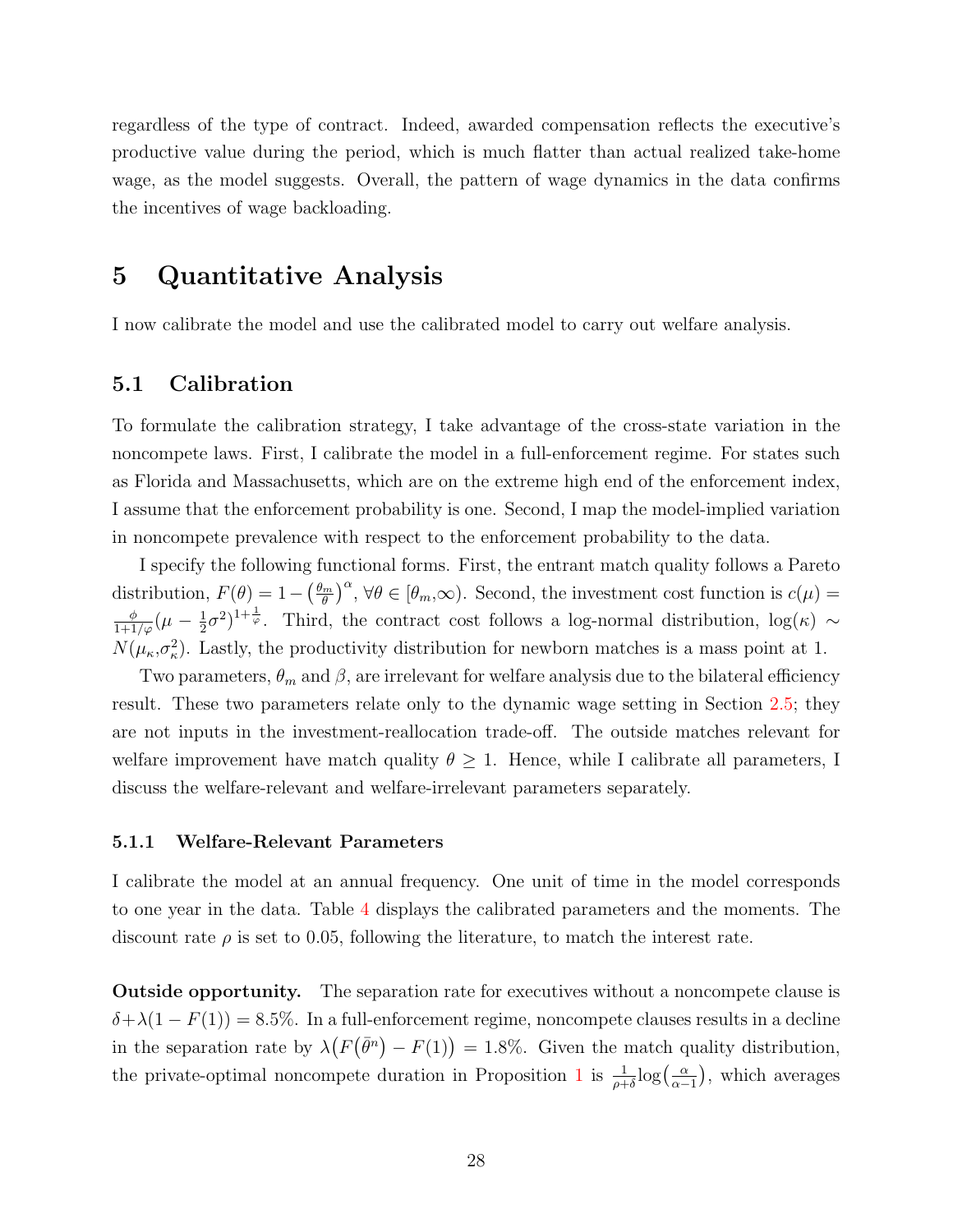regardless of the type of contract. Indeed, awarded compensation reflects the executive's productive value during the period, which is much flatter than actual realized take-home wage, as the model suggests. Overall, the pattern of wage dynamics in the data confirms the incentives of wage backloading.

## 5 Quantitative Analysis

I now calibrate the model and use the calibrated model to carry out welfare analysis.

#### 5.1 Calibration

To formulate the calibration strategy, I take advantage of the cross-state variation in the noncompete laws. First, I calibrate the model in a full-enforcement regime. For states such as Florida and Massachusetts, which are on the extreme high end of the enforcement index, I assume that the enforcement probability is one. Second, I map the model-implied variation in noncompete prevalence with respect to the enforcement probability to the data.

I specify the following functional forms. First, the entrant match quality follows a Pareto distribution,  $F(\theta) = 1 - \left(\frac{\theta_m}{\theta}\right)^2$  $\left(\frac{d_m}{\theta}\right)^{\alpha}$ ,  $\forall \theta \in [\theta_m, \infty)$ . Second, the investment cost function is  $c(\mu) =$  $\frac{\phi}{1+1/\varphi}(\mu-\frac{1}{2})$  $(\frac{1}{2}\sigma^2)^{1+\frac{1}{\varphi}}$ . Third, the contract cost follows a log-normal distribution, log( $\kappa$ ) ∼  $N(\mu_{\kappa}, \sigma_{\kappa}^2)$ . Lastly, the productivity distribution for newborn matches is a mass point at 1.

Two parameters,  $\theta_m$  and  $\beta$ , are irrelevant for welfare analysis due to the bilateral efficiency result. These two parameters relate only to the dynamic wage setting in Section 2.5; they are not inputs in the investment-reallocation trade-off. The outside matches relevant for welfare improvement have match quality  $\theta \geq 1$ . Hence, while I calibrate all parameters, I discuss the welfare-relevant and welfare-irrelevant parameters separately.

#### 5.1.1 Welfare-Relevant Parameters

I calibrate the model at an annual frequency. One unit of time in the model corresponds to one year in the data. Table 4 displays the calibrated parameters and the moments. The discount rate  $\rho$  is set to 0.05, following the literature, to match the interest rate.

Outside opportunity. The separation rate for executives without a noncompete clause is  $\delta + \lambda(1 - F(1)) = 8.5\%$ . In a full-enforcement regime, noncompete clauses results in a decline in the separation rate by  $\lambda(F(\bar{\theta}^n) - F(1)) = 1.8\%$ . Given the match quality distribution, the private-optimal noncompete duration in Proposition 1 is  $\frac{1}{\rho+\delta}\log\left(\frac{\alpha}{\alpha-\delta}\right)$  $\frac{\alpha}{\alpha-1}$ , which averages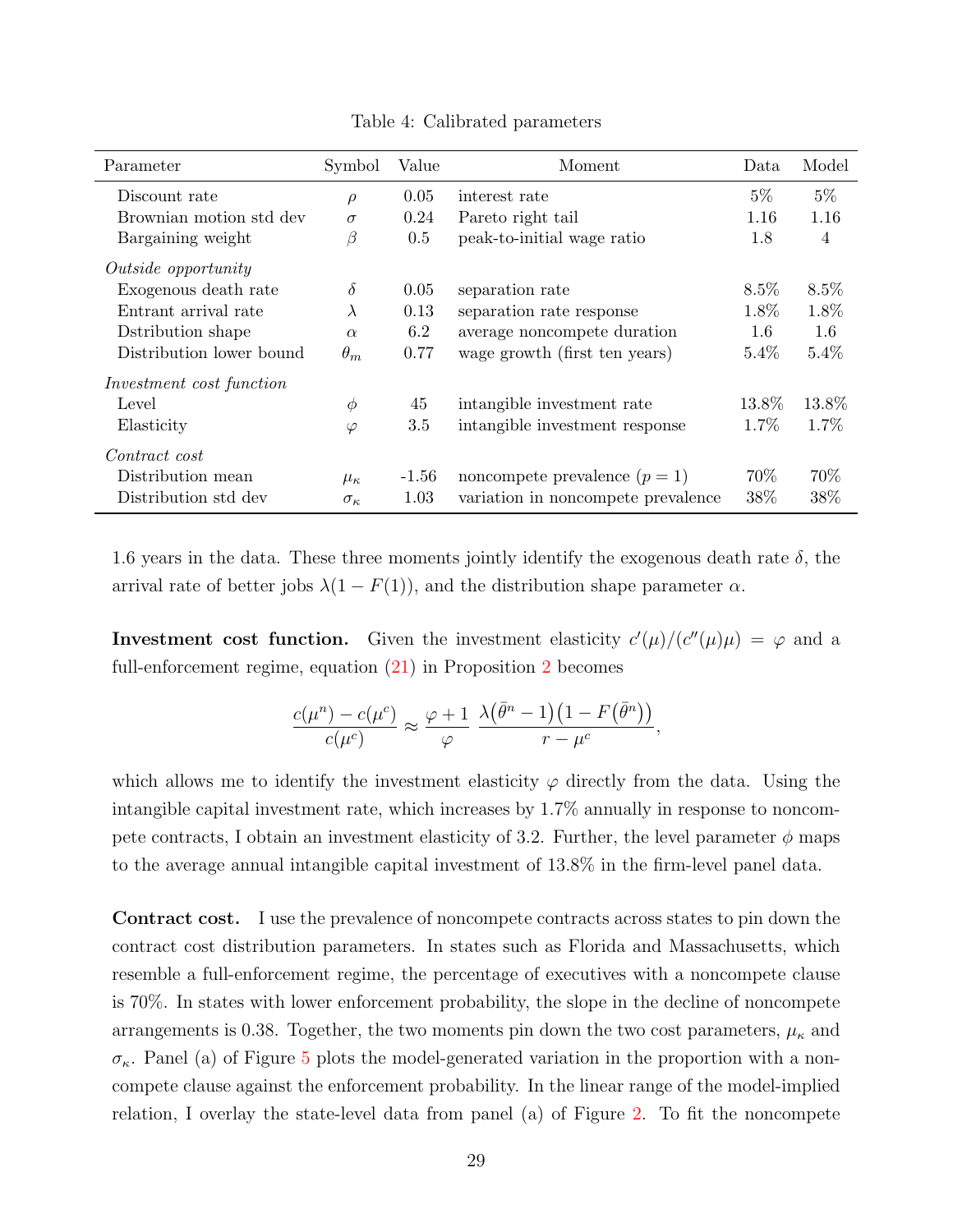| Parameter                  | Symbol            | Value   | Moment                             | Data    | Model          |
|----------------------------|-------------------|---------|------------------------------------|---------|----------------|
| Discount rate              | $\rho$            | 0.05    | interest rate                      | $5\%$   | $5\%$          |
| Brownian motion std dev    | $\sigma$          | 0.24    | Pareto right tail                  | 1.16    | 1.16           |
| Bargaining weight          | β                 | $0.5\,$ | peak-to-initial wage ratio         | 1.8     | $\overline{4}$ |
| <i>Outside opportunity</i> |                   |         |                                    |         |                |
| Exogenous death rate       | $\delta$          | 0.05    | separation rate                    | $8.5\%$ | $8.5\%$        |
| Entrant arrival rate       | $\lambda$         | 0.13    | separation rate response           | 1.8%    | 1.8%           |
| Dstribution shape          | $\alpha$          | 6.2     | average noncompete duration        | 1.6     | 1.6            |
| Distribution lower bound   | $\theta_m$        | 0.77    | wage growth (first ten years)      | $5.4\%$ | 5.4%           |
| Investment cost function   |                   |         |                                    |         |                |
| Level                      | $\phi$            | 45      | intangible investment rate         | 13.8%   | 13.8%          |
| Elasticity                 | $\varphi$         | 3.5     | intangible investment response     | 1.7%    | 1.7%           |
| Contract cost              |                   |         |                                    |         |                |
| Distribution mean          | $\mu_{\kappa}$    | -1.56   | noncompete prevalence $(p = 1)$    | 70%     | 70\%           |
| Distribution std dev       | $\sigma_{\kappa}$ | 1.03    | variation in noncompete prevalence | 38%     | 38%            |

Table 4: Calibrated parameters

1.6 years in the data. These three moments jointly identify the exogenous death rate  $\delta$ , the arrival rate of better jobs  $\lambda(1 - F(1))$ , and the distribution shape parameter  $\alpha$ .

**Investment cost function.** Given the investment elasticity  $c'(\mu)/(c''(\mu)\mu) = \varphi$  and a full-enforcement regime, equation (21) in Proposition 2 becomes

$$
\frac{c(\mu^n) - c(\mu^c)}{c(\mu^c)} \approx \frac{\varphi + 1}{\varphi} \frac{\lambda(\bar{\theta}^n - 1)(1 - F(\bar{\theta}^n))}{r - \mu^c},
$$

which allows me to identify the investment elasticity  $\varphi$  directly from the data. Using the intangible capital investment rate, which increases by 1.7% annually in response to noncompete contracts, I obtain an investment elasticity of 3.2. Further, the level parameter  $\phi$  maps to the average annual intangible capital investment of 13.8% in the firm-level panel data.

Contract cost. I use the prevalence of noncompete contracts across states to pin down the contract cost distribution parameters. In states such as Florida and Massachusetts, which resemble a full-enforcement regime, the percentage of executives with a noncompete clause is 70%. In states with lower enforcement probability, the slope in the decline of noncompete arrangements is 0.38. Together, the two moments pin down the two cost parameters,  $\mu_{\kappa}$  and  $\sigma_{\kappa}$ . Panel (a) of Figure 5 plots the model-generated variation in the proportion with a noncompete clause against the enforcement probability. In the linear range of the model-implied relation, I overlay the state-level data from panel (a) of Figure 2. To fit the noncompete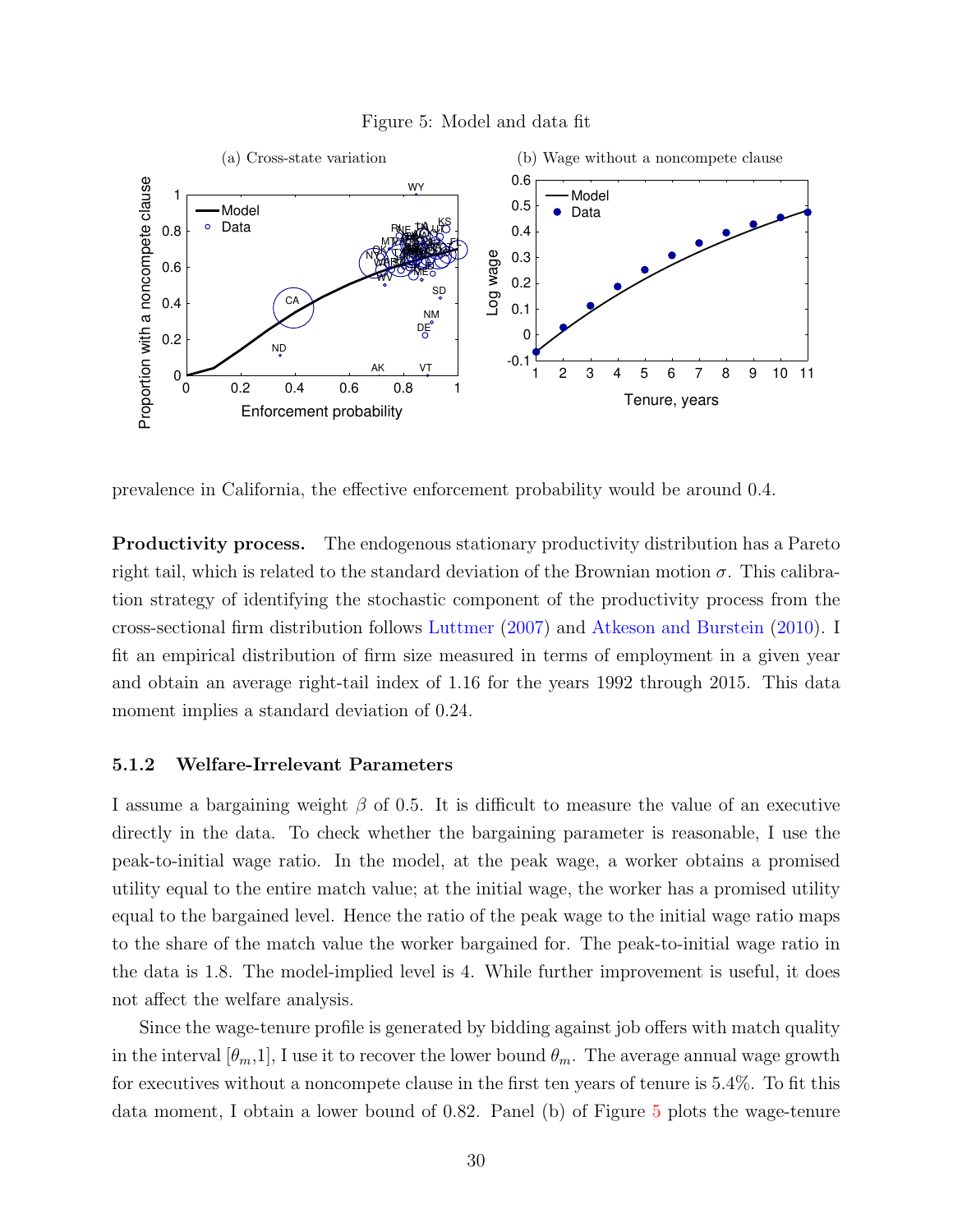#### Figure 5: Model and data fit



prevalence in California, the effective enforcement probability would be around 0.4.

Productivity process. The endogenous stationary productivity distribution has a Pareto right tail, which is related to the standard deviation of the Brownian motion  $\sigma$ . This calibration strategy of identifying the stochastic component of the productivity process from the cross-sectional firm distribution follows Luttmer (2007) and Atkeson and Burstein (2010). I fit an empirical distribution of firm size measured in terms of employment in a given year and obtain an average right-tail index of 1.16 for the years 1992 through 2015. This data moment implies a standard deviation of 0.24.

#### 5.1.2 Welfare-Irrelevant Parameters

I assume a bargaining weight  $\beta$  of 0.5. It is difficult to measure the value of an executive directly in the data. To check whether the bargaining parameter is reasonable, I use the peak-to-initial wage ratio. In the model, at the peak wage, a worker obtains a promised utility equal to the entire match value; at the initial wage, the worker has a promised utility equal to the bargained level. Hence the ratio of the peak wage to the initial wage ratio maps to the share of the match value the worker bargained for. The peak-to-initial wage ratio in the data is 1.8. The model-implied level is 4. While further improvement is useful, it does not affect the welfare analysis.

Since the wage-tenure profile is generated by bidding against job offers with match quality in the interval  $[\theta_m,1]$ , I use it to recover the lower bound  $\theta_m$ . The average annual wage growth for executives without a noncompete clause in the first ten years of tenure is 5.4%. To fit this data moment, I obtain a lower bound of 0.82. Panel (b) of Figure 5 plots the wage-tenure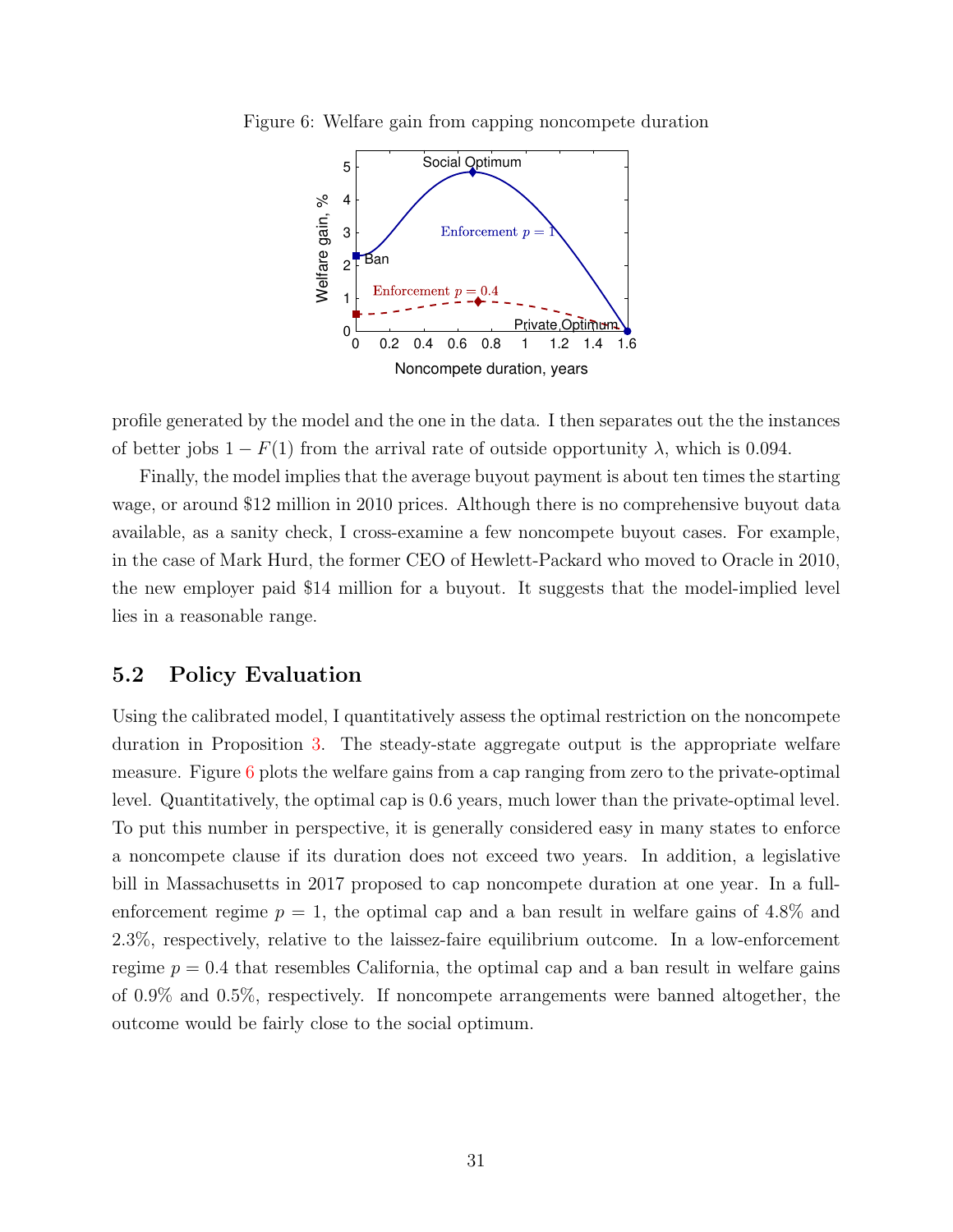

Figure 6: Welfare gain from capping noncompete duration

profile generated by the model and the one in the data. I then separates out the the instances of better jobs  $1 - F(1)$  from the arrival rate of outside opportunity  $\lambda$ , which is 0.094.

Finally, the model implies that the average buyout payment is about ten times the starting wage, or around \$12 million in 2010 prices. Although there is no comprehensive buyout data available, as a sanity check, I cross-examine a few noncompete buyout cases. For example, in the case of Mark Hurd, the former CEO of Hewlett-Packard who moved to Oracle in 2010, the new employer paid \$14 million for a buyout. It suggests that the model-implied level lies in a reasonable range.

#### 5.2 Policy Evaluation

Using the calibrated model, I quantitatively assess the optimal restriction on the noncompete duration in Proposition 3. The steady-state aggregate output is the appropriate welfare measure. Figure 6 plots the welfare gains from a cap ranging from zero to the private-optimal level. Quantitatively, the optimal cap is 0.6 years, much lower than the private-optimal level. To put this number in perspective, it is generally considered easy in many states to enforce a noncompete clause if its duration does not exceed two years. In addition, a legislative bill in Massachusetts in 2017 proposed to cap noncompete duration at one year. In a fullenforcement regime  $p = 1$ , the optimal cap and a ban result in welfare gains of 4.8% and 2.3%, respectively, relative to the laissez-faire equilibrium outcome. In a low-enforcement regime  $p = 0.4$  that resembles California, the optimal cap and a ban result in welfare gains of 0.9% and 0.5%, respectively. If noncompete arrangements were banned altogether, the outcome would be fairly close to the social optimum.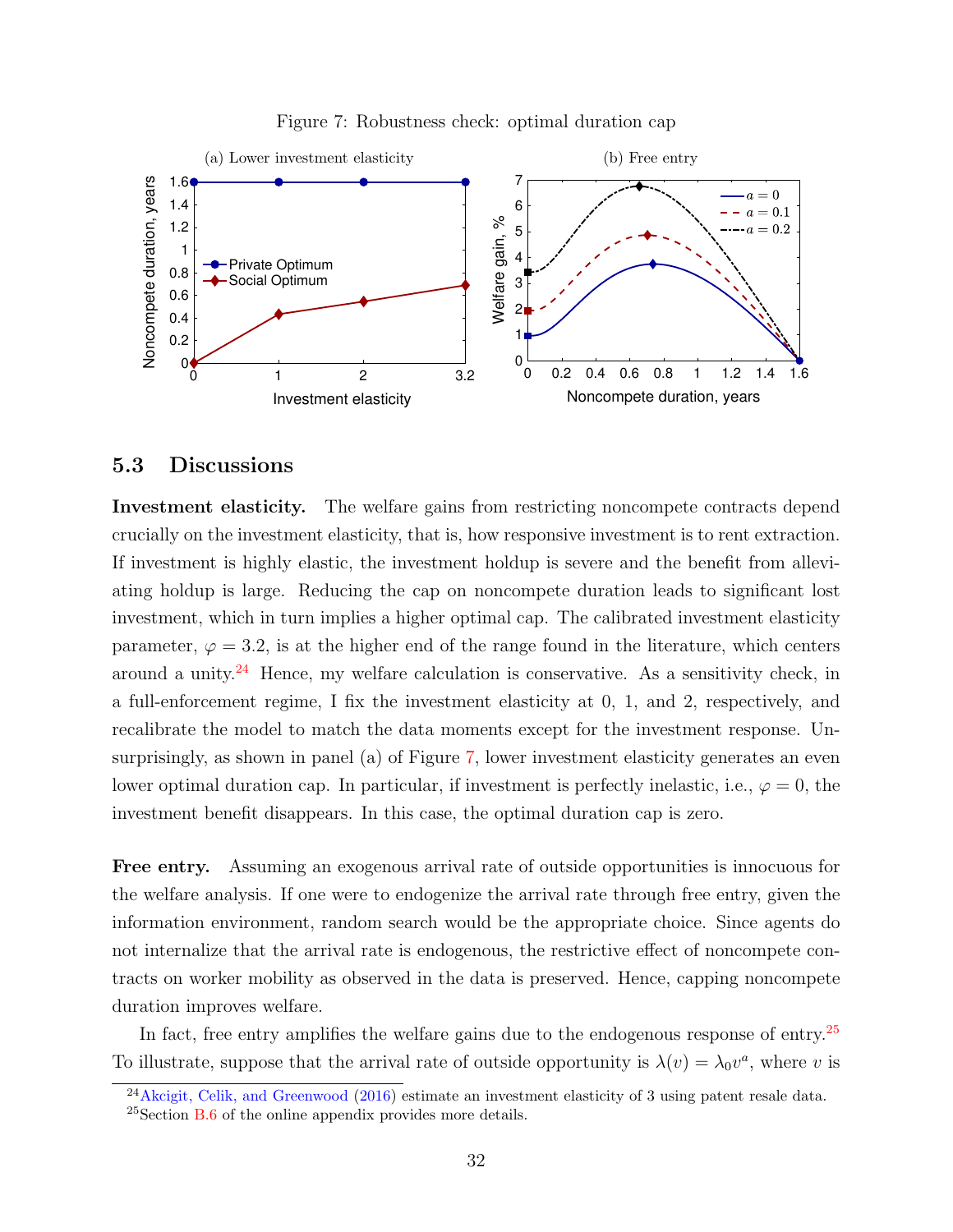

Figure 7: Robustness check: optimal duration cap

#### 5.3 Discussions

Investment elasticity. The welfare gains from restricting noncompete contracts depend crucially on the investment elasticity, that is, how responsive investment is to rent extraction. If investment is highly elastic, the investment holdup is severe and the benefit from alleviating holdup is large. Reducing the cap on noncompete duration leads to significant lost investment, which in turn implies a higher optimal cap. The calibrated investment elasticity parameter,  $\varphi = 3.2$ , is at the higher end of the range found in the literature, which centers around a unity. $24$  Hence, my welfare calculation is conservative. As a sensitivity check, in a full-enforcement regime, I fix the investment elasticity at 0, 1, and 2, respectively, and recalibrate the model to match the data moments except for the investment response. Unsurprisingly, as shown in panel (a) of Figure 7, lower investment elasticity generates an even lower optimal duration cap. In particular, if investment is perfectly inelastic, i.e.,  $\varphi = 0$ , the investment benefit disappears. In this case, the optimal duration cap is zero.

Free entry. Assuming an exogenous arrival rate of outside opportunities is innocuous for the welfare analysis. If one were to endogenize the arrival rate through free entry, given the information environment, random search would be the appropriate choice. Since agents do not internalize that the arrival rate is endogenous, the restrictive effect of noncompete contracts on worker mobility as observed in the data is preserved. Hence, capping noncompete duration improves welfare.

In fact, free entry amplifies the welfare gains due to the endogenous response of entry.<sup>25</sup> To illustrate, suppose that the arrival rate of outside opportunity is  $\lambda(v) = \lambda_0 v^a$ , where v is

 $^{24}$ Akcigit, Celik, and Greenwood (2016) estimate an investment elasticity of 3 using patent resale data.

<sup>&</sup>lt;sup>25</sup>Section B.6 of the online appendix provides more details.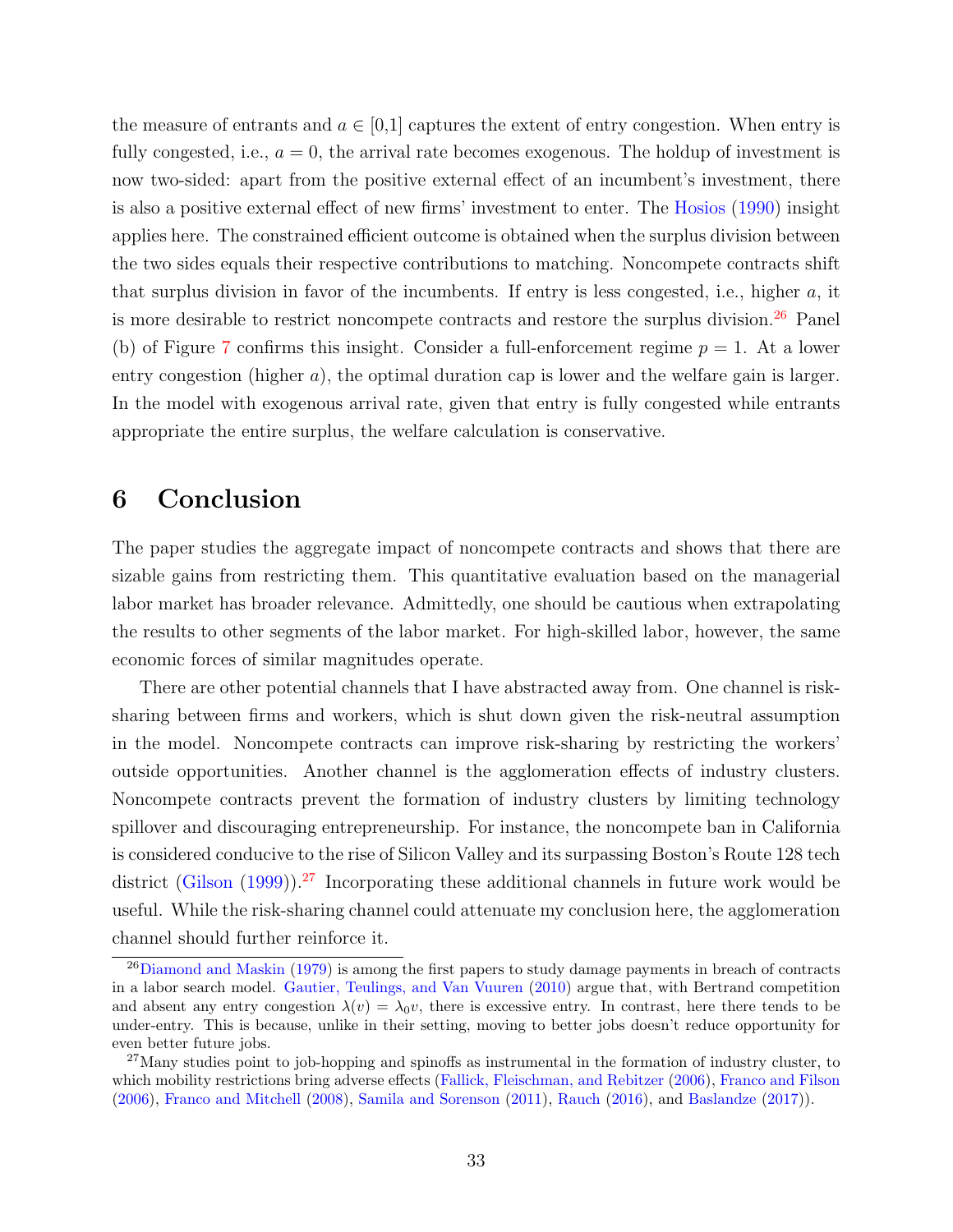the measure of entrants and  $a \in [0,1]$  captures the extent of entry congestion. When entry is fully congested, i.e.,  $a = 0$ , the arrival rate becomes exogenous. The holdup of investment is now two-sided: apart from the positive external effect of an incumbent's investment, there is also a positive external effect of new firms' investment to enter. The Hosios (1990) insight applies here. The constrained efficient outcome is obtained when the surplus division between the two sides equals their respective contributions to matching. Noncompete contracts shift that surplus division in favor of the incumbents. If entry is less congested, i.e., higher  $a$ , it is more desirable to restrict noncompete contracts and restore the surplus division.<sup>26</sup> Panel (b) of Figure 7 confirms this insight. Consider a full-enforcement regime  $p = 1$ . At a lower entry congestion (higher  $a$ ), the optimal duration cap is lower and the welfare gain is larger. In the model with exogenous arrival rate, given that entry is fully congested while entrants appropriate the entire surplus, the welfare calculation is conservative.

## 6 Conclusion

The paper studies the aggregate impact of noncompete contracts and shows that there are sizable gains from restricting them. This quantitative evaluation based on the managerial labor market has broader relevance. Admittedly, one should be cautious when extrapolating the results to other segments of the labor market. For high-skilled labor, however, the same economic forces of similar magnitudes operate.

There are other potential channels that I have abstracted away from. One channel is risksharing between firms and workers, which is shut down given the risk-neutral assumption in the model. Noncompete contracts can improve risk-sharing by restricting the workers' outside opportunities. Another channel is the agglomeration effects of industry clusters. Noncompete contracts prevent the formation of industry clusters by limiting technology spillover and discouraging entrepreneurship. For instance, the noncompete ban in California is considered conducive to the rise of Silicon Valley and its surpassing Boston's Route 128 tech district (Gilson (1999)).<sup>27</sup> Incorporating these additional channels in future work would be useful. While the risk-sharing channel could attenuate my conclusion here, the agglomeration channel should further reinforce it.

 $26$ Diamond and Maskin (1979) is among the first papers to study damage payments in breach of contracts in a labor search model. Gautier, Teulings, and Van Vuuren (2010) argue that, with Bertrand competition and absent any entry congestion  $\lambda(v) = \lambda_0 v$ , there is excessive entry. In contrast, here there tends to be under-entry. This is because, unlike in their setting, moving to better jobs doesn't reduce opportunity for even better future jobs.

<sup>&</sup>lt;sup>27</sup>Many studies point to job-hopping and spinoffs as instrumental in the formation of industry cluster, to which mobility restrictions bring adverse effects (Fallick, Fleischman, and Rebitzer (2006), Franco and Filson (2006), Franco and Mitchell (2008), Samila and Sorenson (2011), Rauch (2016), and Baslandze (2017)).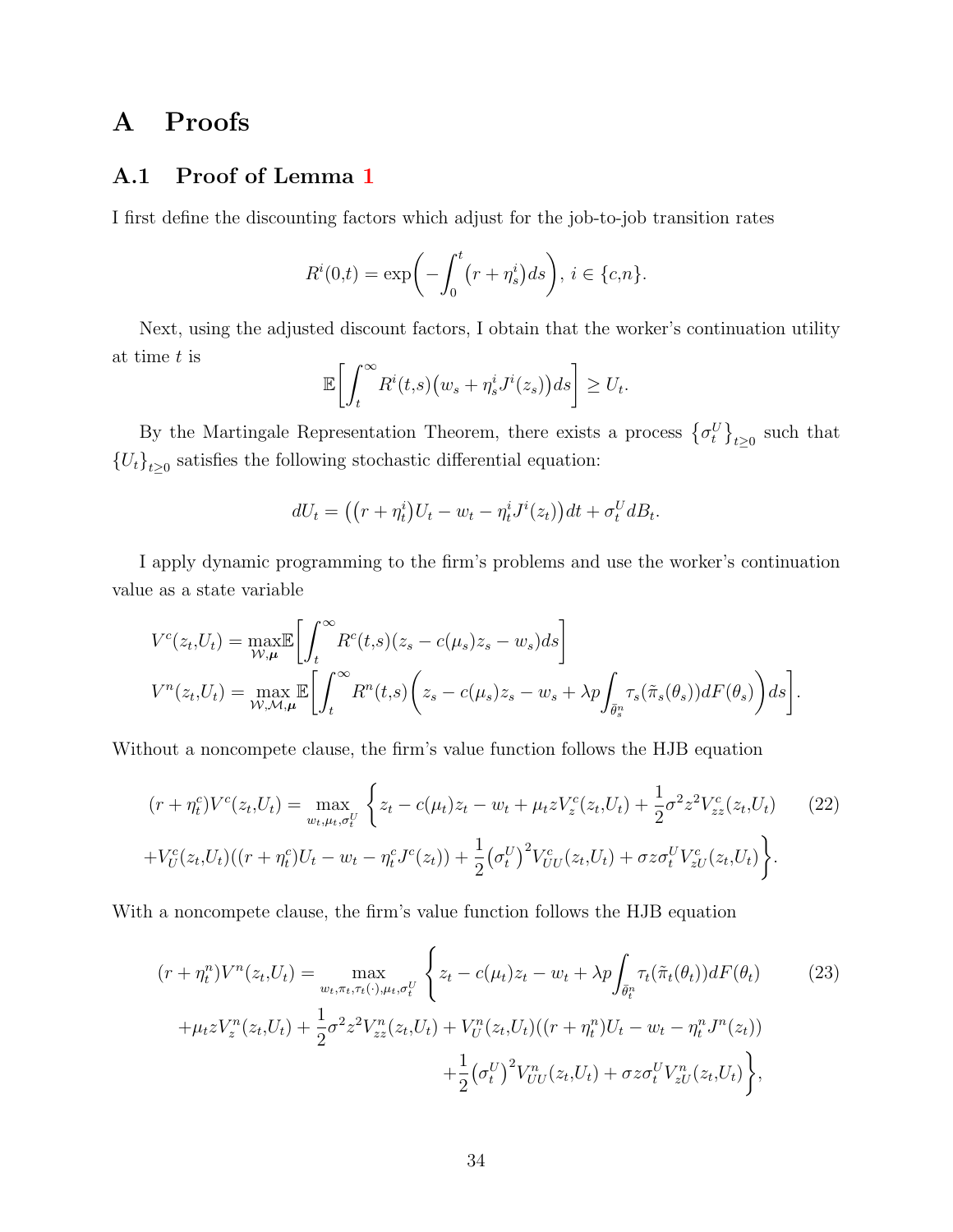## A Proofs

### A.1 Proof of Lemma 1

I first define the discounting factors which adjust for the job-to-job transition rates

$$
R^{i}(0,t) = \exp\biggl(-\int_{0}^{t} (r + \eta^{i}_{s}) ds\biggr), i \in \{c, n\}.
$$

Next, using the adjusted discount factors, I obtain that the worker's continuation utility at time t is

$$
\mathbb{E}\bigg[\int_t^\infty R^i(t,s)\big(w_s+\eta^i_sJ^i(z_s)\big)ds\bigg]\geq U_t.
$$

By the Martingale Representation Theorem, there exists a process  $\{\sigma_t^U\}_{t\geq 0}$  such that  ${U_t}_{t\geq0}$  satisfies the following stochastic differential equation:

$$
dU_t = ((r + \eta_t^i)U_t - w_t - \eta_t^i J^i(z_t))dt + \sigma_t^U dB_t.
$$

I apply dynamic programming to the firm's problems and use the worker's continuation value as a state variable

$$
V^{c}(z_{t},U_{t}) = \max_{\mathcal{W},\mu} \mathbb{E}\bigg[\int_{t}^{\infty} R^{c}(t,s)(z_{s} - c(\mu_{s})z_{s} - w_{s})ds\bigg]
$$
  

$$
V^{n}(z_{t},U_{t}) = \max_{\mathcal{W},\mathcal{M},\mu} \mathbb{E}\bigg[\int_{t}^{\infty} R^{n}(t,s)\bigg(z_{s} - c(\mu_{s})z_{s} - w_{s} + \lambda p \int_{\bar{\theta}_{s}^{n}} \tau_{s}(\tilde{\pi}_{s}(\theta_{s}))dF(\theta_{s})\bigg)ds\bigg].
$$

Without a noncompete clause, the firm's value function follows the HJB equation

$$
(r + \eta_t^c)V^c(z_t, U_t) = \max_{w_t, \mu_t, \sigma_t^U} \left\{ z_t - c(\mu_t)z_t - w_t + \mu_t z V_z^c(z_t, U_t) + \frac{1}{2} \sigma^2 z^2 V_{zz}^c(z_t, U_t) - (22) \right\}
$$
  
+ 
$$
V_U^c(z_t, U_t)((r + \eta_t^c)U_t - w_t - \eta_t^c J^c(z_t)) + \frac{1}{2} (\sigma_t^U)^2 V_{UU}^c(z_t, U_t) + \sigma z \sigma_t^U V_{zU}^c(z_t, U_t) \right\}.
$$

With a noncompete clause, the firm's value function follows the HJB equation

$$
(r + \eta_t^n)V^n(z_t, U_t) = \max_{w_t, \pi_t, \tau_t(\cdot), \mu_t, \sigma_t^U} \left\{ z_t - c(\mu_t)z_t - w_t + \lambda p \int_{\bar{\theta}_t^n} \tau_t(\tilde{\pi}_t(\theta_t)) dF(\theta_t) \right\}
$$
\n
$$
+ \mu_t z V_z^n(z_t, U_t) + \frac{1}{2} \sigma^2 z^2 V_{zz}^n(z_t, U_t) + V_U^n(z_t, U_t) ((r + \eta_t^n) U_t - w_t - \eta_t^n J^n(z_t)) + \frac{1}{2} (\sigma_t^U)^2 V_{UU}^n(z_t, U_t) + \sigma z \sigma_t^U V_{zU}^n(z_t, U_t) \right\},
$$
\n(23)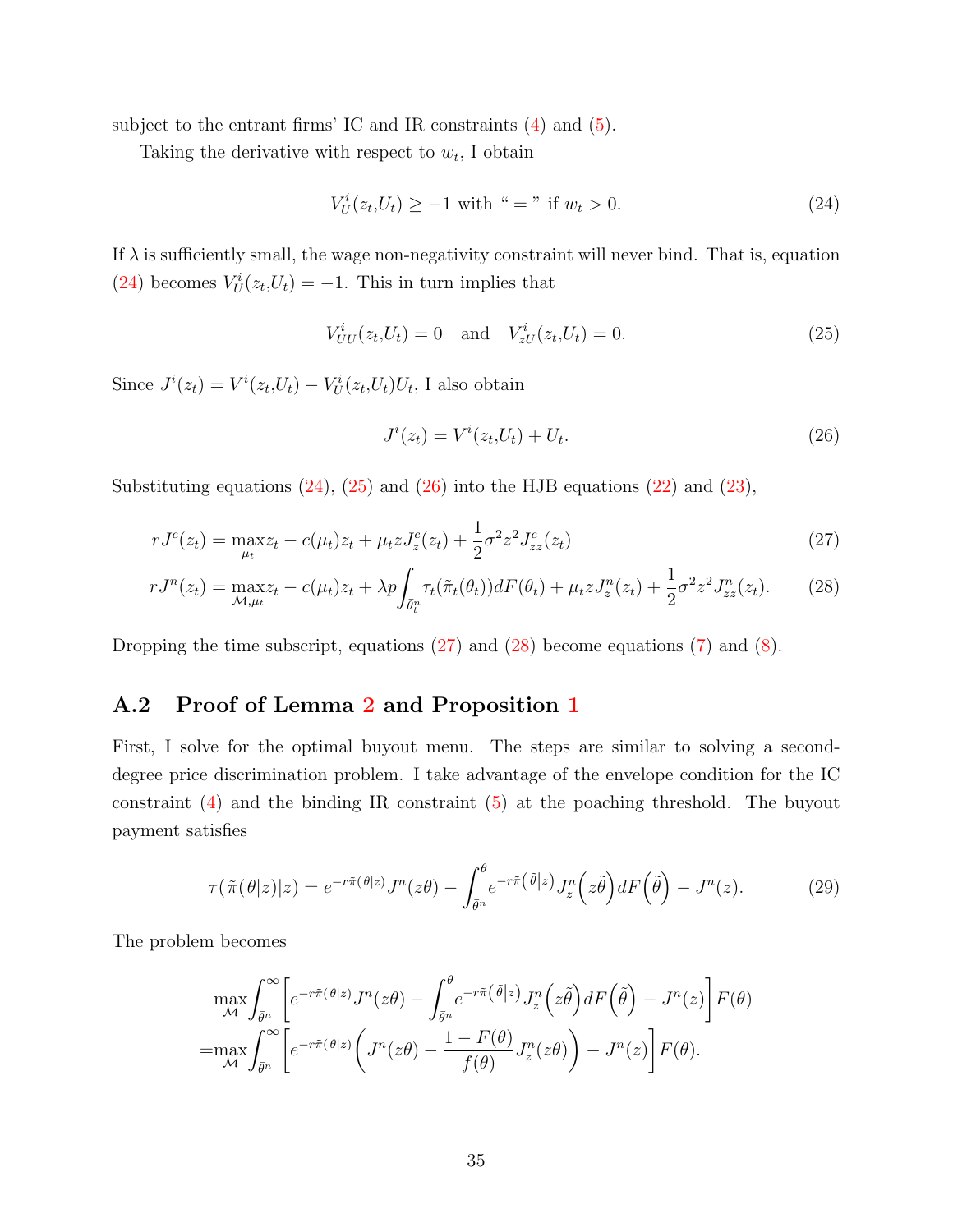subject to the entrant firms' IC and IR constraints  $(4)$  and  $(5)$ .

Taking the derivative with respect to  $w_t$ , I obtain

$$
V_U^i(z_t, U_t) \ge -1 \text{ with } " = " \text{ if } w_t > 0. \tag{24}
$$

If  $\lambda$  is sufficiently small, the wage non-negativity constraint will never bind. That is, equation (24) becomes  $V_U^i(z_t,U_t) = -1$ . This in turn implies that

$$
V_{UU}^i(z_t, U_t) = 0 \text{ and } V_{zU}^i(z_t, U_t) = 0.
$$
 (25)

Since  $J^i(z_t) = V^i(z_t, U_t) - V^i_U(z_t, U_t)U_t$ , I also obtain

$$
J^{i}(z_{t}) = V^{i}(z_{t}, U_{t}) + U_{t}.
$$
\n(26)

Substituting equations  $(24)$ ,  $(25)$  and  $(26)$  into the HJB equations  $(22)$  and  $(23)$ ,

$$
rJ^{c}(z_{t}) = \max_{\mu_{t}} z_{t} - c(\mu_{t})z_{t} + \mu_{t}zJ_{z}^{c}(z_{t}) + \frac{1}{2}\sigma^{2}z^{2}J_{zz}^{c}(z_{t})
$$
\n(27)

$$
rJ^{n}(z_{t}) = \max_{\mathcal{M},\mu_{t}} z_{t} - c(\mu_{t})z_{t} + \lambda p \int_{\bar{\theta}_{t}^{n}} \tau_{t}(\tilde{\pi}_{t}(\theta_{t})) dF(\theta_{t}) + \mu_{t} z J_{z}^{n}(z_{t}) + \frac{1}{2} \sigma^{2} z^{2} J_{zz}^{n}(z_{t}).
$$
 (28)

Dropping the time subscript, equations (27) and (28) become equations (7) and (8).

### A.2 Proof of Lemma 2 and Proposition 1

First, I solve for the optimal buyout menu. The steps are similar to solving a seconddegree price discrimination problem. I take advantage of the envelope condition for the IC constraint  $(4)$  and the binding IR constraint  $(5)$  at the poaching threshold. The buyout payment satisfies

$$
\tau(\tilde{\pi}(\theta|z)|z) = e^{-r\tilde{\pi}(\theta|z)}J^n(z\theta) - \int_{\bar{\theta}^n}^{\theta} e^{-r\tilde{\pi}(\tilde{\theta}|z)} J^n_z(z\tilde{\theta}) dF(\tilde{\theta}) - J^n(z). \tag{29}
$$

The problem becomes

$$
\max_{\mathcal{M}} \int_{\bar{\theta}^n}^{\infty} \left[ e^{-r\tilde{\pi}(\theta|z)} J^n(z\theta) - \int_{\bar{\theta}^n}^{\theta} e^{-r\tilde{\pi}(\tilde{\theta}|z)} J^n_z(z\tilde{\theta}) dF(\tilde{\theta}) - J^n(z) \right] F(\theta)
$$
  
= 
$$
\max_{\mathcal{M}} \int_{\bar{\theta}^n}^{\infty} \left[ e^{-r\tilde{\pi}(\theta|z)} \left( J^n(z\theta) - \frac{1 - F(\theta)}{f(\theta)} J^n_z(z\theta) \right) - J^n(z) \right] F(\theta).
$$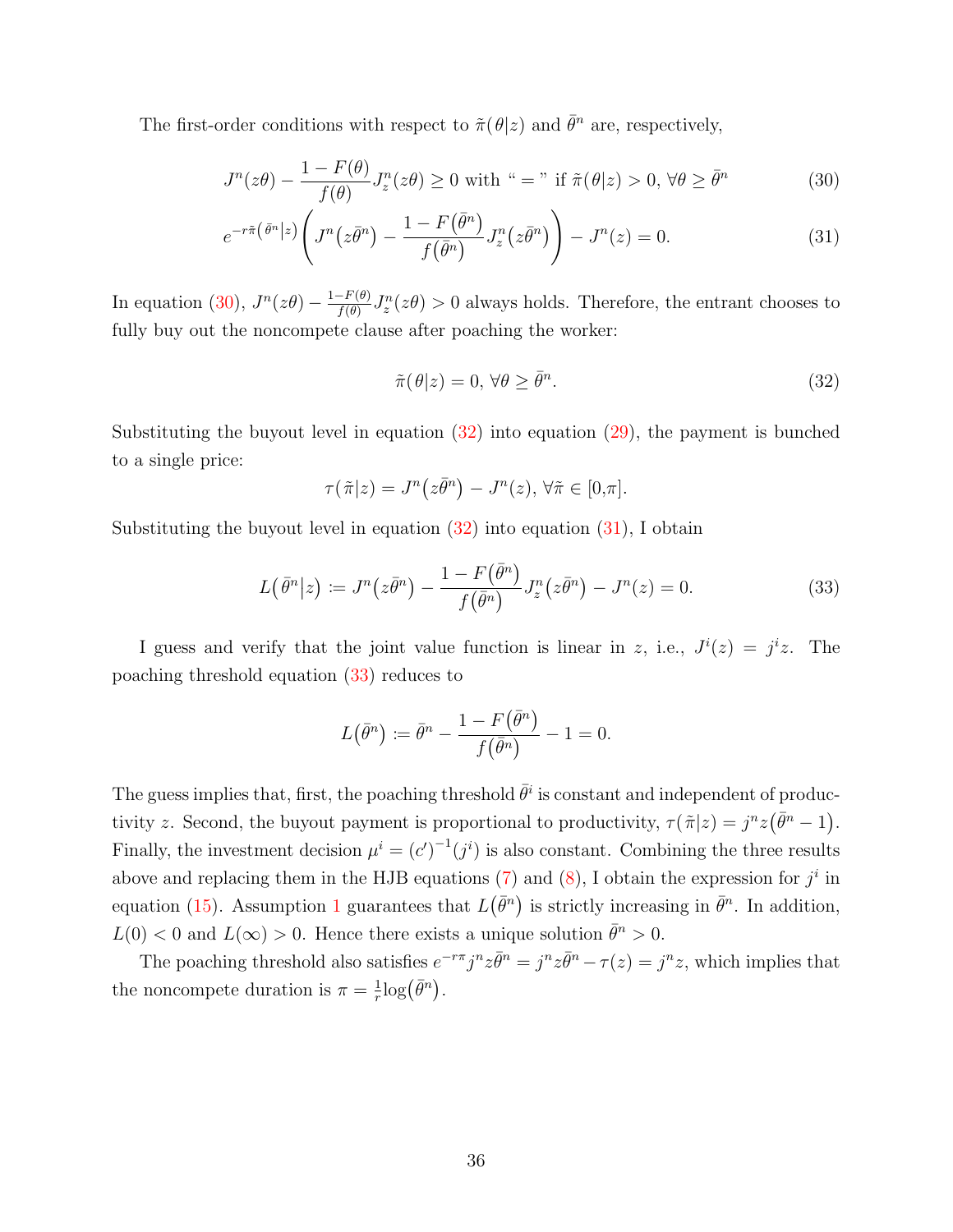The first-order conditions with respect to  $\tilde{\pi}(\theta|z)$  and  $\bar{\theta}^n$  are, respectively,

$$
J^{n}(z\theta) - \frac{1 - F(\theta)}{f(\theta)} J_{z}^{n}(z\theta) \ge 0 \text{ with } \alpha = \gamma \text{ if } \tilde{\pi}(\theta|z) > 0, \forall \theta \ge \bar{\theta}^{n}
$$
 (30)

$$
e^{-r\tilde{\pi}(\bar{\theta}^n|z)}\left(J^n(z\bar{\theta}^n) - \frac{1 - F(\bar{\theta}^n)}{f(\bar{\theta}^n)}J_z^n(z\bar{\theta}^n)\right) - J^n(z) = 0.
$$
 (31)

In equation (30),  $J^n(z\theta) - \frac{1-F(\theta)}{f(\theta)}$  $\frac{f(\theta)-f(\theta)}{f(\theta)}J_z^n(z\theta) > 0$  always holds. Therefore, the entrant chooses to fully buy out the noncompete clause after poaching the worker:

$$
\tilde{\pi}(\theta|z) = 0, \,\forall \theta \ge \bar{\theta}^n. \tag{32}
$$

Substituting the buyout level in equation  $(32)$  into equation  $(29)$ , the payment is bunched to a single price:

$$
\tau(\tilde{\pi}|z) = J^n(z\bar{\theta}^n) - J^n(z), \forall \tilde{\pi} \in [0,\pi].
$$

Substituting the buyout level in equation  $(32)$  into equation  $(31)$ , I obtain

$$
L(\bar{\theta}^n|z) \coloneqq J^n(z\bar{\theta}^n) - \frac{1 - F(\bar{\theta}^n)}{f(\bar{\theta}^n)} J_z^n(z\bar{\theta}^n) - J^n(z) = 0.
$$
 (33)

I guess and verify that the joint value function is linear in z, i.e.,  $J^{i}(z) = j^{i}z$ . The poaching threshold equation (33) reduces to

$$
L(\bar{\theta}^n) \coloneqq \bar{\theta}^n - \frac{1 - F(\bar{\theta}^n)}{f(\bar{\theta}^n)} - 1 = 0.
$$

The guess implies that, first, the poaching threshold  $\bar{\theta}^i$  is constant and independent of productivity z. Second, the buyout payment is proportional to productivity,  $\tau(\tilde{\pi}|z) = j^n z(\bar{\theta}^n - 1)$ . Finally, the investment decision  $\mu^{i} = (c')^{-1}(j^{i})$  is also constant. Combining the three results above and replacing them in the HJB equations (7) and (8), I obtain the expression for  $j^i$  in equation (15). Assumption 1 guarantees that  $L(\bar{\theta}^n)$  is strictly increasing in  $\bar{\theta}^n$ . In addition,  $L(0) < 0$  and  $L(\infty) > 0$ . Hence there exists a unique solution  $\bar{\theta}^n > 0$ .

The poaching threshold also satisfies  $e^{-r\pi} j^n z \bar{\theta}^n = j^n z \bar{\theta}^n - \tau(z) = j^n z$ , which implies that the noncompete duration is  $\pi = \frac{1}{r}$  $\frac{1}{r} \log (\bar{\theta}^n)$ .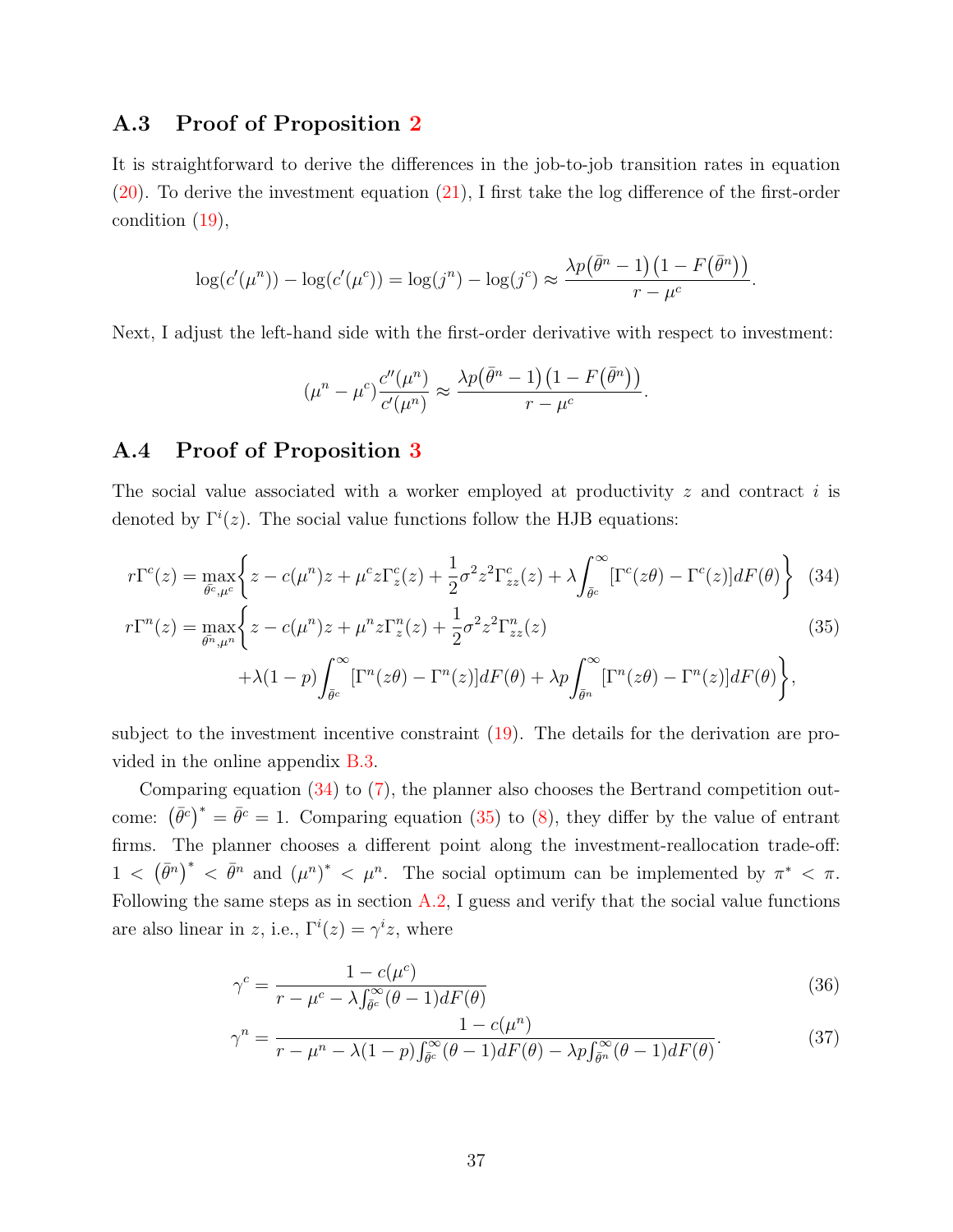#### A.3 Proof of Proposition 2

It is straightforward to derive the differences in the job-to-job transition rates in equation (20). To derive the investment equation (21), I first take the log difference of the first-order condition (19),

$$
\log(c'(\mu^n)) - \log(c'(\mu^c)) = \log(j^n) - \log(j^c) \approx \frac{\lambda p(\bar{\theta}^n - 1)(1 - F(\bar{\theta}^n))}{r - \mu^c}.
$$

Next, I adjust the left-hand side with the first-order derivative with respect to investment:

$$
(\mu^n - \mu^c) \frac{c''(\mu^n)}{c'(\mu^n)} \approx \frac{\lambda p(\bar{\theta}^n - 1)(1 - F(\bar{\theta}^n))}{r - \mu^c}.
$$

#### A.4 Proof of Proposition 3

The social value associated with a worker employed at productivity  $z$  and contract i is denoted by  $\Gamma^{i}(z)$ . The social value functions follow the HJB equations:

$$
r\Gamma^{c}(z) = \max_{\bar{\theta}^{c},\mu^{c}} \left\{ z - c(\mu^{n})z + \mu^{c}z\Gamma_{z}^{c}(z) + \frac{1}{2}\sigma^{2}z^{2}\Gamma_{zz}^{c}(z) + \lambda \int_{\bar{\theta}^{c}}^{\infty} [\Gamma^{c}(z\theta) - \Gamma^{c}(z)]dF(\theta) \right\}
$$
(34)

$$
r\Gamma^{n}(z) = \max_{\bar{\theta^{n}}, \mu^{n}} \left\{ z - c(\mu^{n})z + \mu^{n}z\Gamma_{z}^{n}(z) + \frac{1}{2}\sigma^{2}z^{2}\Gamma_{zz}^{n}(z) \right\}
$$
(35)

$$
+\lambda(1-p)\int_{\bar{\theta}^c}^{\infty}[\Gamma^n(z\theta)-\Gamma^n(z)]dF(\theta)+\lambda p\int_{\bar{\theta}^n}^{\infty}[\Gamma^n(z\theta)-\Gamma^n(z)]dF(\theta)\bigg\},\
$$

subject to the investment incentive constraint (19). The details for the derivation are provided in the online appendix B.3.

Comparing equation (34) to (7), the planner also chooses the Bertrand competition outcome:  $(\bar{\theta}^c)^* = \bar{\theta}^c = 1$ . Comparing equation (35) to (8), they differ by the value of entrant firms. The planner chooses a different point along the investment-reallocation trade-off:  $1 < (\bar{\theta}^n)^* < \bar{\theta}^n$  and  $(\mu^n)^* < \mu^n$ . The social optimum can be implemented by  $\pi^* < \pi$ . Following the same steps as in section  $A.2$ , I guess and verify that the social value functions are also linear in z, i.e.,  $\Gamma^{i}(z) = \gamma^{i} z$ , where

$$
\gamma^{c} = \frac{1 - c(\mu^{c})}{r - \mu^{c} - \lambda \int_{\bar{\theta}^{c}}^{\infty} (\theta - 1) dF(\theta)}
$$
(36)

$$
\gamma^n = \frac{1 - c(\mu^n)}{r - \mu^n - \lambda(1 - p)\int_{\bar{\theta}^c}^{\infty} (\theta - 1)dF(\theta) - \lambda p\int_{\bar{\theta}^n}^{\infty} (\theta - 1)dF(\theta)}.
$$
(37)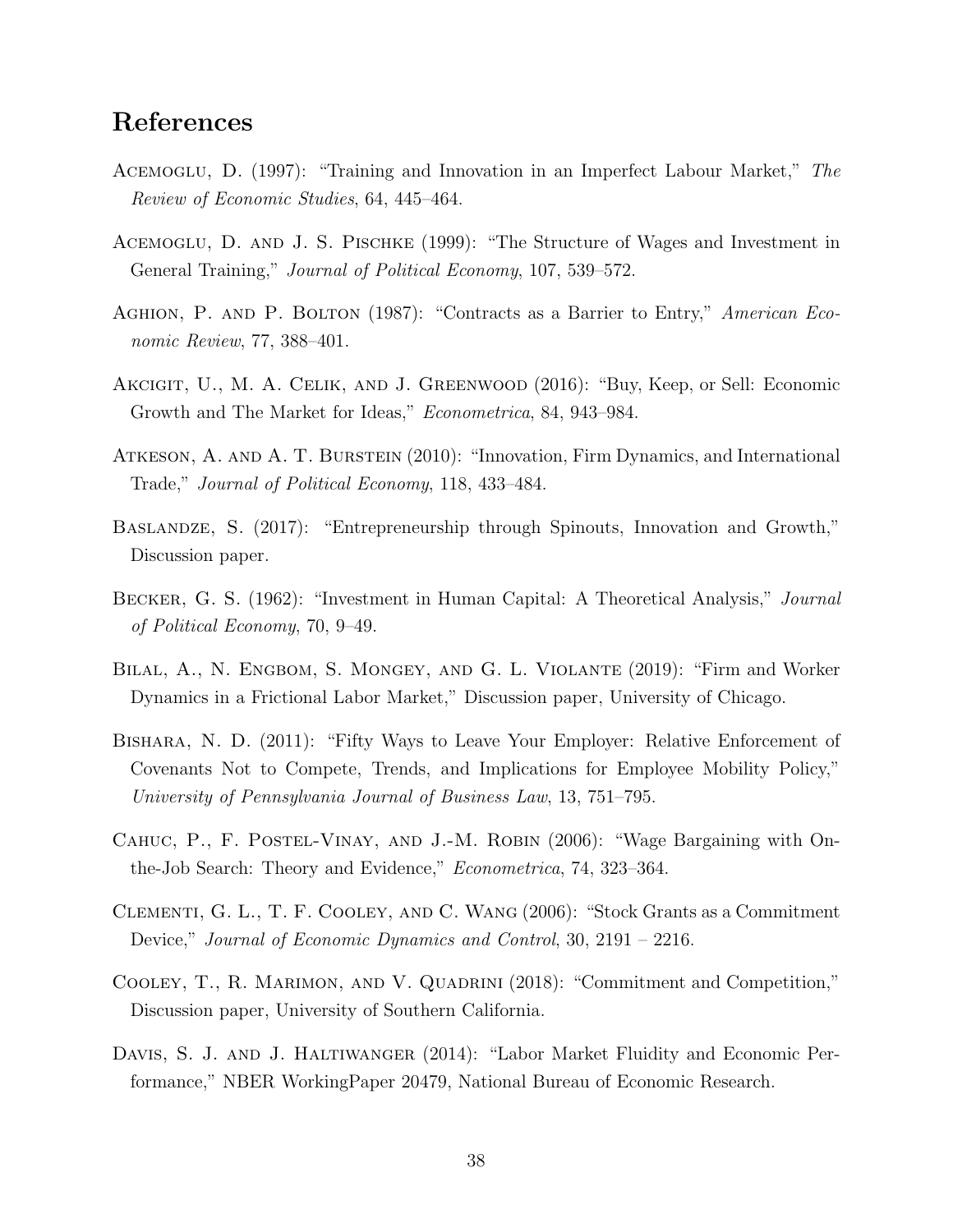## References

- Acemoglu, D. (1997): "Training and Innovation in an Imperfect Labour Market," The Review of Economic Studies, 64, 445–464.
- Acemoglu, D. and J. S. Pischke (1999): "The Structure of Wages and Investment in General Training," Journal of Political Economy, 107, 539–572.
- Aghion, P. and P. Bolton (1987): "Contracts as a Barrier to Entry," American Economic Review, 77, 388–401.
- Akcigit, U., M. A. Celik, and J. Greenwood (2016): "Buy, Keep, or Sell: Economic Growth and The Market for Ideas," Econometrica, 84, 943–984.
- Atkeson, A. and A. T. Burstein (2010): "Innovation, Firm Dynamics, and International Trade," Journal of Political Economy, 118, 433–484.
- Baslandze, S. (2017): "Entrepreneurship through Spinouts, Innovation and Growth," Discussion paper.
- Becker, G. S. (1962): "Investment in Human Capital: A Theoretical Analysis," Journal of Political Economy, 70, 9–49.
- Bilal, A., N. Engbom, S. Mongey, and G. L. Violante (2019): "Firm and Worker Dynamics in a Frictional Labor Market," Discussion paper, University of Chicago.
- Bishara, N. D. (2011): "Fifty Ways to Leave Your Employer: Relative Enforcement of Covenants Not to Compete, Trends, and Implications for Employee Mobility Policy," University of Pennsylvania Journal of Business Law, 13, 751–795.
- CAHUC, P., F. POSTEL-VINAY, AND J.-M. ROBIN (2006): "Wage Bargaining with Onthe-Job Search: Theory and Evidence," Econometrica, 74, 323–364.
- Clementi, G. L., T. F. Cooley, and C. Wang (2006): "Stock Grants as a Commitment Device," Journal of Economic Dynamics and Control, 30, 2191 – 2216.
- COOLEY, T., R. MARIMON, AND V. QUADRINI (2018): "Commitment and Competition," Discussion paper, University of Southern California.
- DAVIS, S. J. AND J. HALTIWANGER (2014): "Labor Market Fluidity and Economic Performance," NBER WorkingPaper 20479, National Bureau of Economic Research.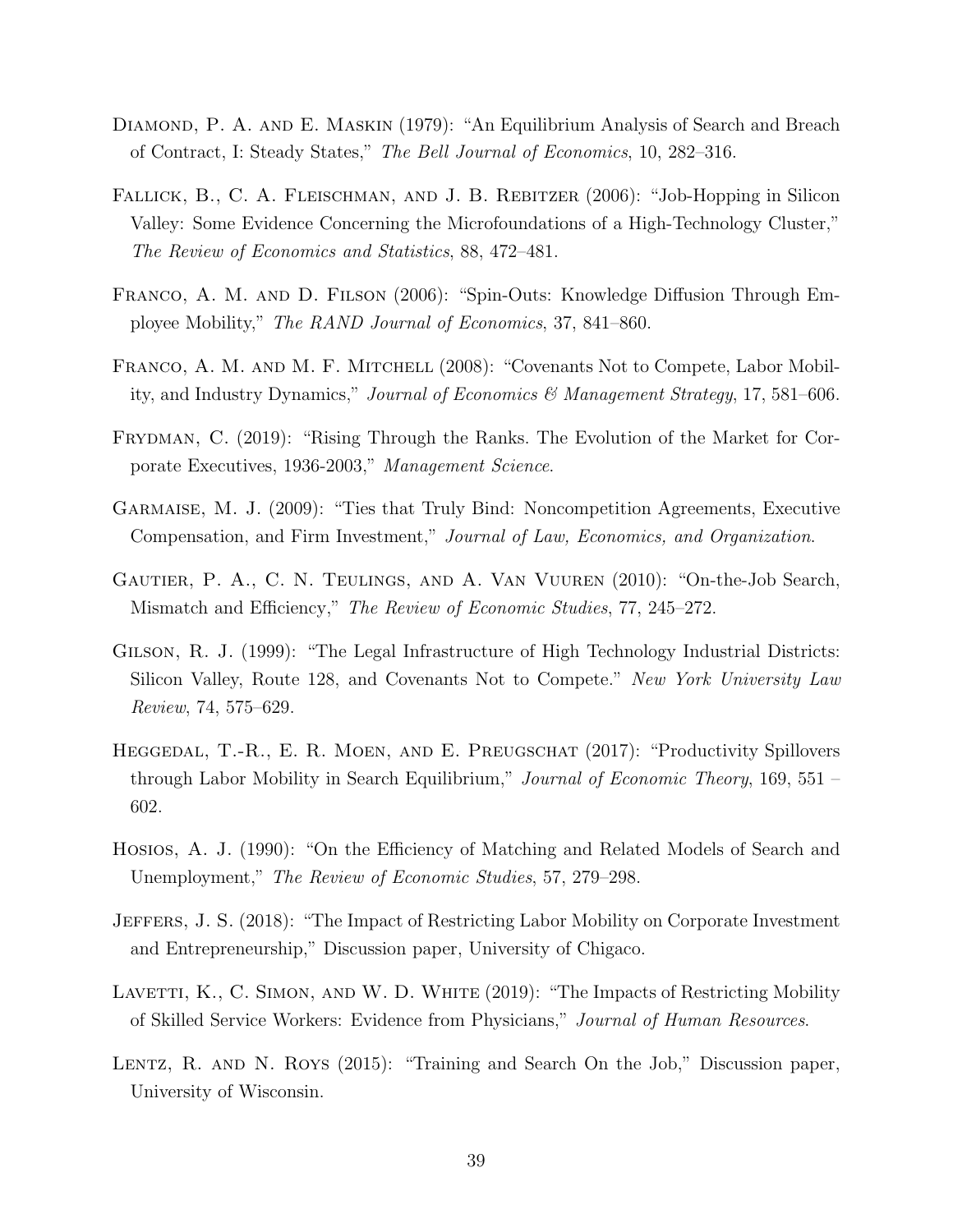- Diamond, P. A. and E. Maskin (1979): "An Equilibrium Analysis of Search and Breach of Contract, I: Steady States," The Bell Journal of Economics, 10, 282–316.
- FALLICK, B., C. A. FLEISCHMAN, AND J. B. REBITZER (2006): "Job-Hopping in Silicon Valley: Some Evidence Concerning the Microfoundations of a High-Technology Cluster," The Review of Economics and Statistics, 88, 472–481.
- Franco, A. M. and D. Filson (2006): "Spin-Outs: Knowledge Diffusion Through Employee Mobility," The RAND Journal of Economics, 37, 841–860.
- FRANCO, A. M. AND M. F. MITCHELL (2008): "Covenants Not to Compete, Labor Mobility, and Industry Dynamics," Journal of Economics & Management Strategy, 17, 581–606.
- Frydman, C. (2019): "Rising Through the Ranks. The Evolution of the Market for Corporate Executives, 1936-2003," Management Science.
- Garmaise, M. J. (2009): "Ties that Truly Bind: Noncompetition Agreements, Executive Compensation, and Firm Investment," Journal of Law, Economics, and Organization.
- Gautier, P. A., C. N. Teulings, and A. Van Vuuren (2010): "On-the-Job Search, Mismatch and Efficiency," The Review of Economic Studies, 77, 245–272.
- GILSON, R. J. (1999): "The Legal Infrastructure of High Technology Industrial Districts: Silicon Valley, Route 128, and Covenants Not to Compete." New York University Law Review, 74, 575–629.
- HEGGEDAL, T.-R., E. R. MOEN, AND E. PREUGSCHAT (2017): "Productivity Spillovers through Labor Mobility in Search Equilibrium," Journal of Economic Theory, 169, 551 – 602.
- Hosios, A. J. (1990): "On the Efficiency of Matching and Related Models of Search and Unemployment," The Review of Economic Studies, 57, 279–298.
- Jeffers, J. S. (2018): "The Impact of Restricting Labor Mobility on Corporate Investment and Entrepreneurship," Discussion paper, University of Chigaco.
- LAVETTI, K., C. SIMON, AND W. D. WHITE (2019): "The Impacts of Restricting Mobility of Skilled Service Workers: Evidence from Physicians," Journal of Human Resources.
- LENTZ, R. AND N. ROYS (2015): "Training and Search On the Job," Discussion paper, University of Wisconsin.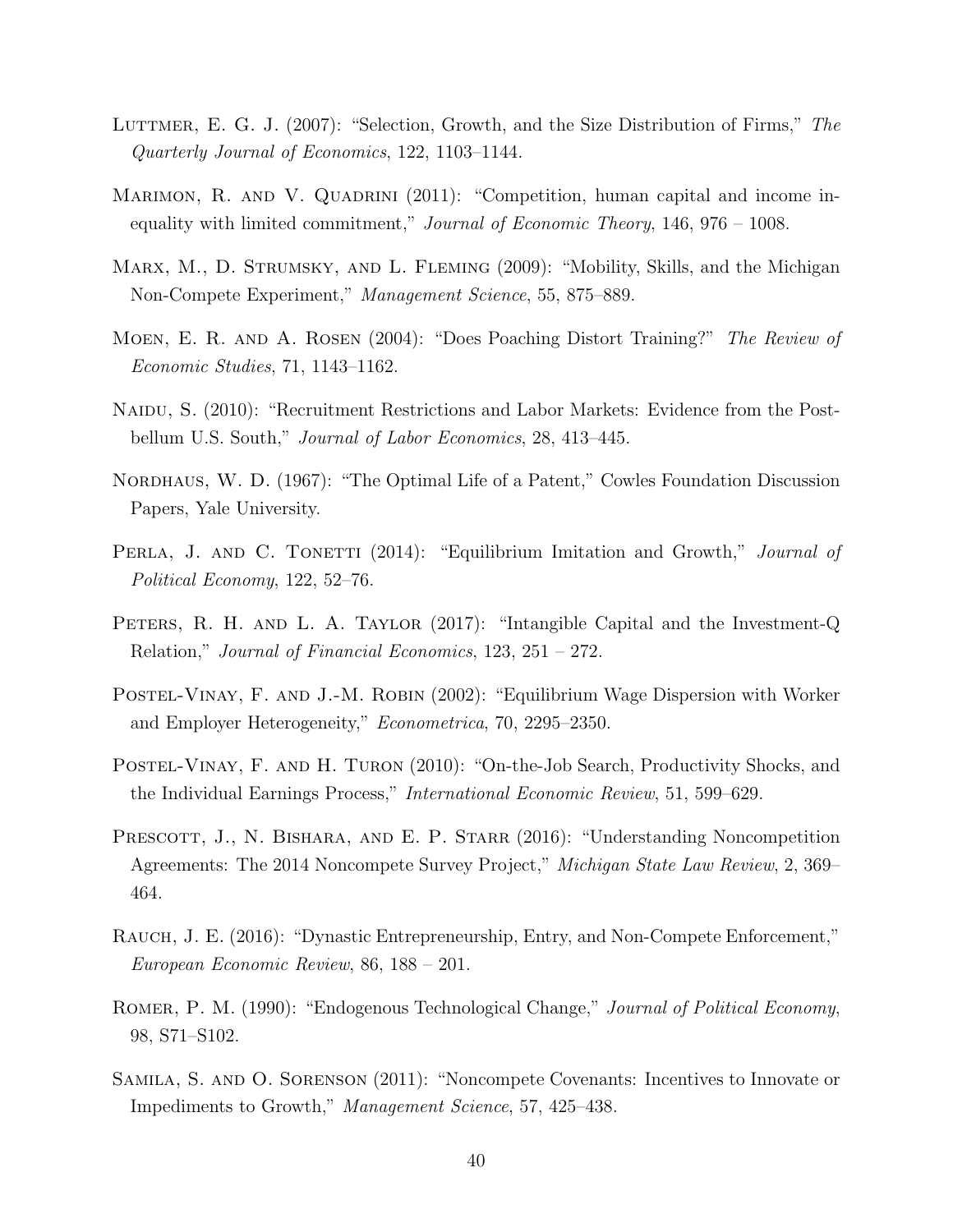- LUTTMER, E. G. J. (2007): "Selection, Growth, and the Size Distribution of Firms," The Quarterly Journal of Economics, 122, 1103–1144.
- MARIMON, R. AND V. QUADRINI (2011): "Competition, human capital and income inequality with limited commitment," Journal of Economic Theory,  $146, 976 - 1008$ .
- MARX, M., D. STRUMSKY, AND L. FLEMING (2009): "Mobility, Skills, and the Michigan Non-Compete Experiment," Management Science, 55, 875–889.
- Moen, E. R. and A. Rosen (2004): "Does Poaching Distort Training?" The Review of Economic Studies, 71, 1143–1162.
- NAIDU, S. (2010): "Recruitment Restrictions and Labor Markets: Evidence from the Postbellum U.S. South," *Journal of Labor Economics*, 28, 413–445.
- NORDHAUS, W. D. (1967): "The Optimal Life of a Patent," Cowles Foundation Discussion Papers, Yale University.
- PERLA, J. AND C. TONETTI (2014): "Equilibrium Imitation and Growth," Journal of Political Economy, 122, 52–76.
- PETERS, R. H. AND L. A. TAYLOR (2017): "Intangible Capital and the Investment-Q Relation," Journal of Financial Economics, 123, 251 – 272.
- POSTEL-VINAY, F. AND J.-M. ROBIN (2002): "Equilibrium Wage Dispersion with Worker and Employer Heterogeneity," Econometrica, 70, 2295–2350.
- Postel-Vinay, F. and H. Turon (2010): "On-the-Job Search, Productivity Shocks, and the Individual Earnings Process," International Economic Review, 51, 599–629.
- PRESCOTT, J., N. BISHARA, AND E. P. STARR (2016): "Understanding Noncompetition Agreements: The 2014 Noncompete Survey Project," Michigan State Law Review, 2, 369– 464.
- RAUCH, J. E. (2016): "Dynastic Entrepreneurship, Entry, and Non-Compete Enforcement," European Economic Review, 86, 188 – 201.
- ROMER, P. M. (1990): "Endogenous Technological Change," Journal of Political Economy, 98, S71–S102.
- Samila, S. and O. Sorenson (2011): "Noncompete Covenants: Incentives to Innovate or Impediments to Growth," Management Science, 57, 425–438.